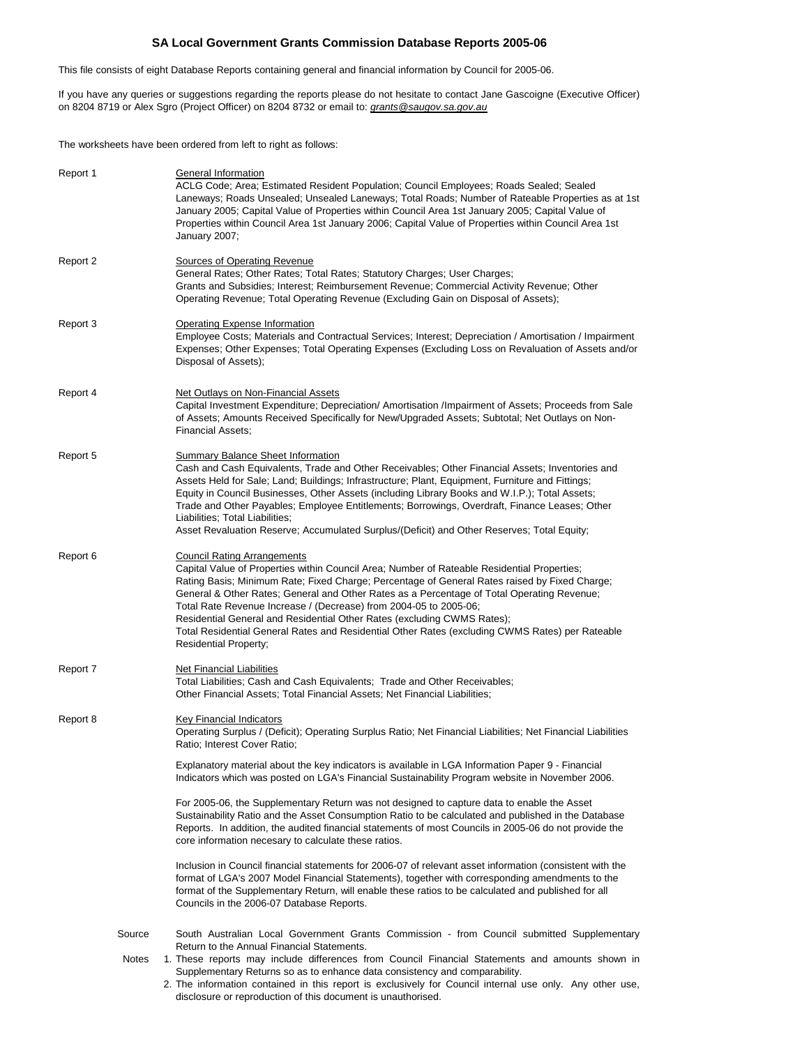# **SA Local Government Grants Commission Database Reports 2005-06**

This file consists of eight Database Reports containing general and financial information by Council for 2005-06.

If you have any queries or suggestions regarding the reports please do not hesitate to contact Jane Gascoigne (Executive Officer) on 8204 8719 or Alex Sgro (Project Officer) on 8204 8732 or email to: *grants@saugov.sa.gov.au* 

The worksheets have been ordered from left to right as follows:

| Report 1 |                 | General Information<br>ACLG Code; Area; Estimated Resident Population; Council Employees; Roads Sealed; Sealed<br>Laneways; Roads Unsealed; Unsealed Laneways; Total Roads; Number of Rateable Properties as at 1st<br>January 2005; Capital Value of Properties within Council Area 1st January 2005; Capital Value of<br>Properties within Council Area 1st January 2006; Capital Value of Properties within Council Area 1st<br>January 2007;                                                                                                                                                                                                                                                                                                                                                                                                                                                                                                                                                                                                                                                                          |
|----------|-----------------|---------------------------------------------------------------------------------------------------------------------------------------------------------------------------------------------------------------------------------------------------------------------------------------------------------------------------------------------------------------------------------------------------------------------------------------------------------------------------------------------------------------------------------------------------------------------------------------------------------------------------------------------------------------------------------------------------------------------------------------------------------------------------------------------------------------------------------------------------------------------------------------------------------------------------------------------------------------------------------------------------------------------------------------------------------------------------------------------------------------------------|
| Report 2 |                 | <b>Sources of Operating Revenue</b><br>General Rates; Other Rates; Total Rates; Statutory Charges; User Charges;<br>Grants and Subsidies; Interest; Reimbursement Revenue; Commercial Activity Revenue; Other<br>Operating Revenue; Total Operating Revenue (Excluding Gain on Disposal of Assets);                                                                                                                                                                                                                                                                                                                                                                                                                                                                                                                                                                                                                                                                                                                                                                                                                       |
| Report 3 |                 | <b>Operating Expense Information</b><br>Employee Costs; Materials and Contractual Services; Interest; Depreciation / Amortisation / Impairment<br>Expenses; Other Expenses; Total Operating Expenses (Excluding Loss on Revaluation of Assets and/or<br>Disposal of Assets);                                                                                                                                                                                                                                                                                                                                                                                                                                                                                                                                                                                                                                                                                                                                                                                                                                              |
| Report 4 |                 | <b>Net Outlays on Non-Financial Assets</b><br>Capital Investment Expenditure; Depreciation/ Amortisation /Impairment of Assets; Proceeds from Sale<br>of Assets; Amounts Received Specifically for New/Upgraded Assets; Subtotal; Net Outlays on Non-<br><b>Financial Assets:</b>                                                                                                                                                                                                                                                                                                                                                                                                                                                                                                                                                                                                                                                                                                                                                                                                                                         |
| Report 5 |                 | <b>Summary Balance Sheet Information</b><br>Cash and Cash Equivalents, Trade and Other Receivables; Other Financial Assets; Inventories and<br>Assets Held for Sale; Land; Buildings; Infrastructure; Plant, Equipment, Furniture and Fittings;<br>Equity in Council Businesses, Other Assets (including Library Books and W.I.P.); Total Assets;<br>Trade and Other Payables; Employee Entitlements; Borrowings, Overdraft, Finance Leases; Other<br>Liabilities; Total Liabilities;<br>Asset Revaluation Reserve; Accumulated Surplus/(Deficit) and Other Reserves; Total Equity;                                                                                                                                                                                                                                                                                                                                                                                                                                                                                                                                       |
| Report 6 |                 | <b>Council Rating Arrangements</b><br>Capital Value of Properties within Council Area; Number of Rateable Residential Properties;<br>Rating Basis; Minimum Rate; Fixed Charge; Percentage of General Rates raised by Fixed Charge;<br>General & Other Rates; General and Other Rates as a Percentage of Total Operating Revenue;<br>Total Rate Revenue Increase / (Decrease) from 2004-05 to 2005-06;<br>Residential General and Residential Other Rates (excluding CWMS Rates);<br>Total Residential General Rates and Residential Other Rates (excluding CWMS Rates) per Rateable<br><b>Residential Property;</b>                                                                                                                                                                                                                                                                                                                                                                                                                                                                                                       |
| Report 7 |                 | <b>Net Financial Liabilities</b><br>Total Liabilities; Cash and Cash Equivalents; Trade and Other Receivables;<br>Other Financial Assets; Total Financial Assets; Net Financial Liabilities;                                                                                                                                                                                                                                                                                                                                                                                                                                                                                                                                                                                                                                                                                                                                                                                                                                                                                                                              |
| Report 8 |                 | Key Financial Indicators<br>Operating Surplus / (Deficit); Operating Surplus Ratio; Net Financial Liabilities; Net Financial Liabilities<br>Ratio; Interest Cover Ratio;<br>Explanatory material about the key indicators is available in LGA Information Paper 9 - Financial<br>Indicators which was posted on LGA's Financial Sustainability Program website in November 2006.<br>For 2005-06, the Supplementary Return was not designed to capture data to enable the Asset<br>Sustainability Ratio and the Asset Consumption Ratio to be calculated and published in the Database<br>Reports. In addition, the audited financial statements of most Councils in 2005-06 do not provide the<br>core information necesary to calculate these ratios.<br>Inclusion in Council financial statements for 2006-07 of relevant asset information (consistent with the<br>format of LGA's 2007 Model Financial Statements), together with corresponding amendments to the<br>format of the Supplementary Return, will enable these ratios to be calculated and published for all<br>Councils in the 2006-07 Database Reports. |
|          | Source<br>Notes | South Australian Local Government Grants Commission - from Council submitted Supplementary<br>Return to the Annual Financial Statements.<br>1. These reports may include differences from Council Financial Statements and amounts shown in<br>Supplementary Returns so as to enhance data consistency and comparability.<br>2. The information contained in this report is exclusively for Council internal use only. Any other use,<br>disclosure or reproduction of this document is unauthorised.                                                                                                                                                                                                                                                                                                                                                                                                                                                                                                                                                                                                                     |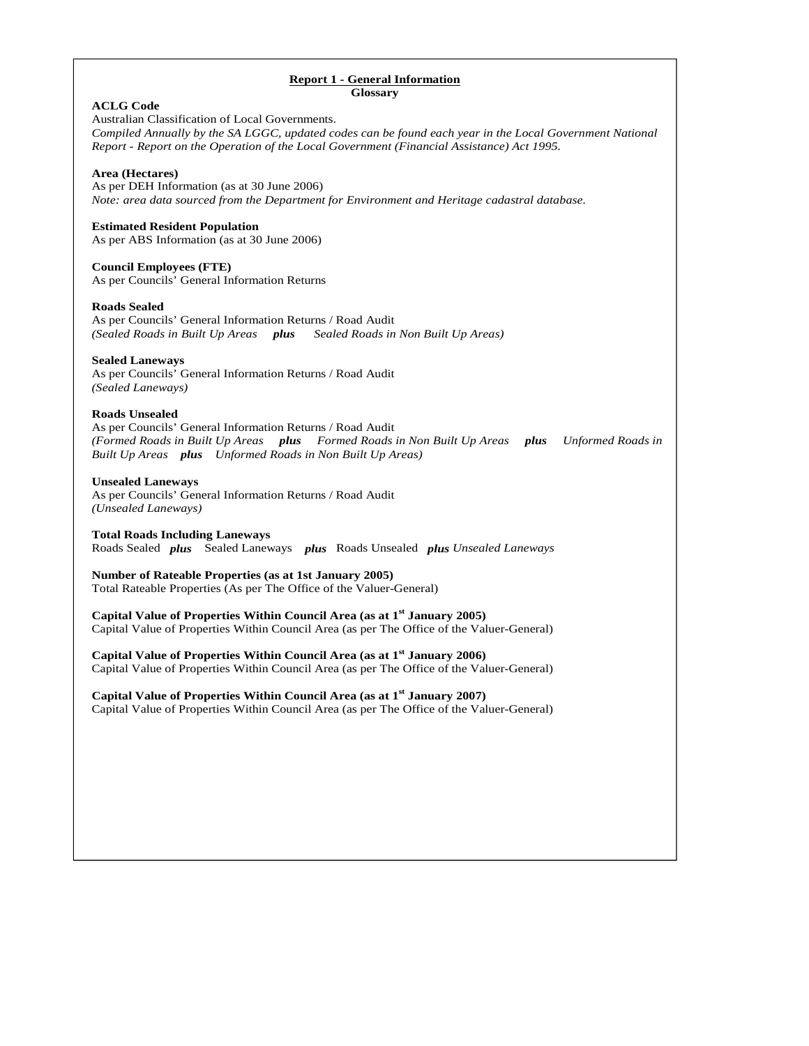# **Report 1 - General Information**

**Glossary** 

| <b>ACLG Code</b><br>Australian Classification of Local Governments.<br>Compiled Annually by the SA LGGC, updated codes can be found each year in the Local Government National<br>Report - Report on the Operation of the Local Government (Financial Assistance) Act 1995. |
|-----------------------------------------------------------------------------------------------------------------------------------------------------------------------------------------------------------------------------------------------------------------------------|
| Area (Hectares)<br>As per DEH Information (as at 30 June 2006)<br>Note: area data sourced from the Department for Environment and Heritage cadastral database.                                                                                                              |
| <b>Estimated Resident Population</b><br>As per ABS Information (as at 30 June 2006)                                                                                                                                                                                         |
| <b>Council Employees (FTE)</b><br>As per Councils' General Information Returns                                                                                                                                                                                              |
| <b>Roads Sealed</b><br>As per Councils' General Information Returns / Road Audit<br>(Sealed Roads in Built Up Areas plus<br>Sealed Roads in Non Built Up Areas)                                                                                                             |
| <b>Sealed Laneways</b><br>As per Councils' General Information Returns / Road Audit<br>(Sealed Laneways)                                                                                                                                                                    |
| <b>Roads Unsealed</b><br>As per Councils' General Information Returns / Road Audit<br>(Formed Roads in Built Up Areas plus Formed Roads in Non Built Up Areas plus<br>Unformed Roads in<br>Built Up Areas plus Unformed Roads in Non Built Up Areas)                        |
| <b>Unsealed Laneways</b><br>As per Councils' General Information Returns / Road Audit<br>(Unsealed Laneways)                                                                                                                                                                |
| <b>Total Roads Including Laneways</b><br>Roads Sealed plus Sealed Laneways plus Roads Unsealed plus Unsealed Laneways                                                                                                                                                       |
| <b>Number of Rateable Properties (as at 1st January 2005)</b><br>Total Rateable Properties (As per The Office of the Valuer-General)                                                                                                                                        |
| Capital Value of Properties Within Council Area (as at 1 <sup>st</sup> January 2005)<br>Capital Value of Properties Within Council Area (as per The Office of the Valuer-General)                                                                                           |
| Capital Value of Properties Within Council Area (as at 1 <sup>st</sup> January 2006)<br>Capital Value of Properties Within Council Area (as per The Office of the Valuer-General)                                                                                           |
| Capital Value of Properties Within Council Area (as at 1 <sup>st</sup> January 2007)<br>Capital Value of Properties Within Council Area (as per The Office of the Valuer-General)                                                                                           |
|                                                                                                                                                                                                                                                                             |
|                                                                                                                                                                                                                                                                             |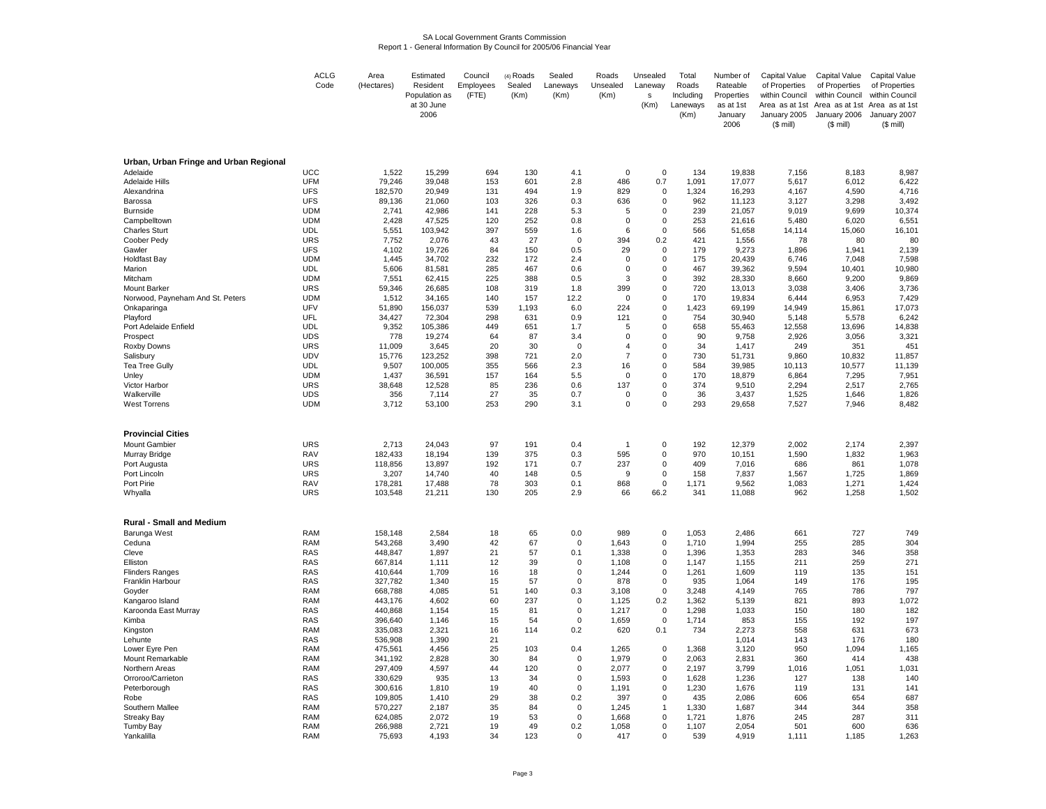#### SA Local Government Grants CommissionReport 1 - General Information By Council for 2005/06 Financial Year

|                                        | <b>ACLG</b>              | Area               | Estimated        | Council    | $(4)$ Roads | Sealed                     | Roads          | Unsealed         | Total          | Number of       | Capital Value      | Capital Value                                | <b>Capital Value</b> |
|----------------------------------------|--------------------------|--------------------|------------------|------------|-------------|----------------------------|----------------|------------------|----------------|-----------------|--------------------|----------------------------------------------|----------------------|
|                                        | Code                     | (Hectares)         | Resident         | Employees  | Sealed      | Laneways                   | Unsealed       | Laneway          | Roads          | Rateable        | of Properties      | of Properties                                | of Properties        |
|                                        |                          |                    | Population as    | (FTE)      | (Km)        | (Km)                       | (Km)           | s                | Including      | Properties      | within Council     | within Council                               | within Council       |
|                                        |                          |                    | at 30 June       |            |             |                            |                | (Km)             | Laneways       | as at 1st       |                    | Area as at 1st Area as at 1st Area as at 1st |                      |
|                                        |                          |                    | 2006             |            |             |                            |                |                  | (Km)           | January         | January 2005       | January 2006                                 | January 2007         |
|                                        |                          |                    |                  |            |             |                            |                |                  |                | 2006            | $(S \text{ mill})$ | $($$ mill)                                   | $($$ mill)           |
|                                        |                          |                    |                  |            |             |                            |                |                  |                |                 |                    |                                              |                      |
|                                        |                          |                    |                  |            |             |                            |                |                  |                |                 |                    |                                              |                      |
|                                        |                          |                    |                  |            |             |                            |                |                  |                |                 |                    |                                              |                      |
| Urban, Urban Fringe and Urban Regional |                          |                    |                  |            |             |                            |                |                  |                |                 |                    |                                              |                      |
| Adelaide                               | <b>UCC</b>               | 1,522              | 15.299           | 694        | 130         | 4.1                        | $\Omega$       | $\mathbf 0$      | 134            | 19.838          | 7,156              | 8.183                                        | 8.987                |
| <b>Adelaide Hills</b>                  | <b>UFM</b>               | 79,246             | 39,048           | 153        | 601         | 2.8                        | 486            | 0.7              | 1,091          | 17,077          | 5,617              | 6,012                                        | 6,422                |
| Alexandrina                            | <b>UFS</b>               | 182,570            | 20,949           | 131        | 494         | 1.9                        | 829            | 0                | 1,324          | 16,293          | 4,167              | 4,590                                        | 4,716                |
| Barossa                                | <b>UFS</b>               | 89,136             | 21,060           | 103        | 326         | 0.3                        | 636            | $\mathsf 0$      | 962            | 11,123          | 3,127              | 3,298                                        | 3,492                |
| <b>Burnside</b>                        | <b>UDM</b>               | 2,741              | 42,986           | 141        | 228         | 5.3                        | 5              | $\mathbf 0$      | 239            | 21,057          | 9,019              | 9,699                                        | 10,374               |
| Campbelltown                           | <b>UDM</b><br><b>UDL</b> | 2,428              | 47,525           | 120<br>397 | 252<br>559  | 0.8                        | $\mathbf 0$    | 0<br>$\mathbf 0$ | 253<br>566     | 21,616          | 5,480              | 6,020                                        | 6,551                |
| <b>Charles Sturt</b>                   | <b>URS</b>               | 5,551<br>7,752     | 103,942<br>2,076 | 43         | 27          | 1.6<br>$\mathbf 0$         | 6<br>394       | 0.2              | 421            | 51,658<br>1,556 | 14,114<br>78       | 15,060<br>80                                 | 16,101<br>80         |
| Coober Pedy                            | <b>UFS</b>               |                    |                  | 84         |             | 0.5                        | 29             |                  | 179            | 9,273           | 1,896              |                                              | 2,139                |
| Gawler<br><b>Holdfast Bay</b>          | <b>UDM</b>               | 4,102<br>1,445     | 19,726<br>34,702 | 232        | 150<br>172  | 2.4                        | $\mathbf 0$    | 0<br>0           | 175            | 20,439          | 6,746              | 1,941<br>7,048                               | 7,598                |
| Marion                                 | <b>UDL</b>               | 5,606              | 81,581           | 285        | 467         | 0.6                        | $\mathbf 0$    | $\mathbf 0$      | 467            | 39,362          | 9,594              | 10,401                                       | 10,980               |
| Mitcham                                | <b>UDM</b>               | 7,551              | 62,415           | 225        | 388         | 0.5                        | 3              | $\pmb{0}$        | 392            | 28,330          | 8,660              | 9,200                                        | 9,869                |
| Mount Barker                           | URS                      | 59,346             | 26,685           | 108        | 319         | 1.8                        | 399            | $\mathbf 0$      | 720            | 13,013          | 3,038              | 3,406                                        | 3,736                |
| Norwood, Payneham And St. Peters       | <b>UDM</b>               | 1,512              | 34,165           | 140        | 157         | 12.2                       | $\Omega$       | $\mathbf 0$      | 170            | 19,834          | 6,444              | 6,953                                        | 7,429                |
| Onkaparinga                            | UFV                      | 51,890             | 156,037          | 539        | 1,193       | 6.0                        | 224            | 0                | 1,423          | 69,199          | 14,949             | 15,861                                       | 17,073               |
| Playford                               | <b>UFL</b>               | 34,427             | 72,304           | 298        | 631         | 0.9                        | 121            | 0                | 754            | 30,940          | 5,148              | 5,578                                        | 6,242                |
| Port Adelaide Enfield                  | UDL                      | 9,352              | 105,386          | 449        | 651         | 1.7                        | 5              | $\Omega$         | 658            | 55,463          | 12,558             | 13,696                                       | 14,838               |
| Prospect                               | <b>UDS</b>               | 778                | 19,274           | 64         | 87          | 3.4                        | $\mathbf 0$    | $\mathsf 0$      | 90             | 9,758           | 2,926              | 3,056                                        | 3,321                |
| Roxby Downs                            | URS                      | 11,009             | 3,645            | 20         | 30          | $\mathbf 0$                | $\overline{4}$ | $\mathbf 0$      | 34             | 1,417           | 249                | 351                                          | 451                  |
| Salisbury                              | <b>UDV</b>               | 15,776             | 123,252          | 398        | 721         | 2.0                        | $\overline{7}$ | $\Omega$         | 730            | 51,731          | 9.860              | 10,832                                       | 11,857               |
| Tea Tree Gully                         | <b>UDL</b>               | 9,507              | 100,005          | 355        | 566         | 2.3                        | 16             | $\mathsf 0$      | 584            | 39,985          | 10,113             | 10,577                                       | 11,139               |
| Unley                                  | <b>UDM</b>               | 1,437              | 36,591           | 157        | 164         | 5.5                        | $\mathbf 0$    | $\Omega$         | 170            | 18,879          | 6,864              | 7,295                                        | 7,951                |
| Victor Harbor                          | <b>URS</b>               | 38,648             | 12,528           | 85         | 236         | 0.6                        | 137            | $\mathbf 0$      | 374            | 9,510           | 2,294              | 2,517                                        | 2,765                |
| Walkerville                            | <b>UDS</b>               | 356                | 7,114            | 27         | 35          | 0.7                        | $\mathbf 0$    | $\pmb{0}$        | 36             | 3,437           | 1,525              | 1,646                                        | 1,826                |
| <b>West Torrens</b>                    | <b>UDM</b>               | 3,712              | 53,100           | 253        | 290         | 3.1                        | $\mathbf 0$    | $\Omega$         | 293            | 29,658          | 7,527              | 7,946                                        | 8,482                |
|                                        |                          |                    |                  |            |             |                            |                |                  |                |                 |                    |                                              |                      |
|                                        |                          |                    |                  |            |             |                            |                |                  |                |                 |                    |                                              |                      |
| <b>Provincial Cities</b>               |                          |                    |                  |            |             |                            |                |                  |                |                 |                    |                                              |                      |
| <b>Mount Gambier</b>                   | <b>URS</b>               | 2,713              | 24,043           | 97         | 191         | 0.4                        | $\overline{1}$ | 0                | 192            | 12,379          | 2,002              | 2,174                                        | 2,397                |
| Murray Bridge                          | <b>RAV</b>               | 182,433            | 18,194           | 139        | 375         | 0.3                        | 595            | $\mathsf 0$      | 970            | 10,151          | 1,590              | 1,832                                        | 1,963                |
| Port Augusta                           | <b>URS</b>               | 118,856            | 13,897           | 192        | 171         | 0.7                        | 237            | $\pmb{0}$        | 409            | 7,016           | 686                | 861                                          | 1,078                |
| Port Lincoln                           | <b>URS</b>               | 3,207              | 14,740           | 40         | 148         | 0.5                        | 9              | 0                | 158            | 7,837           | 1,567              | 1,725                                        | 1,869                |
| Port Pirie                             | <b>RAV</b>               | 178,281            | 17,488           | 78         | 303         | 0.1                        | 868            | $\mathbf 0$      | 1.171          | 9,562           | 1,083              | 1,271                                        | 1,424                |
| Whyalla                                | <b>URS</b>               | 103,548            | 21,211           | 130        | 205         | 2.9                        | 66             | 66.2             | 341            | 11,088          | 962                | 1,258                                        | 1,502                |
|                                        |                          |                    |                  |            |             |                            |                |                  |                |                 |                    |                                              |                      |
| <b>Rural - Small and Medium</b>        |                          |                    |                  |            |             |                            |                |                  |                |                 |                    |                                              |                      |
| Barunga West                           | <b>RAM</b>               | 158,148            | 2,584            | 18         | 65          | 0.0                        | 989            | $\pmb{0}$        | 1,053          | 2,486           | 661                | 727                                          | 749                  |
| Ceduna                                 | <b>RAM</b>               | 543,268            | 3,490            | 42         | 67          | $\mathbf 0$                | 1,643          | $\mathbf 0$      | 1,710          | 1,994           | 255                | 285                                          | 304                  |
| Cleve                                  | <b>RAS</b>               | 448,847            | 1,897            | 21         | 57          | 0.1                        | 1,338          | 0                | 1,396          | 1,353           | 283                | 346                                          | 358                  |
| Elliston                               | <b>RAS</b>               | 667,814            | 1,111            | 12         | 39          | $\mathbf 0$                | 1,108          | 0                | 1,147          | 1,155           | 211                | 259                                          | 271                  |
| <b>Flinders Ranges</b>                 | <b>RAS</b>               | 410,644            | 1,709            | 16         | 18          | 0                          | 1,244          | 0                | 1,261          | 1,609           | 119                | 135                                          | 151                  |
| Franklin Harbour                       | <b>RAS</b>               | 327,782            | 1,340            | 15         | 57          | $\mathbf 0$                | 878            | $\mathsf 0$      | 935            | 1,064           | 149                | 176                                          | 195                  |
| Goyder                                 | <b>RAM</b>               | 668,788            | 4,085            | 51         | 140         | 0.3                        | 3,108          | $\pmb{0}$        | 3,248          | 4,149           | 765                | 786                                          | 797                  |
| Kangaroo Island                        | <b>RAM</b>               | 443,176            | 4,602            | 60         | 237         | $\mathbf 0$                | 1,125          | 0.2              | 1,362          | 5,139           | 821                | 893                                          | 1,072                |
| Karoonda East Murray                   | <b>RAS</b>               | 440,868            | 1,154            | 15         | 81          | $\mathbf 0$                | 1,217          | $\mathbf 0$      | 1,298          | 1,033           | 150                | 180                                          | 182                  |
| Kimba                                  | <b>RAS</b>               | 396,640            | 1,146            | 15         | 54          | $\pmb{0}$                  | 1,659          | $\mathsf 0$      | 1,714          | 853             | 155                | 192                                          | 197                  |
| Kingston                               | <b>RAM</b>               | 335,083            | 2,321            | 16         | 114         | 0.2                        | 620            | 0.1              | 734            | 2,273           | 558                | 631                                          | 673                  |
| Lehunte                                | <b>RAS</b>               | 536,908            | 1,390            | 21         |             |                            |                |                  |                | 1,014           | 143                | 176                                          | 180                  |
| Lower Eyre Pen                         | <b>RAM</b>               | 475,561            | 4,456            | 25         | 103         | 0.4                        | 1,265          | $\pmb{0}$        | 1,368          | 3,120           | 950                | 1,094                                        | 1,165                |
| Mount Remarkable                       | <b>RAM</b>               | 341,192            | 2,828            | 30         | 84          | $\mathbf 0$                | 1,979          | 0                | 2,063          | 2,831           | 360                | 414                                          | 438                  |
| Northern Areas                         | <b>RAM</b>               | 297,409            | 4,597            | 44         | 120         | $\pmb{0}$                  | 2,077          | $\mathsf 0$      | 2,197          | 3,799           | 1,016              | 1,051                                        | 1,031                |
| Orroroo/Carrieton                      | <b>RAS</b>               | 330,629            | 935              | 13         | 34          | $\pmb{0}$                  | 1,593          | $\pmb{0}$        | 1,628          | 1,236           | 127                | 138                                          | 140                  |
| Peterborough                           | <b>RAS</b>               | 300,616            | 1,810            | 19         | 40          | $\mathbf 0$                | 1,191          | $\mathsf 0$      | 1,230          | 1,676           | 119                | 131                                          | 141                  |
| Robe                                   | <b>RAS</b>               | 109,805            | 1,410            | 29         | 38          | 0.2                        | 397            | $\mathbf 0$      | 435            | 2,086           | 606                | 654                                          | 687                  |
| Southern Mallee<br><b>Streaky Bay</b>  | <b>RAM</b><br><b>RAM</b> | 570,227<br>624,085 | 2,187<br>2,072   | 35<br>19   | 84<br>53    | $\mathbf 0$<br>$\mathbf 0$ | 1,245<br>1,668 | 1<br>0           | 1,330<br>1,721 | 1,687<br>1,876  | 344<br>245         | 344<br>287                                   | 358<br>311           |
| Tumby Bay                              | <b>RAM</b>               | 266,988            | 2,721            | 19         | 49          | 0.2                        | 1,058          | $\mathbf 0$      | 1,107          | 2,054           | 501                | 600                                          | 636                  |
| Yankalilla                             | <b>RAM</b>               | 75,693             | 4,193            | 34         | 123         | $\Omega$                   | 417            | $\Omega$         | 539            | 4,919           | 1,111              | 1,185                                        | 1,263                |
|                                        |                          |                    |                  |            |             |                            |                |                  |                |                 |                    |                                              |                      |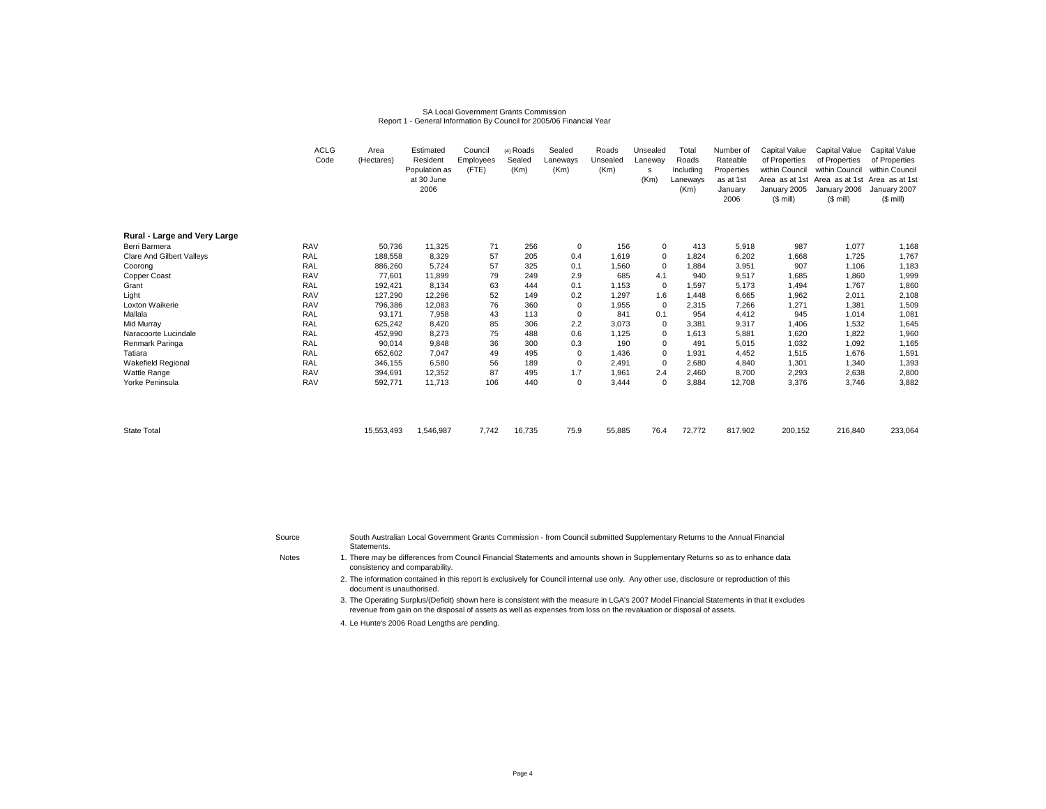#### SA Local Government Grants CommissionReport 1 - General Information By Council for 2005/06 Financial Year

|                                  | <b>ACLG</b><br>Code | Area<br>(Hectares) | Estimated<br>Resident<br>Population as<br>at 30 June<br>2006 | Council<br>Employees<br>(FTE) | (4) Roads<br>Sealed<br>(Km) | Sealed<br>Laneways<br>(Km) | Roads<br>Unsealed<br>(Km) | Unsealed<br>Laneway<br>s<br>(Km) | Total<br>Roads<br>Including<br>Laneways<br>(Km) | Number of<br>Rateable<br>Properties<br>as at 1st<br>January<br>2006 | <b>Capital Value</b><br>of Properties<br>within Council<br>January 2005<br>$($$ mill) | Capital Value<br>of Properties<br>within Council<br>Area as at 1st Area as at 1st Area as at 1st<br>January 2006<br>$(S \text{ mill})$ | <b>Capital Value</b><br>of Properties<br>within Council<br>January 2007<br>$(S \text{ mill})$ |
|----------------------------------|---------------------|--------------------|--------------------------------------------------------------|-------------------------------|-----------------------------|----------------------------|---------------------------|----------------------------------|-------------------------------------------------|---------------------------------------------------------------------|---------------------------------------------------------------------------------------|----------------------------------------------------------------------------------------------------------------------------------------|-----------------------------------------------------------------------------------------------|
| Rural - Large and Very Large     |                     |                    |                                                              |                               |                             |                            |                           |                                  |                                                 |                                                                     |                                                                                       |                                                                                                                                        |                                                                                               |
| Berri Barmera                    | <b>RAV</b>          | 50,736             | 11,325                                                       | 71                            | 256                         | 0                          | 156                       | $\mathbf 0$                      | 413                                             | 5,918                                                               | 987                                                                                   | 1,077                                                                                                                                  | 1,168                                                                                         |
| <b>Clare And Gilbert Valleys</b> | <b>RAL</b>          | 188.558            | 8.329                                                        | 57                            | 205                         | 0.4                        | 1.619                     | $\mathbf 0$                      | 1.824                                           | 6.202                                                               | 1.668                                                                                 | 1.725                                                                                                                                  | 1,767                                                                                         |
| Coorong                          | <b>RAL</b>          | 886,260            | 5,724                                                        | 57                            | 325                         | 0.1                        | 1.560                     | $\mathbf 0$                      | 1,884                                           | 3,951                                                               | 907                                                                                   | 1,106                                                                                                                                  | 1,183                                                                                         |
| Copper Coast                     | <b>RAV</b>          | 77,601             | 11.899                                                       | 79                            | 249                         | 2.9                        | 685                       | 4.1                              | 940                                             | 9,517                                                               | 1,685                                                                                 | 1,860                                                                                                                                  | 1,999                                                                                         |
| Grant                            | <b>RAL</b>          | 192,421            | 8,134                                                        | 63                            | 444                         | 0.1                        | 1,153                     | $\mathbf 0$                      | 1,597                                           | 5,173                                                               | 1,494                                                                                 | 1,767                                                                                                                                  | 1,860                                                                                         |
| Light                            | <b>RAV</b>          | 127,290            | 12.296                                                       | 52                            | 149                         | 0.2                        | 1.297                     | 1.6                              | 1.448                                           | 6,665                                                               | 1,962                                                                                 | 2,011                                                                                                                                  | 2,108                                                                                         |
| Loxton Waikerie                  | <b>RAV</b>          | 796,386            | 12,083                                                       | 76                            | 360                         | 0                          | 1,955                     | $\mathbf 0$                      | 2,315                                           | 7,266                                                               | 1,271                                                                                 | 1,381                                                                                                                                  | 1,509                                                                                         |
| Mallala                          | <b>RAL</b>          | 93,171             | 7,958                                                        | 43                            | 113                         | 0                          | 841                       | 0.1                              | 954                                             | 4,412                                                               | 945                                                                                   | 1,014                                                                                                                                  | 1,081                                                                                         |
| Mid Murray                       | RAL                 | 625,242            | 8,420                                                        | 85                            | 306                         | 2.2                        | 3,073                     | $\mathbf 0$                      | 3,381                                           | 9,317                                                               | 1,406                                                                                 | 1,532                                                                                                                                  | 1,645                                                                                         |
| Naracoorte Lucindale             | <b>RAL</b>          | 452,990            | 8.273                                                        | 75                            | 488                         | 0.6                        | 1,125                     | 0                                | 1,613                                           | 5,881                                                               | 1,620                                                                                 | 1,822                                                                                                                                  | 1,960                                                                                         |
| Renmark Paringa                  | <b>RAL</b>          | 90,014             | 9,848                                                        | 36                            | 300                         | 0.3                        | 190                       | $\mathbf 0$                      | 491                                             | 5,015                                                               | 1,032                                                                                 | 1,092                                                                                                                                  | 1,165                                                                                         |
| Tatiara                          | <b>RAL</b>          | 652,602            | 7.047                                                        | 49                            | 495                         | 0                          | 1,436                     | 0                                | 1,931                                           | 4,452                                                               | 1,515                                                                                 | 1,676                                                                                                                                  | 1,591                                                                                         |
| <b>Wakefield Regional</b>        | <b>RAL</b>          | 346,155            | 6,580                                                        | 56                            | 189                         | 0                          | 2.491                     | 0                                | 2,680                                           | 4,840                                                               | 1,301                                                                                 | 1,340                                                                                                                                  | 1,393                                                                                         |
| Wattle Range                     | <b>RAV</b>          | 394,691            | 12,352                                                       | 87                            | 495                         | 1.7                        | 1.961                     | 2.4                              | 2,460                                           | 8.700                                                               | 2,293                                                                                 | 2,638                                                                                                                                  | 2,800                                                                                         |
| Yorke Peninsula                  | <b>RAV</b>          | 592,771            | 11,713                                                       | 106                           | 440                         | $\mathbf 0$                | 3,444                     | $\mathbf 0$                      | 3,884                                           | 12,708                                                              | 3,376                                                                                 | 3,746                                                                                                                                  | 3,882                                                                                         |
| <b>State Total</b>               |                     | 15,553,493         | 1,546,987                                                    | 7,742                         | 16,735                      | 75.9                       | 55,885                    | 76.4                             | 72,772                                          | 817,902                                                             | 200,152                                                                               | 216,840                                                                                                                                | 233,064                                                                                       |

SourceSouth Australian Local Government Grants Commission - from Council submitted Supplementary Returns to the Annual Financial Statements.

**Notes** 

- There may be differences from Council Financial Statements and amounts shown in Supplementary Returns so as to enhance data consistency and comparability.
- 2. The information contained in this report is exclusively for Council internal use only. Any other use, disclosure or reproduction of this document is unauthorised.

3. The Operating Surplus/(Deficit) shown here is consistent with the measure in LGA's 2007 Model Financial Statements in that it excludes revenue from gain on the disposal of assets as well as expenses from loss on the revaluation or disposal of assets.

4. Le Hunte's 2006 Road Lengths are pending.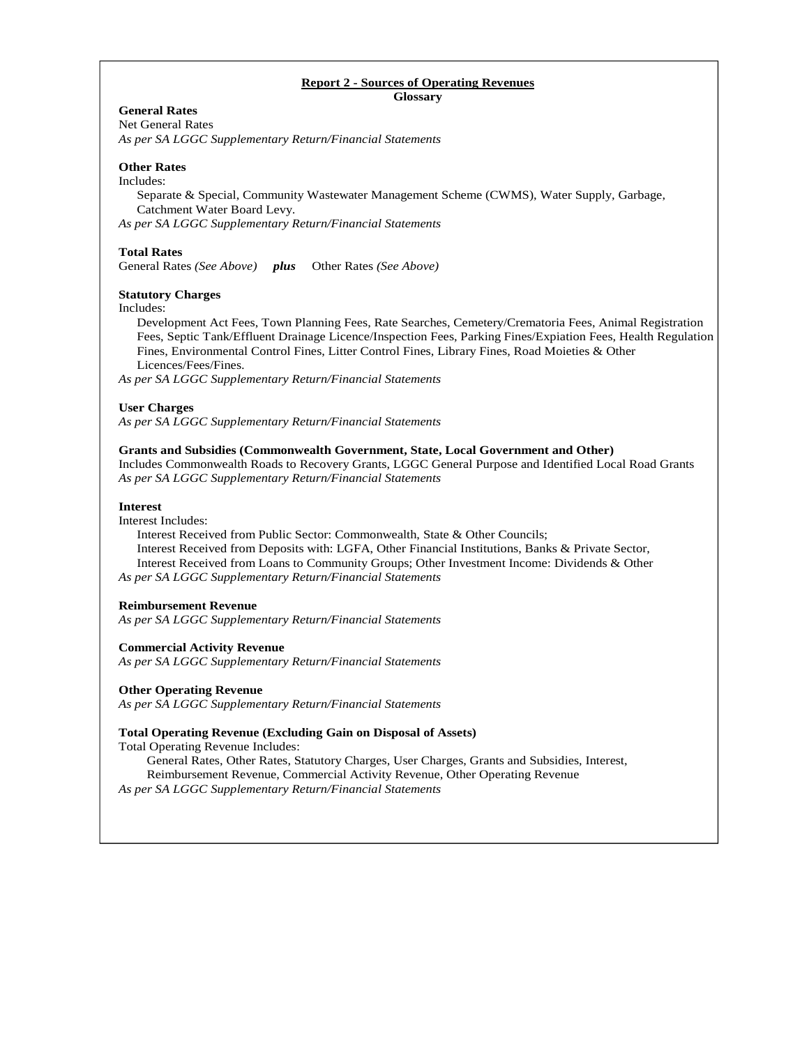# **Report 2 - Sources of Operating Revenues**

**Glossary** 

# **General Rates**

Net General Rates *As per SA LGGC Supplementary Return/Financial Statements* 

#### **Other Rates**

#### Includes:

Separate & Special, Community Wastewater Management Scheme (CWMS), Water Supply, Garbage, Catchment Water Board Levy.

*As per SA LGGC Supplementary Return/Financial Statements* 

#### **Total Rates**

General Rates *(See Above) plus* Other Rates *(See Above)* 

#### **Statutory Charges**

Includes:

 Development Act Fees, Town Planning Fees, Rate Searches, Cemetery/Crematoria Fees, Animal Registration Fees, Septic Tank/Effluent Drainage Licence/Inspection Fees, Parking Fines/Expiation Fees, Health Regulation Fines, Environmental Control Fines, Litter Control Fines, Library Fines, Road Moieties & Other Licences/Fees/Fines.

*As per SA LGGC Supplementary Return/Financial Statements* 

#### **User Charges**

*As per SA LGGC Supplementary Return/Financial Statements* 

#### **Grants and Subsidies (Commonwealth Government, State, Local Government and Other)**

Includes Commonwealth Roads to Recovery Grants, LGGC General Purpose and Identified Local Road Grants *As per SA LGGC Supplementary Return/Financial Statements* 

#### **Interest**

Interest Includes:

 Interest Received from Public Sector: Commonwealth, State & Other Councils; Interest Received from Deposits with: LGFA, Other Financial Institutions, Banks & Private Sector, Interest Received from Loans to Community Groups; Other Investment Income: Dividends & Other *As per SA LGGC Supplementary Return/Financial Statements* 

#### **Reimbursement Revenue**

*As per SA LGGC Supplementary Return/Financial Statements* 

#### **Commercial Activity Revenue**

*As per SA LGGC Supplementary Return/Financial Statements* 

#### **Other Operating Revenue**

*As per SA LGGC Supplementary Return/Financial Statements* 

#### **Total Operating Revenue (Excluding Gain on Disposal of Assets)**

Total Operating Revenue Includes:

General Rates, Other Rates, Statutory Charges, User Charges, Grants and Subsidies, Interest, Reimbursement Revenue, Commercial Activity Revenue, Other Operating Revenue *As per SA LGGC Supplementary Return/Financial Statements*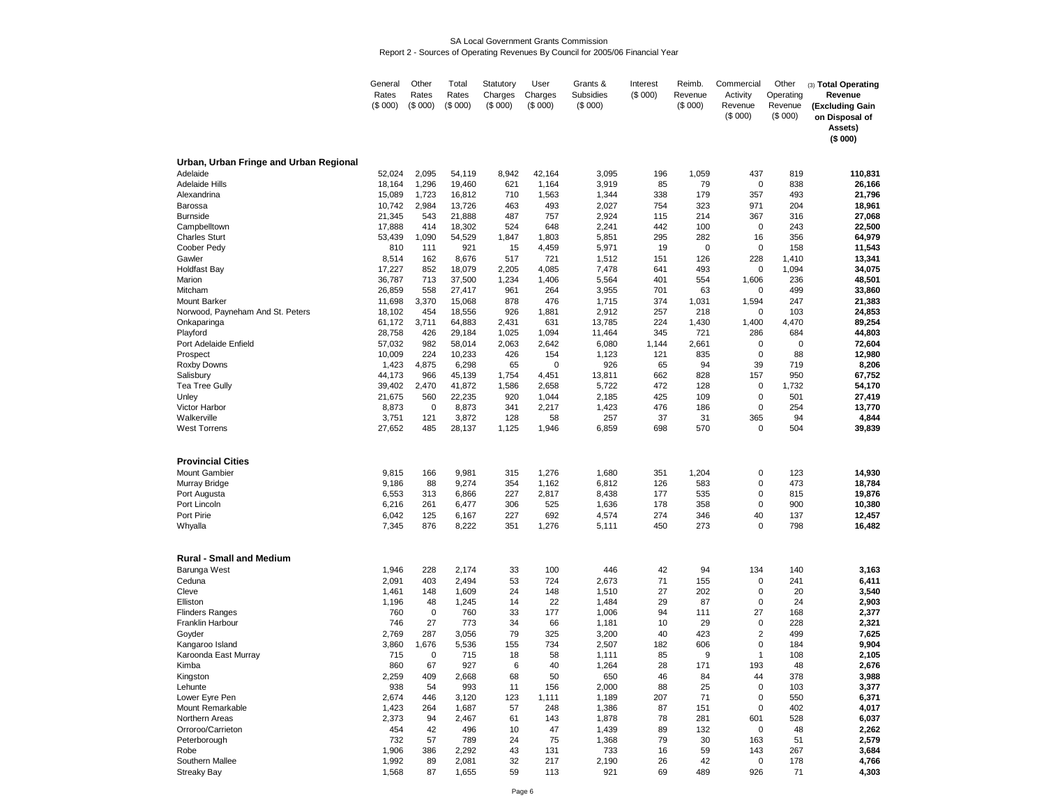#### SA Local Government Grants CommissionReport 2 - Sources of Operating Revenues By Council for 2005/06 Financial Year

|                                        | General         | Other        | Total           | Statutory    | User               | Grants &       | Interest  | Reimb.       | Commercial          | Other      | (3) Total Operating |
|----------------------------------------|-----------------|--------------|-----------------|--------------|--------------------|----------------|-----------|--------------|---------------------|------------|---------------------|
|                                        | Rates           | Rates        | Rates           | Charges      | Charges            | Subsidies      | (\$000)   | Revenue      | Activity            | Operating  | Revenue             |
|                                        | (S 000)         | (\$000)      | (\$000)         | (\$000)      | (\$000)            | (\$000)        |           | (\$000)      | Revenue             | Revenue    | (Excluding Gain     |
|                                        |                 |              |                 |              |                    |                |           |              | (\$000)             | (\$000)    | on Disposal of      |
|                                        |                 |              |                 |              |                    |                |           |              |                     |            | Assets)             |
|                                        |                 |              |                 |              |                    |                |           |              |                     |            | (\$000)             |
|                                        |                 |              |                 |              |                    |                |           |              |                     |            |                     |
| Urban, Urban Fringe and Urban Regional |                 |              |                 |              |                    |                |           |              |                     |            |                     |
| Adelaide                               | 52,024          | 2,095        | 54,119          | 8,942        | 42,164             | 3,095          | 196       | 1,059        | 437                 | 819        | 110,831             |
| <b>Adelaide Hills</b>                  | 18,164          | 1,296        | 19,460          | 621          | 1,164              | 3,919          | 85        | 79           | 0                   | 838        | 26,166              |
| Alexandrina                            | 15,089          | 1,723        | 16,812          | 710          | 1,563              | 1,344          | 338       | 179          | 357                 | 493        | 21,796              |
| Barossa                                | 10,742          | 2,984        | 13,726          | 463          | 493                | 2,027          | 754       | 323          | 971                 | 204        | 18,961              |
| <b>Burnside</b>                        | 21,345          | 543          | 21,888          | 487          | 757                | 2,924          | 115       | 214          | 367                 | 316        | 27,068              |
| Campbelltown                           | 17,888          | 414          | 18,302          | 524          | 648                | 2,241          | 442       | 100          | 0                   | 243        | 22,500              |
| <b>Charles Sturt</b>                   | 53,439          | 1,090        | 54,529          | 1,847        | 1,803              | 5,851          | 295       | 282          | 16                  | 356        | 64,979              |
| Coober Pedy                            | 810             | 111          | 921             | 15           | 4,459              | 5,971          | 19        | $\mathbf 0$  | 0                   | 158        | 11,543              |
| Gawler                                 | 8,514           | 162          | 8,676           | 517          | 721                | 1,512          | 151       | 126          | 228                 | 1,410      | 13,341              |
| Holdfast Bay                           | 17,227          | 852          | 18,079          | 2,205        | 4,085              | 7,478          | 641       | 493          | 0                   | 1,094      | 34,075              |
| Marion                                 | 36,787          | 713          | 37,500          | 1,234        | 1,406              | 5,564          | 401       | 554          | 1,606               | 236        | 48,501              |
| Mitcham                                | 26,859          | 558          | 27,417          | 961          | 264                | 3,955          | 701       | 63           | 0                   | 499        | 33,860              |
| <b>Mount Barker</b>                    | 11,698          | 3,370        | 15,068          | 878          | 476                | 1,715          | 374       | 1,031        | 1,594               | 247        | 21,383              |
| Norwood, Payneham And St. Peters       | 18,102          | 454          | 18,556          | 926          | 1,881              | 2,912          | 257       | 218          | 0                   | 103        | 24,853              |
| Onkaparinga                            | 61,172          | 3,711        | 64,883          | 2,431        | 631                | 13,785         | 224       | 1,430        | 1,400               | 4,470      | 89,254              |
| Playford                               | 28,758          | 426          | 29,184          | 1,025        | 1,094              | 11,464         | 345       | 721          | 286                 | 684        | 44,803              |
| Port Adelaide Enfield                  | 57,032          | 982<br>224   | 58,014          | 2,063<br>426 | 2,642              | 6,080          | 1,144     | 2,661<br>835 | 0<br>0              | 0<br>88    | 72,604              |
| Prospect                               | 10,009          |              | 10,233          | 65           | 154<br>$\mathbf 0$ | 1,123<br>926   | 121       | 94           | 39                  | 719        | 12,980              |
| Roxby Downs<br>Salisbury               | 1,423<br>44,173 | 4,875<br>966 | 6,298<br>45,139 | 1,754        | 4,451              | 13,811         | 65<br>662 | 828          | 157                 | 950        | 8,206<br>67,752     |
| <b>Tea Tree Gully</b>                  | 39,402          | 2,470        | 41,872          | 1,586        | 2,658              | 5,722          | 472       | 128          | 0                   | 1,732      | 54,170              |
| Unley                                  | 21,675          | 560          | 22,235          | 920          | 1,044              | 2,185          | 425       | 109          | 0                   | 501        | 27,419              |
| Victor Harbor                          | 8,873           | 0            | 8,873           | 341          | 2,217              | 1,423          | 476       | 186          | 0                   | 254        | 13,770              |
| Walkerville                            | 3,751           | 121          | 3,872           | 128          | 58                 | 257            | 37        | 31           | 365                 | 94         | 4,844               |
| <b>West Torrens</b>                    | 27,652          | 485          | 28,137          | 1,125        | 1,946              | 6,859          | 698       | 570          | 0                   | 504        | 39,839              |
|                                        |                 |              |                 |              |                    |                |           |              |                     |            |                     |
|                                        |                 |              |                 |              |                    |                |           |              |                     |            |                     |
| <b>Provincial Cities</b>               |                 |              |                 |              |                    |                |           |              |                     |            |                     |
| <b>Mount Gambier</b>                   | 9,815           | 166          | 9,981           | 315          | 1,276              | 1,680          | 351       | 1,204        | 0                   | 123        | 14,930              |
| Murray Bridge                          | 9,186           | 88           | 9,274           | 354          | 1,162              | 6,812          | 126       | 583          | 0                   | 473        | 18,784              |
| Port Augusta                           | 6,553           | 313          | 6,866           | 227          | 2,817              | 8,438          | 177       | 535          | 0                   | 815        | 19,876              |
| Port Lincoln                           | 6,216           | 261          | 6,477           | 306          | 525                | 1,636          | 178       | 358          | 0                   | 900        | 10,380              |
| Port Pirie                             | 6,042           | 125          | 6,167           | 227          | 692                | 4,574          | 274       | 346          | 40                  | 137        | 12,457              |
| Whyalla                                | 7,345           | 876          | 8,222           | 351          | 1,276              | 5,111          | 450       | 273          | 0                   | 798        | 16,482              |
|                                        |                 |              |                 |              |                    |                |           |              |                     |            |                     |
|                                        |                 |              |                 |              |                    |                |           |              |                     |            |                     |
| <b>Rural - Small and Medium</b>        |                 |              |                 |              |                    |                |           |              |                     |            |                     |
| Barunga West                           | 1,946           | 228          | 2,174           | 33           | 100                | 446            | 42        | 94           | 134                 | 140        | 3,163               |
| Ceduna                                 | 2,091           | 403          | 2,494           | 53           | 724                | 2,673          | 71        | 155          | 0                   | 241        | 6,411               |
| Cleve                                  | 1,461           | 148          | 1,609           | 24           | 148                | 1,510          | 27        | 202          | 0                   | 20         | 3,540               |
| Elliston                               | 1,196           | 48           | 1,245           | 14           | 22                 | 1,484          | 29        | 87           | 0                   | 24         | 2,903               |
| <b>Flinders Ranges</b>                 | 760             | 0            | 760             | 33           | 177                | 1,006          | 94        | 111          | 27                  | 168        | 2,377               |
| Franklin Harbour                       | 746             | 27           | 773             | 34<br>79     | 66<br>325          | 1,181          | 10        | 29           | 0<br>$\overline{2}$ | 228        | 2,321               |
| Goyder                                 | 2,769           | 287          | 3,056           | 155          | 734                | 3,200          | 40<br>182 | 423<br>606   | 0                   | 499<br>184 | 7,625<br>9,904      |
| Kangaroo Island                        | 3,860           | 1,676        | 5,536           |              |                    | 2,507          |           | 9            |                     |            |                     |
| Karoonda East Murray<br>Kimba          | 715<br>860      | 0<br>67      | 715<br>927      | 18<br>6      | 58<br>40           | 1,111<br>1,264 | 85<br>28  | 171          | $\mathbf{1}$<br>193 | 108<br>48  | 2,105<br>2,676      |
|                                        |                 | 409          |                 | 68           | 50                 |                | 46        | 84           | 44                  | 378        |                     |
| Kingston<br>Lehunte                    | 2,259<br>938    | 54           | 2,668<br>993    | 11           | 156                | 650<br>2,000   | 88        | 25           | 0                   | 103        | 3,988<br>3,377      |
| Lower Eyre Pen                         | 2,674           | 446          | 3,120           | 123          | 1,111              | 1,189          | 207       | 71           | 0                   | 550        | 6,371               |
| Mount Remarkable                       | 1,423           | 264          | 1,687           | 57           | 248                | 1,386          | 87        | 151          | 0                   | 402        | 4,017               |
| Northern Areas                         | 2,373           | 94           | 2,467           | 61           | 143                | 1,878          | 78        | 281          | 601                 | 528        | 6,037               |
| Orroroo/Carrieton                      | 454             | 42           | 496             | 10           | 47                 | 1,439          | 89        | 132          | 0                   | 48         | 2,262               |
| Peterborough                           | 732             | 57           | 789             | 24           | 75                 | 1,368          | 79        | 30           | 163                 | 51         | 2,579               |
| Robe                                   | 1,906           | 386          | 2,292           | 43           | 131                | 733            | 16        | 59           | 143                 | 267        | 3,684               |
| Southern Mallee                        | 1,992           | 89           | 2,081           | 32           | 217                | 2,190          | 26        | 42           | 0                   | 178        | 4,766               |
| <b>Streaky Bay</b>                     | 1,568           | 87           | 1,655           | 59           | 113                | 921            | 69        | 489          | 926                 | 71         | 4,303               |
|                                        |                 |              |                 |              |                    |                |           |              |                     |            |                     |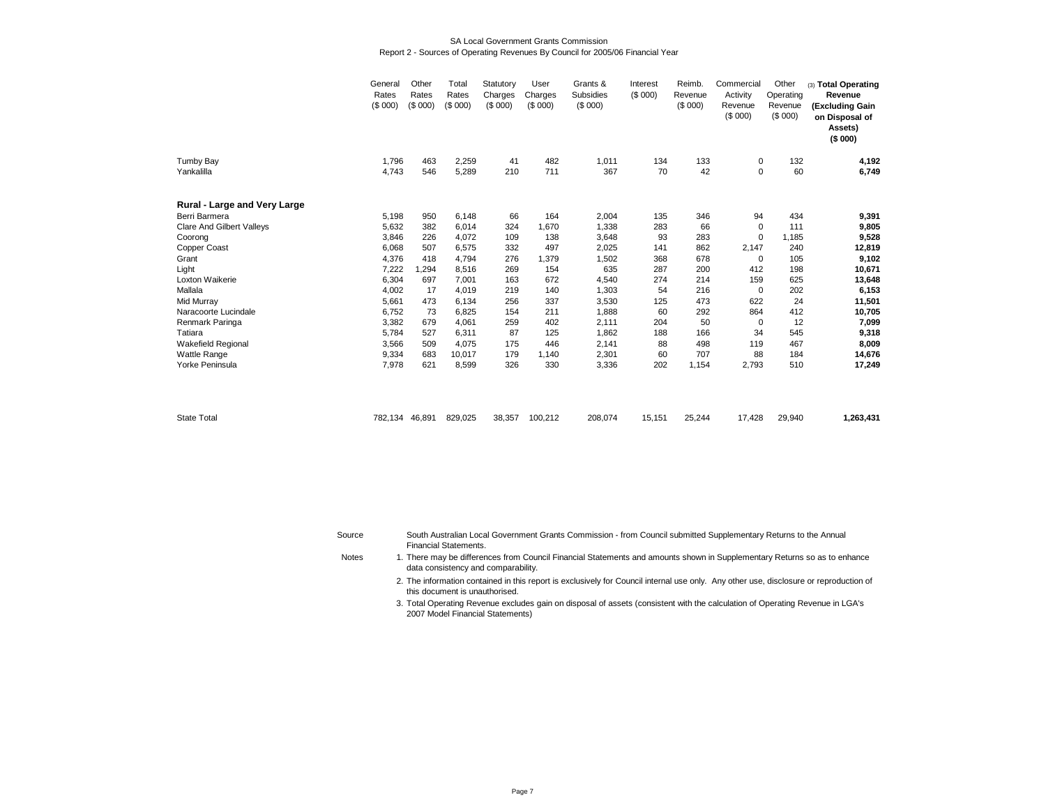#### SA Local Government Grants CommissionReport 2 - Sources of Operating Revenues By Council for 2005/06 Financial Year

|                                  | General<br>Rates<br>(\$000) | Other<br>Rates<br>(S 000) | Total<br>Rates<br>(\$000) | Statutory<br>Charges<br>(S 000) | User<br>Charges<br>(S 000) | Grants &<br>Subsidies<br>(\$000) | Interest<br>(\$000) | Reimb.<br>Revenue<br>(S 000) | Commercial<br>Activity<br>Revenue<br>(\$000) | Other<br>Operating<br>Revenue<br>(\$000) | (3) Total Operating<br>Revenue<br>(Excluding Gain<br>on Disposal of<br>Assets)<br>(\$000) |
|----------------------------------|-----------------------------|---------------------------|---------------------------|---------------------------------|----------------------------|----------------------------------|---------------------|------------------------------|----------------------------------------------|------------------------------------------|-------------------------------------------------------------------------------------------|
| <b>Tumby Bay</b>                 | 1,796                       | 463                       | 2,259                     | 41                              | 482                        | 1,011                            | 134                 | 133                          | 0                                            | 132                                      | 4,192                                                                                     |
| Yankalilla                       | 4,743                       | 546                       | 5,289                     | 210                             | 711                        | 367                              | 70                  | 42                           | $\mathbf 0$                                  | 60                                       | 6,749                                                                                     |
| Rural - Large and Very Large     |                             |                           |                           |                                 |                            |                                  |                     |                              |                                              |                                          |                                                                                           |
| Berri Barmera                    | 5,198                       | 950                       | 6,148                     | 66                              | 164                        | 2,004                            | 135                 | 346                          | 94                                           | 434                                      | 9,391                                                                                     |
| <b>Clare And Gilbert Valleys</b> | 5,632                       | 382                       | 6,014                     | 324                             | 1,670                      | 1,338                            | 283                 | 66                           | 0                                            | 111                                      | 9,805                                                                                     |
| Coorong                          | 3,846                       | 226                       | 4,072                     | 109                             | 138                        | 3,648                            | 93                  | 283                          | 0                                            | 1,185                                    | 9,528                                                                                     |
| Copper Coast                     | 6,068                       | 507                       | 6,575                     | 332                             | 497                        | 2,025                            | 141                 | 862                          | 2,147                                        | 240                                      | 12,819                                                                                    |
| Grant                            | 4,376                       | 418                       | 4,794                     | 276                             | 1,379                      | 1,502                            | 368                 | 678                          | 0                                            | 105                                      | 9,102                                                                                     |
| Light                            | 7,222                       | .294                      | 8,516                     | 269                             | 154                        | 635                              | 287                 | 200                          | 412                                          | 198                                      | 10,671                                                                                    |
| Loxton Waikerie                  | 6,304                       | 697                       | 7,001                     | 163                             | 672                        | 4,540                            | 274                 | 214                          | 159                                          | 625                                      | 13,648                                                                                    |
| Mallala                          | 4,002                       | 17                        | 4.019                     | 219                             | 140                        | 1,303                            | 54                  | 216                          | 0                                            | 202                                      | 6,153                                                                                     |
| Mid Murray                       | 5,661                       | 473                       | 6,134                     | 256                             | 337                        | 3,530                            | 125                 | 473                          | 622                                          | 24                                       | 11,501                                                                                    |
| Naracoorte Lucindale             | 6,752                       | 73                        | 6,825                     | 154                             | 211                        | 1,888                            | 60                  | 292                          | 864                                          | 412                                      | 10,705                                                                                    |
| Renmark Paringa                  | 3,382                       | 679                       | 4,061                     | 259                             | 402                        | 2,111                            | 204                 | 50                           | 0                                            | 12                                       | 7,099                                                                                     |
| Tatiara                          | 5,784                       | 527                       | 6,311                     | 87                              | 125                        | 1,862                            | 188                 | 166                          | 34                                           | 545                                      | 9,318                                                                                     |
| <b>Wakefield Regional</b>        | 3,566                       | 509                       | 4,075                     | 175                             | 446                        | 2,141                            | 88                  | 498                          | 119                                          | 467                                      | 8,009                                                                                     |
| <b>Wattle Range</b>              | 9,334                       | 683                       | 10,017                    | 179                             | 1,140                      | 2,301                            | 60                  | 707                          | 88                                           | 184                                      | 14,676                                                                                    |
| Yorke Peninsula                  | 7,978                       | 621                       | 8,599                     | 326                             | 330                        | 3,336                            | 202                 | 1,154                        | 2,793                                        | 510                                      | 17,249                                                                                    |
| <b>State Total</b>               | 782,134                     | 46,891                    | 829,025                   | 38,357                          | 100,212                    | 208,074                          | 15,151              | 25,244                       | 17,428                                       | 29,940                                   | 1,263,431                                                                                 |

| Source       | South Australian Local Government Grants Commission - from Council submitted Supplementary Returns to the Annual         |
|--------------|--------------------------------------------------------------------------------------------------------------------------|
|              | Financial Statements.                                                                                                    |
| <b>Notes</b> | 1. There may be differences from Council Financial Statements and amounts shown in Supplementary Returns so as to enhare |

There may be differences from Council Financial Statements and amounts shown in Supplementary Returns so as to enhance data consistency and comparability.

2. The information contained in this report is exclusively for Council internal use only. Any other use, disclosure or reproduction of this document is unauthorised.

3. Total Operating Revenue excludes gain on disposal of assets (consistent with the calculation of Operating Revenue in LGA's 2007 Model Financial Statements)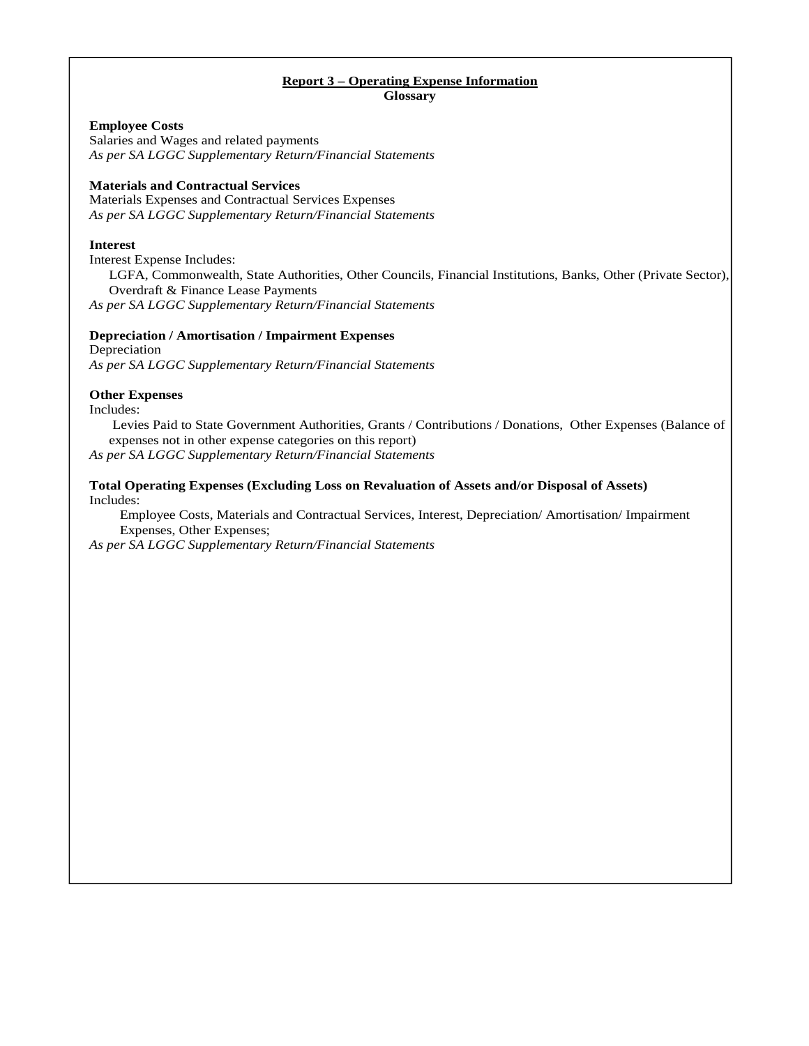#### **Report 3 – Operating Expense Information Glossary**

### **Employee Costs**

Salaries and Wages and related payments *As per SA LGGC Supplementary Return/Financial Statements*

# **Materials and Contractual Services**

Materials Expenses and Contractual Services Expenses *As per SA LGGC Supplementary Return/Financial Statements* 

### **Interest**

Interest Expense Includes: LGFA, Commonwealth, State Authorities, Other Councils, Financial Institutions, Banks, Other (Private Sector), Overdraft & Finance Lease Payments *As per SA LGGC Supplementary Return/Financial Statements*

# **Depreciation / Amortisation / Impairment Expenses**

Depreciation *As per SA LGGC Supplementary Return/Financial Statements*

### **Other Expenses**

Includes:

 Levies Paid to State Government Authorities, Grants / Contributions / Donations, Other Expenses (Balance of expenses not in other expense categories on this report)

*As per SA LGGC Supplementary Return/Financial Statements* 

### **Total Operating Expenses (Excluding Loss on Revaluation of Assets and/or Disposal of Assets)**  Includes:

 Employee Costs, Materials and Contractual Services, Interest, Depreciation/ Amortisation/ Impairment Expenses, Other Expenses;

*As per SA LGGC Supplementary Return/Financial Statements*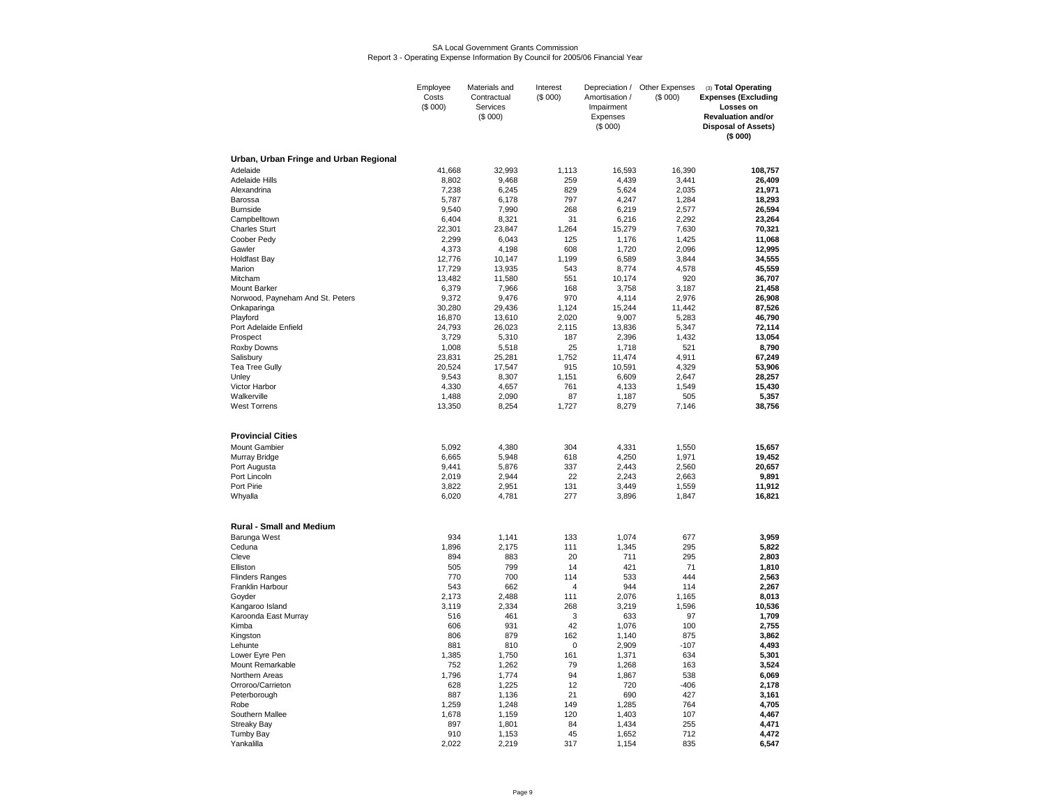#### SA Local Government Grants CommissionReport 3 - Operating Expense Information By Council for 2005/06 Financial Year

|                                        | Employee<br>Costs | Materials and<br>Contractual | Interest<br>(\$000) | Depreciation /<br>Amortisation /  | Other Expenses<br>(\$000) | (3) Total Operating<br><b>Expenses (Excluding</b>                               |
|----------------------------------------|-------------------|------------------------------|---------------------|-----------------------------------|---------------------------|---------------------------------------------------------------------------------|
|                                        | (\$000)           | Services<br>(\$000)          |                     | Impairment<br>Expenses<br>(\$000) |                           | Losses on<br><b>Revaluation and/or</b><br><b>Disposal of Assets)</b><br>(\$000) |
| Urban, Urban Fringe and Urban Regional |                   |                              |                     |                                   |                           |                                                                                 |
| Adelaide                               | 41,668            | 32,993                       | 1,113               | 16,593                            | 16,390                    | 108,757                                                                         |
| <b>Adelaide Hills</b>                  | 8,802             | 9,468                        | 259                 | 4,439                             | 3,441                     | 26,409                                                                          |
| Alexandrina                            | 7,238             | 6,245                        | 829                 | 5,624                             | 2,035                     | 21,971                                                                          |
| Barossa                                | 5,787             | 6,178                        | 797                 | 4,247                             | 1,284                     | 18,293                                                                          |
| <b>Burnside</b><br>Campbelltown        | 9,540<br>6,404    | 7,990<br>8,321               | 268<br>31           | 6,219<br>6,216                    | 2,577<br>2,292            | 26,594<br>23,264                                                                |
| <b>Charles Sturt</b>                   | 22,301            | 23,847                       | 1,264               | 15,279                            | 7,630                     | 70,321                                                                          |
| Coober Pedy                            | 2,299             | 6,043                        | 125                 | 1,176                             | 1,425                     | 11,068                                                                          |
| Gawler                                 | 4,373             | 4,198                        | 608                 | 1,720                             | 2,096                     | 12,995                                                                          |
| <b>Holdfast Bay</b>                    | 12.776            | 10,147                       | 1.199               | 6.589                             | 3,844                     | 34.555                                                                          |
| Marion                                 | 17,729            | 13,935                       | 543                 | 8,774                             | 4,578                     | 45,559                                                                          |
| Mitcham                                | 13,482            | 11,580                       | 551                 | 10,174                            | 920                       | 36,707                                                                          |
| Mount Barker                           | 6,379             | 7,966                        | 168                 | 3,758                             | 3,187                     | 21,458                                                                          |
| Norwood, Payneham And St. Peters       | 9,372             | 9,476                        | 970                 | 4,114                             | 2,976                     | 26,908                                                                          |
| Onkaparinga                            | 30,280            | 29,436                       | 1,124               | 15,244                            | 11,442                    | 87,526                                                                          |
| Playford<br>Port Adelaide Enfield      | 16,870<br>24,793  | 13,610<br>26,023             | 2,020<br>2,115      | 9,007<br>13,836                   | 5,283<br>5,347            | 46,790<br>72,114                                                                |
| Prospect                               | 3,729             | 5,310                        | 187                 | 2,396                             | 1,432                     | 13,054                                                                          |
| Roxby Downs                            | 1,008             | 5,518                        | 25                  | 1,718                             | 521                       | 8,790                                                                           |
| Salisbury                              | 23,831            | 25,281                       | 1.752               | 11,474                            | 4,911                     | 67,249                                                                          |
| Tea Tree Gully                         | 20,524            | 17,547                       | 915                 | 10,591                            | 4,329                     | 53,906                                                                          |
| Unley                                  | 9,543             | 8,307                        | 1,151               | 6,609                             | 2,647                     | 28,257                                                                          |
| Victor Harbor                          | 4,330             | 4,657                        | 761                 | 4,133                             | 1,549                     | 15,430                                                                          |
| Walkerville                            | 1,488             | 2,090                        | 87                  | 1,187                             | 505                       | 5,357                                                                           |
| <b>West Torrens</b>                    | 13,350            | 8,254                        | 1,727               | 8,279                             | 7,146                     | 38,756                                                                          |
| <b>Provincial Cities</b>               |                   |                              |                     |                                   |                           |                                                                                 |
| Mount Gambier                          | 5,092             | 4,380                        | 304                 | 4,331                             | 1,550                     | 15,657                                                                          |
| Murray Bridge                          | 6,665             | 5,948                        | 618                 | 4,250                             | 1,971                     | 19,452                                                                          |
| Port Augusta<br>Port Lincoln           | 9,441<br>2,019    | 5,876<br>2,944               | 337<br>22           | 2,443<br>2,243                    | 2,560<br>2,663            | 20,657<br>9,891                                                                 |
| Port Pirie                             | 3,822             | 2,951                        | 131                 | 3,449                             | 1,559                     | 11,912                                                                          |
| Whyalla                                | 6,020             | 4,781                        | 277                 | 3,896                             | 1,847                     | 16,821                                                                          |
|                                        |                   |                              |                     |                                   |                           |                                                                                 |
| <b>Rural - Small and Medium</b>        |                   |                              |                     |                                   |                           |                                                                                 |
| Barunga West                           | 934               | 1,141                        | 133                 | 1,074                             | 677                       | 3,959                                                                           |
| Ceduna<br>Cleve                        | 1,896<br>894      | 2,175<br>883                 | 111<br>20           | 1,345<br>711                      | 295<br>295                | 5,822                                                                           |
| Elliston                               | 505               | 799                          | 14                  | 421                               | 71                        | 2,803<br>1,810                                                                  |
| <b>Flinders Ranges</b>                 | 770               | 700                          | 114                 | 533                               | 444                       | 2,563                                                                           |
| Franklin Harbour                       | 543               | 662                          | $\overline{4}$      | 944                               | 114                       | 2,267                                                                           |
| Goyder                                 | 2,173             | 2,488                        | 111                 | 2,076                             | 1,165                     | 8,013                                                                           |
| Kangaroo Island                        | 3,119             | 2,334                        | 268                 | 3,219                             | 1,596                     | 10,536                                                                          |
| Karoonda East Murray                   | 516               | 461                          | 3                   | 633                               | 97                        | 1,709                                                                           |
| Kimba                                  | 606               | 931                          | 42                  | 1,076                             | 100                       | 2,755                                                                           |
| Kingston                               | 806               | 879                          | 162                 | 1,140                             | 875                       | 3,862                                                                           |
| Lehunte                                | 881               | 810                          | 0<br>161            | 2,909                             | $-107$                    | 4,493                                                                           |
| Lower Eyre Pen<br>Mount Remarkable     | 1,385<br>752      | 1,750<br>1,262               | 79                  | 1,371<br>1,268                    | 634<br>163                | 5,301<br>3,524                                                                  |
| Northern Areas                         | 1,796             | 1.774                        | 94                  | 1.867                             | 538                       | 6.069                                                                           |
| Orroroo/Carrieton                      | 628               | 1,225                        | 12                  | 720                               | $-406$                    | 2.178                                                                           |
| Peterborough                           | 887               | 1,136                        | 21                  | 690                               | 427                       | 3,161                                                                           |
| Robe                                   | 1,259             | 1,248                        | 149                 | 1,285                             | 764                       | 4,705                                                                           |
| Southern Mallee                        | 1,678             | 1,159                        | 120                 | 1,403                             | 107                       | 4,467                                                                           |
| <b>Streaky Bay</b>                     | 897               | 1.801                        | 84                  | 1.434                             | 255                       | 4.471                                                                           |
| Tumby Bay                              | 910               | 1,153                        | 45                  | 1,652                             | 712                       | 4,472                                                                           |
| Yankalilla                             | 2,022             | 2,219                        | 317                 | 1,154                             | 835                       | 6,547                                                                           |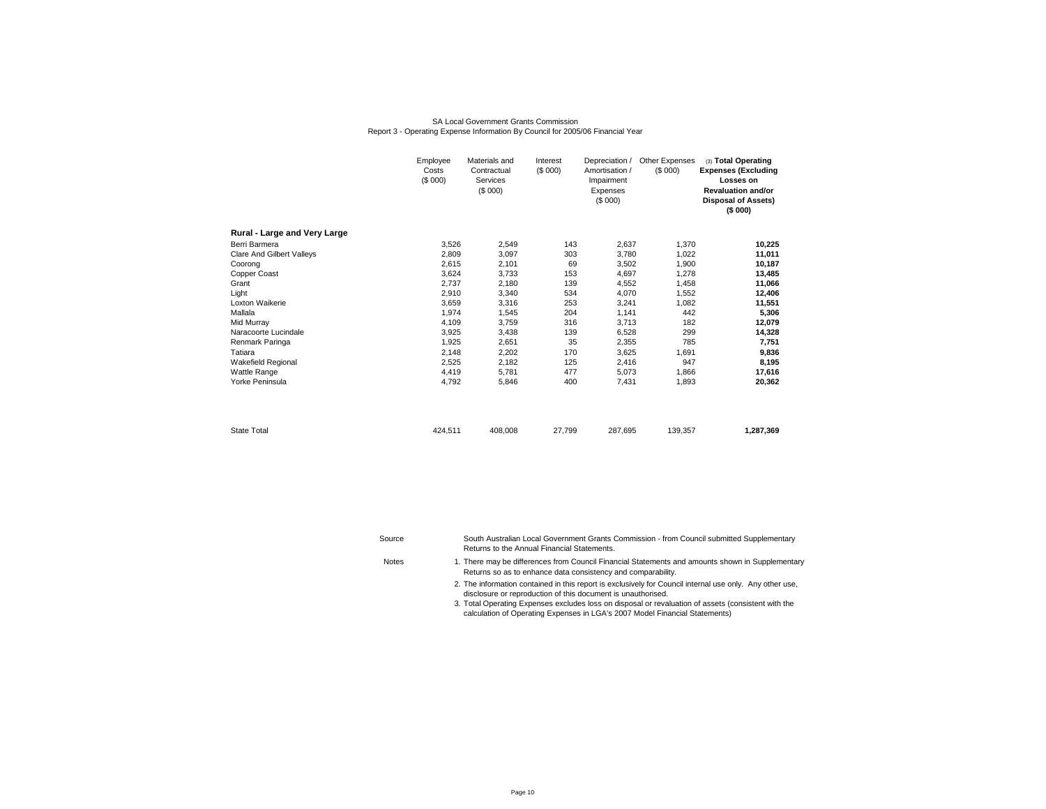#### SA Local Government Grants CommissionReport 3 - Operating Expense Information By Council for 2005/06 Financial Year

|                                  | Employee<br>Costs<br>(\$000) | Materials and<br>Contractual<br>Services<br>(\$000) | Interest<br>(\$000) | Depreciation /<br>Amortisation /<br>Impairment<br>Expenses<br>(\$000) | Other Expenses<br>(S 000) | (3) Total Operating<br><b>Expenses (Excluding</b><br>Losses on<br><b>Revaluation and/or</b><br><b>Disposal of Assets)</b><br>(\$000) |
|----------------------------------|------------------------------|-----------------------------------------------------|---------------------|-----------------------------------------------------------------------|---------------------------|--------------------------------------------------------------------------------------------------------------------------------------|
| Rural - Large and Very Large     |                              |                                                     |                     |                                                                       |                           |                                                                                                                                      |
| Berri Barmera                    | 3,526                        | 2,549                                               | 143                 | 2,637                                                                 | 1,370                     | 10,225                                                                                                                               |
| <b>Clare And Gilbert Valleys</b> | 2.809                        | 3,097                                               | 303                 | 3,780                                                                 | 1,022                     | 11,011                                                                                                                               |
| Coorong                          | 2,615                        | 2,101                                               | 69                  | 3,502                                                                 | 1,900                     | 10,187                                                                                                                               |
| Copper Coast                     | 3.624                        | 3,733                                               | 153                 | 4,697                                                                 | 1.278                     | 13,485                                                                                                                               |
| Grant                            | 2.737                        | 2.180                                               | 139                 | 4,552                                                                 | 1,458                     | 11,066                                                                                                                               |
| Light                            | 2,910                        | 3,340                                               | 534                 | 4,070                                                                 | 1.552                     | 12,406                                                                                                                               |
| Loxton Waikerie                  | 3,659                        | 3,316                                               | 253                 | 3,241                                                                 | 1,082                     | 11,551                                                                                                                               |
| Mallala                          | 1,974                        | 1,545                                               | 204                 | 1,141                                                                 | 442                       | 5,306                                                                                                                                |
| Mid Murray                       | 4,109                        | 3,759                                               | 316                 | 3,713                                                                 | 182                       | 12,079                                                                                                                               |
| Naracoorte Lucindale             | 3,925                        | 3,438                                               | 139                 | 6,528                                                                 | 299                       | 14,328                                                                                                                               |
| Renmark Paringa                  | 1,925                        | 2,651                                               | 35                  | 2,355                                                                 | 785                       | 7,751                                                                                                                                |
| Tatiara                          | 2,148                        | 2,202                                               | 170                 | 3,625                                                                 | 1,691                     | 9,836                                                                                                                                |
| Wakefield Regional               | 2,525                        | 2,182                                               | 125                 | 2,416                                                                 | 947                       | 8,195                                                                                                                                |
| Wattle Range                     | 4,419                        | 5,781                                               | 477                 | 5,073                                                                 | 1,866                     | 17,616                                                                                                                               |
| Yorke Peninsula                  | 4,792                        | 5,846                                               | 400                 | 7,431                                                                 | 1,893                     | 20,362                                                                                                                               |
| <b>State Total</b>               | 424.511                      | 408,008                                             | 27,799              | 287,695                                                               | 139,357                   | 1,287,369                                                                                                                            |

Source**Notes** 

South Australian Local Government Grants Commission - from Council submitted Supplementary Returns to the Annual Financial Statements.

- There may be differences from Council Financial Statements and amounts shown in Supplementary Returns so as to enhance data consistency and comparability.
	- 2. The information contained in this report is exclusively for Council internal use only. Any other use,disclosure or reproduction of this document is unauthorised.
	- 3. Total Operating Expenses excludes loss on disposal or revaluation of assets (consistent with the calculation of Operating Expenses in LGA's 2007 Model Financial Statements)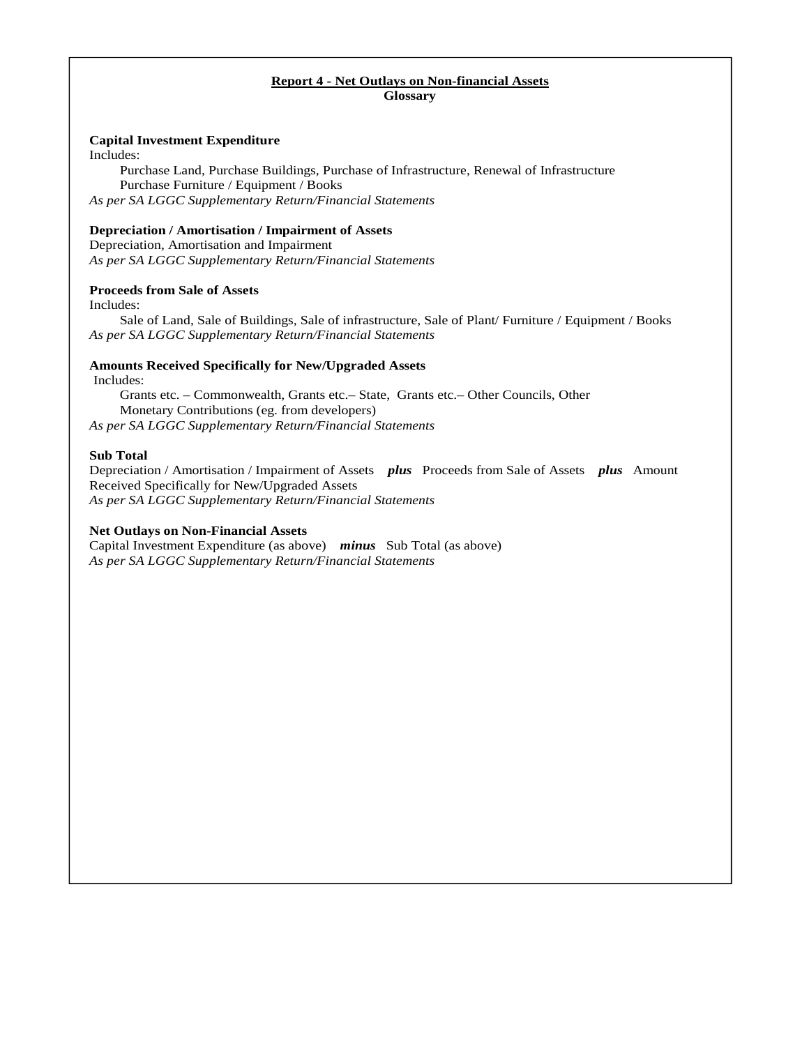### **Report 4 - Net Outlays on Non-financial Assets Glossary**

### **Capital Investment Expenditure**

Includes:

Purchase Land, Purchase Buildings, Purchase of Infrastructure, Renewal of Infrastructure Purchase Furniture / Equipment / Books *As per SA LGGC Supplementary Return/Financial Statements*

### **Depreciation / Amortisation / Impairment of Assets**

Depreciation, Amortisation and Impairment *As per SA LGGC Supplementary Return/Financial Statements*

# **Proceeds from Sale of Assets**

Includes:

Sale of Land, Sale of Buildings, Sale of infrastructure, Sale of Plant/ Furniture / Equipment / Books *As per SA LGGC Supplementary Return/Financial Statements* 

# **Amounts Received Specifically for New/Upgraded Assets**

Includes:

Grants etc. – Commonwealth, Grants etc.– State,Grants etc.– Other Councils, Other Monetary Contributions (eg. from developers) *As per SA LGGC Supplementary Return/Financial Statements* 

### **Sub Total**

Depreciation / Amortisation / Impairment of Assets *plus* Proceeds from Sale of Assets *plus* Amount Received Specifically for New/Upgraded Assets *As per SA LGGC Supplementary Return/Financial Statements* 

# **Net Outlays on Non-Financial Assets**

Capital Investment Expenditure (as above) *minus* Sub Total (as above) *As per SA LGGC Supplementary Return/Financial Statements*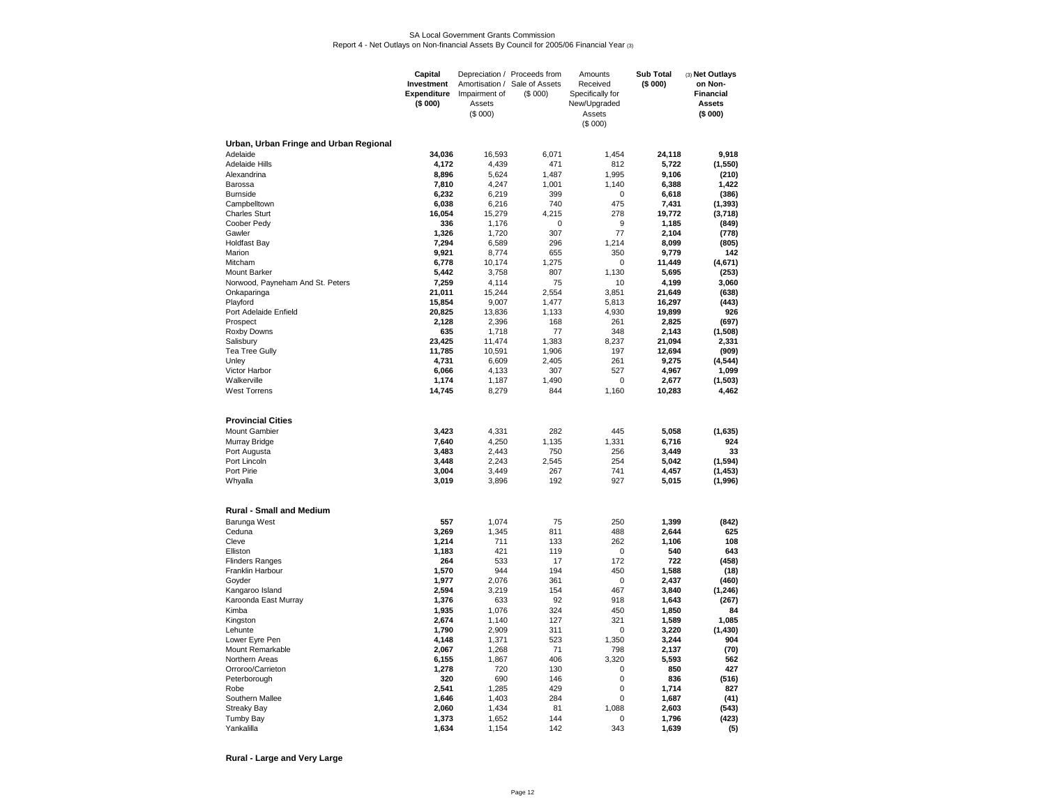#### SA Local Government Grants CommissionReport 4 - Net Outlays on Non-financial Assets By Council for 2005/06 Financial Year (3)

|                                        | Capital<br>Investment<br><b>Expenditure</b><br>(\$000) | Impairment of<br>Assets<br>(S 000) | Depreciation / Proceeds from<br>Amortisation / Sale of Assets<br>(S 000) | Amounts<br>Received<br>Specifically for<br>New/Upgraded<br>Assets<br>(\$000) | <b>Sub Total</b><br>(\$000) | (3) Net Outlays<br>on Non-<br><b>Financial</b><br><b>Assets</b><br>(\$000) |
|----------------------------------------|--------------------------------------------------------|------------------------------------|--------------------------------------------------------------------------|------------------------------------------------------------------------------|-----------------------------|----------------------------------------------------------------------------|
| Urban, Urban Fringe and Urban Regional |                                                        |                                    |                                                                          |                                                                              |                             |                                                                            |
| Adelaide                               | 34.036                                                 | 16.593                             | 6.071                                                                    | 1.454                                                                        | 24.118                      | 9.918                                                                      |
| <b>Adelaide Hills</b>                  | 4,172                                                  | 4,439                              | 471                                                                      | 812                                                                          | 5,722                       | (1, 550)                                                                   |
| Alexandrina                            | 8,896                                                  | 5,624                              | 1,487                                                                    | 1,995                                                                        | 9,106                       | (210)                                                                      |
| Barossa<br><b>Burnside</b>             | 7,810<br>6,232                                         | 4,247<br>6,219                     | 1,001<br>399                                                             | 1,140<br>0                                                                   | 6,388<br>6,618              | 1,422<br>(386)                                                             |
| Campbelltown                           | 6,038                                                  | 6,216                              | 740                                                                      | 475                                                                          | 7,431                       | (1, 393)                                                                   |
| <b>Charles Sturt</b>                   | 16,054                                                 | 15,279                             | 4,215                                                                    | 278                                                                          | 19,772                      | (3,718)                                                                    |
| Coober Pedy                            | 336                                                    | 1,176                              | $\Omega$                                                                 | 9                                                                            | 1,185                       | (849)                                                                      |
| Gawler                                 | 1,326                                                  | 1,720                              | 307                                                                      | 77                                                                           | 2,104                       | (778)                                                                      |
| <b>Holdfast Bay</b>                    | 7,294                                                  | 6,589                              | 296                                                                      | 1,214                                                                        | 8,099                       | (805)                                                                      |
| Marion<br>Mitcham                      | 9,921<br>6,778                                         | 8,774<br>10,174                    | 655<br>1,275                                                             | 350<br>0                                                                     | 9,779<br>11,449             | 142<br>(4,671)                                                             |
| Mount Barker                           | 5,442                                                  | 3,758                              | 807                                                                      | 1,130                                                                        | 5,695                       | (253)                                                                      |
| Norwood, Payneham And St. Peters       | 7,259                                                  | 4,114                              | 75                                                                       | 10                                                                           | 4,199                       | 3,060                                                                      |
| Onkaparinga                            | 21,011                                                 | 15,244                             | 2,554                                                                    | 3,851                                                                        | 21,649                      | (638)                                                                      |
| Playford                               | 15,854                                                 | 9,007                              | 1,477                                                                    | 5,813                                                                        | 16,297                      | (443)                                                                      |
| Port Adelaide Enfield<br>Prospect      | 20,825<br>2.128                                        | 13,836<br>2,396                    | 1,133<br>168                                                             | 4,930<br>261                                                                 | 19.899<br>2.825             | 926<br>(697)                                                               |
| Roxby Downs                            | 635                                                    | 1,718                              | 77                                                                       | 348                                                                          | 2,143                       | (1,508)                                                                    |
| Salisbury                              | 23,425                                                 | 11,474                             | 1,383                                                                    | 8,237                                                                        | 21,094                      | 2,331                                                                      |
| <b>Tea Tree Gully</b>                  | 11,785                                                 | 10,591                             | 1,906                                                                    | 197                                                                          | 12,694                      | (909)                                                                      |
| Unley                                  | 4,731                                                  | 6,609                              | 2,405                                                                    | 261                                                                          | 9,275                       | (4, 544)                                                                   |
| Victor Harbor                          | 6.066                                                  | 4.133                              | 307                                                                      | 527                                                                          | 4,967                       | 1,099                                                                      |
| Walkerville<br><b>West Torrens</b>     | 1,174<br>14,745                                        | 1,187<br>8,279                     | 1,490<br>844                                                             | 0<br>1,160                                                                   | 2,677<br>10,283             | (1, 503)<br>4,462                                                          |
|                                        |                                                        |                                    |                                                                          |                                                                              |                             |                                                                            |
| <b>Provincial Cities</b>               |                                                        |                                    |                                                                          |                                                                              |                             |                                                                            |
| Mount Gambier                          | 3,423                                                  | 4,331                              | 282                                                                      | 445                                                                          | 5,058                       | (1,635)                                                                    |
| Murray Bridge                          | 7,640                                                  | 4,250                              | 1,135                                                                    | 1,331                                                                        | 6,716                       | 924                                                                        |
| Port Augusta<br>Port Lincoln           | 3,483                                                  | 2,443                              | 750                                                                      | 256<br>254                                                                   | 3,449                       | 33<br>(1, 594)                                                             |
| Port Pirie                             | 3,448<br>3,004                                         | 2,243<br>3,449                     | 2,545<br>267                                                             | 741                                                                          | 5,042<br>4,457              | (1, 453)                                                                   |
| Whyalla                                | 3,019                                                  | 3,896                              | 192                                                                      | 927                                                                          | 5,015                       | (1,996)                                                                    |
|                                        |                                                        |                                    |                                                                          |                                                                              |                             |                                                                            |
| <b>Rural - Small and Medium</b>        |                                                        |                                    |                                                                          |                                                                              |                             |                                                                            |
| Barunga West                           | 557                                                    | 1,074                              | 75                                                                       | 250                                                                          | 1,399                       | (842)                                                                      |
| Ceduna<br>Cleve                        | 3,269<br>1,214                                         | 1,345<br>711                       | 811<br>133                                                               | 488<br>262                                                                   | 2,644<br>1,106              | 625<br>108                                                                 |
| Elliston                               | 1,183                                                  | 421                                | 119                                                                      | $\Omega$                                                                     | 540                         | 643                                                                        |
| <b>Flinders Ranges</b>                 | 264                                                    | 533                                | 17                                                                       | 172                                                                          | 722                         | (458)                                                                      |
| Franklin Harbour                       | 1,570                                                  | 944                                | 194                                                                      | 450                                                                          | 1,588                       | (18)                                                                       |
| Goyder                                 | 1,977                                                  | 2,076                              | 361                                                                      | 0                                                                            | 2,437                       | (460)                                                                      |
| Kangaroo Island                        | 2,594<br>1,376                                         | 3,219<br>633                       | 154<br>92                                                                | 467<br>918                                                                   | 3,840<br>1,643              | (1,246)                                                                    |
| Karoonda East Murray<br>Kimba          | 1,935                                                  | 1,076                              | 324                                                                      | 450                                                                          | 1,850                       | (267)<br>84                                                                |
| Kingston                               | 2,674                                                  | 1,140                              | 127                                                                      | 321                                                                          | 1,589                       | 1,085                                                                      |
| Lehunte                                | 1,790                                                  | 2,909                              | 311                                                                      | 0                                                                            | 3,220                       | (1, 430)                                                                   |
| Lower Eyre Pen                         | 4,148                                                  | 1,371                              | 523                                                                      | 1,350                                                                        | 3,244                       | 904                                                                        |
| Mount Remarkable                       | 2,067                                                  | 1,268                              | 71                                                                       | 798                                                                          | 2,137                       | (70)                                                                       |
| Northern Areas<br>Orroroo/Carrieton    | 6,155<br>1,278                                         | 1,867<br>720                       | 406<br>130                                                               | 3,320<br>0                                                                   | 5,593<br>850                | 562<br>427                                                                 |
| Peterborough                           | 320                                                    | 690                                | 146                                                                      | 0                                                                            | 836                         | (516)                                                                      |
| Robe                                   | 2,541                                                  | 1,285                              | 429                                                                      | 0                                                                            | 1,714                       | 827                                                                        |
| Southern Mallee                        | 1,646                                                  | 1,403                              | 284                                                                      | $\mathbf 0$                                                                  | 1,687                       | (41)                                                                       |
| <b>Streaky Bay</b>                     | 2,060                                                  | 1,434                              | 81                                                                       | 1,088                                                                        | 2,603                       | (543)                                                                      |
| <b>Tumby Bay</b>                       | 1,373                                                  | 1,652                              | 144                                                                      | $\Omega$                                                                     | 1,796                       | (423)                                                                      |
| Yankalilla                             | 1,634                                                  | 1,154                              | 142                                                                      | 343                                                                          | 1,639                       | (5)                                                                        |

**Rural - Large and Very Large**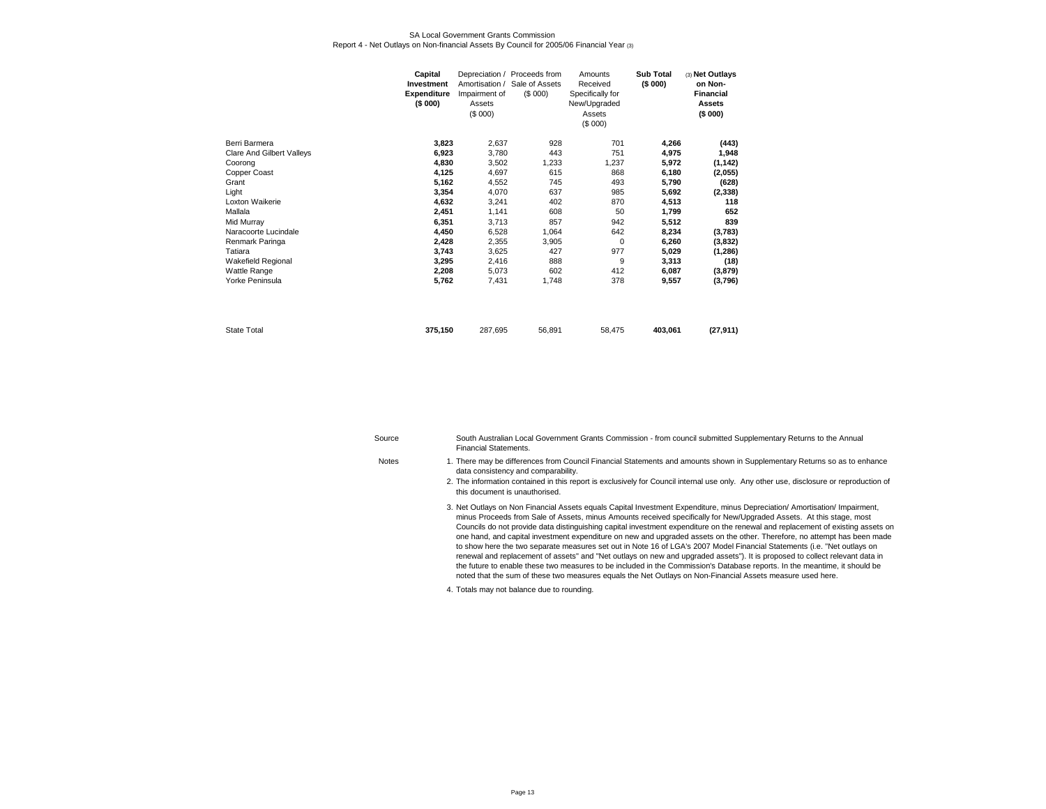#### SA Local Government Grants CommissionReport 4 - Net Outlays on Non-financial Assets By Council for 2005/06 Financial Year (3)

|                           | Capital<br><b>Investment</b><br><b>Expenditure</b><br>(\$000) | Amortisation /<br>Impairment of<br>Assets<br>(S 000) | Depreciation / Proceeds from<br>Sale of Assets<br>(S 000) | Amounts<br>Received<br>Specifically for<br>New/Upgraded<br>Assets<br>(\$000) | <b>Sub Total</b><br>(\$000) | (3) Net Outlays<br>on Non-<br>Financial<br><b>Assets</b><br>(\$000) |
|---------------------------|---------------------------------------------------------------|------------------------------------------------------|-----------------------------------------------------------|------------------------------------------------------------------------------|-----------------------------|---------------------------------------------------------------------|
| Berri Barmera             | 3,823                                                         | 2,637                                                | 928                                                       | 701                                                                          | 4,266                       | (443)                                                               |
| Clare And Gilbert Valleys | 6,923                                                         | 3,780                                                | 443                                                       | 751                                                                          | 4.975                       | 1,948                                                               |
| Coorong                   | 4,830                                                         | 3,502                                                | 1,233                                                     | 1,237                                                                        | 5,972                       | (1, 142)                                                            |
| Copper Coast              | 4,125                                                         | 4,697                                                | 615                                                       | 868                                                                          | 6,180                       | (2,055)                                                             |
| Grant                     | 5,162                                                         | 4,552                                                | 745                                                       | 493                                                                          | 5,790                       | (628)                                                               |
| Light                     | 3,354                                                         | 4,070                                                | 637                                                       | 985                                                                          | 5,692                       | (2, 338)                                                            |
| Loxton Waikerie           | 4,632                                                         | 3,241                                                | 402                                                       | 870                                                                          | 4,513                       | 118                                                                 |
| Mallala                   | 2,451                                                         | 1,141                                                | 608                                                       | 50                                                                           | 1.799                       | 652                                                                 |
| Mid Murray                | 6,351                                                         | 3,713                                                | 857                                                       | 942                                                                          | 5,512                       | 839                                                                 |
| Naracoorte Lucindale      | 4,450                                                         | 6,528                                                | 1,064                                                     | 642                                                                          | 8,234                       | (3,783)                                                             |
| Renmark Paringa           | 2,428                                                         | 2,355                                                | 3,905                                                     | 0                                                                            | 6,260                       | (3,832)                                                             |
| Tatiara                   | 3,743                                                         | 3,625                                                | 427                                                       | 977                                                                          | 5,029                       | (1, 286)                                                            |
| Wakefield Regional        | 3,295                                                         | 2,416                                                | 888                                                       | 9                                                                            | 3,313                       | (18)                                                                |
| Wattle Range              | 2,208                                                         | 5,073                                                | 602                                                       | 412                                                                          | 6.087                       | (3, 879)                                                            |
| Yorke Peninsula           | 5,762                                                         | 7,431                                                | 1,748                                                     | 378                                                                          | 9,557                       | (3,796)                                                             |
|                           |                                                               |                                                      |                                                           |                                                                              |                             |                                                                     |
| <b>State Total</b>        | 375,150                                                       | 287,695                                              | 56,891                                                    | 58,475                                                                       | 403,061                     | (27, 911)                                                           |

| Source       | South Australian Local Government Grants Commission - from council submitted Supplementary Returns to the Annual<br><b>Financial Statements.</b>                                                                                                                                                                                                                                                                                                                                                                                                                                                                                                                                                                                                                                                                                                                                                            |
|--------------|-------------------------------------------------------------------------------------------------------------------------------------------------------------------------------------------------------------------------------------------------------------------------------------------------------------------------------------------------------------------------------------------------------------------------------------------------------------------------------------------------------------------------------------------------------------------------------------------------------------------------------------------------------------------------------------------------------------------------------------------------------------------------------------------------------------------------------------------------------------------------------------------------------------|
| <b>Notes</b> | 1. There may be differences from Council Financial Statements and amounts shown in Supplementary Returns so as to enhance<br>data consistency and comparability.                                                                                                                                                                                                                                                                                                                                                                                                                                                                                                                                                                                                                                                                                                                                            |
|              | 2. The information contained in this report is exclusively for Council internal use only. Any other use, disclosure or reproduction of<br>this document is unauthorised.                                                                                                                                                                                                                                                                                                                                                                                                                                                                                                                                                                                                                                                                                                                                    |
|              | 3. Net Outlays on Non Financial Assets equals Capital Investment Expenditure, minus Depreciation/Amortisation/Impairment,<br>minus Proceeds from Sale of Assets, minus Amounts received specifically for New/Upgraded Assets. At this stage, most<br>Councils do not provide data distinguishing capital investment expenditure on the renewal and replacement of existing assets on<br>one hand, and capital investment expenditure on new and upgraded assets on the other. Therefore, no attempt has been made<br>to show here the two separate measures set out in Note 16 of LGA's 2007 Model Financial Statements (i.e. "Net outlays on<br>renewal and replacement of assets" and "Net outlays on new and upgraded assets"). It is proposed to collect relevant data in<br>the future to enable these two measures to be included in the Commission's Database reports. In the meantime, it should be |

- noted that the sum of these two measures equals the Net Outlays on Non-Financial Assets measure used here.
- 4.Totals may not balance due to rounding.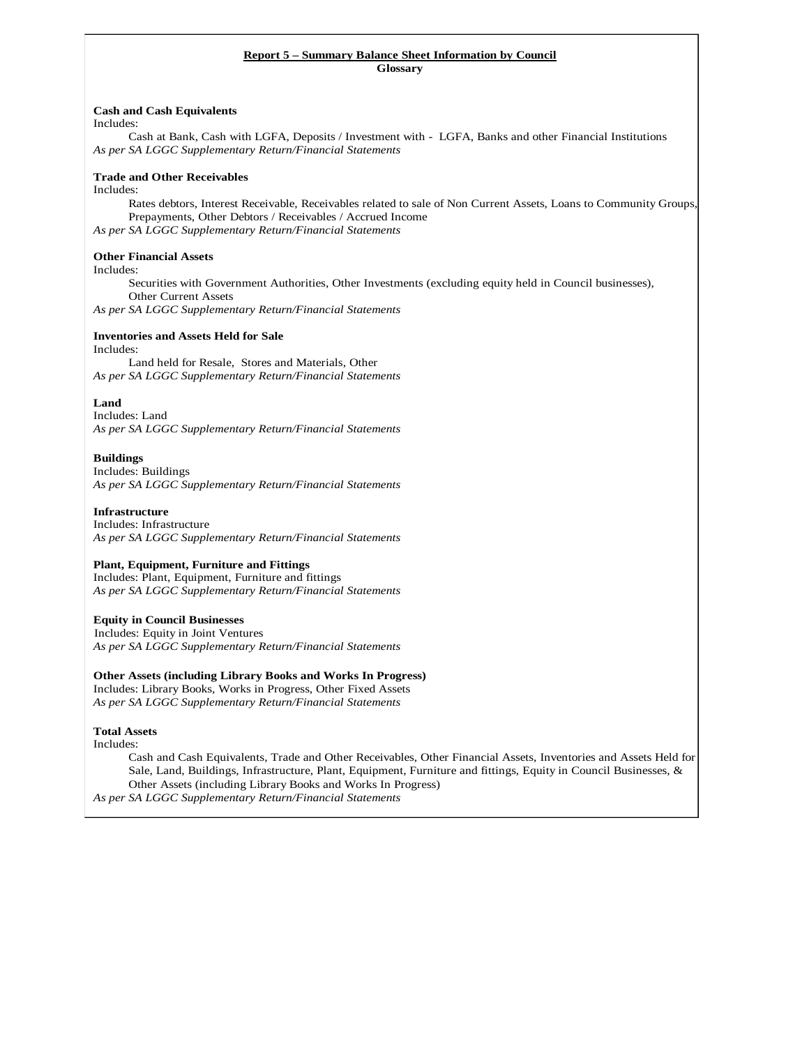# **Report 5 – Summary Balance Sheet Information by Council**

**Glossary** 

#### **Cash and Cash Equivalents**

Includes:

Cash at Bank, Cash with LGFA, Deposits / Investment with - LGFA, Banks and other Financial Institutions *As per SA LGGC Supplementary Return/Financial Statements* 

#### **Trade and Other Receivables**

Includes:

Rates debtors, Interest Receivable, Receivables related to sale of Non Current Assets, Loans to Community Groups, Prepayments, Other Debtors / Receivables / Accrued Income *As per SA LGGC Supplementary Return/Financial Statements* 

#### **Other Financial Assets**

#### Includes:

Securities with Government Authorities, Other Investments (excluding equity held in Council businesses), Other Current Assets

*As per SA LGGC Supplementary Return/Financial Statements* 

#### **Inventories and Assets Held for Sale**

#### Includes:

Land held for Resale, Stores and Materials, Other *As per SA LGGC Supplementary Return/Financial Statements* 

#### **Land**

Includes: Land *As per SA LGGC Supplementary Return/Financial Statements* 

#### **Buildings**

Includes: Buildings *As per SA LGGC Supplementary Return/Financial Statements* 

#### **Infrastructure**

Includes: Infrastructure *As per SA LGGC Supplementary Return/Financial Statements* 

#### **Plant, Equipment, Furniture and Fittings**

Includes: Plant, Equipment, Furniture and fittings *As per SA LGGC Supplementary Return/Financial Statements* 

#### **Equity in Council Businesses**

 Includes: Equity in Joint Ventures *As per SA LGGC Supplementary Return/Financial Statements* 

#### **Other Assets (including Library Books and Works In Progress)**

Includes: Library Books, Works in Progress, Other Fixed Assets *As per SA LGGC Supplementary Return/Financial Statements* 

#### **Total Assets**

Includes:

Cash and Cash Equivalents, Trade and Other Receivables, Other Financial Assets, Inventories and Assets Held for Sale, Land, Buildings, Infrastructure, Plant, Equipment, Furniture and fittings, Equity in Council Businesses, & Other Assets (including Library Books and Works In Progress)

*As per SA LGGC Supplementary Return/Financial Statements*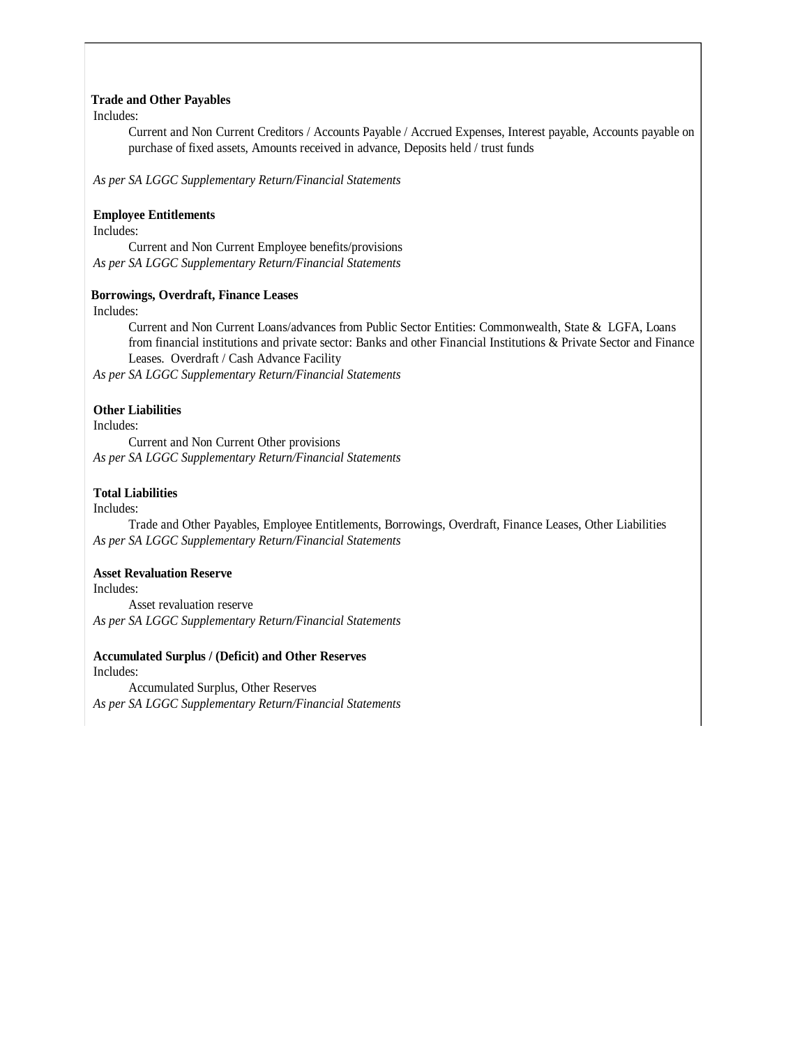### **Trade and Other Payables**

Includes:

Current and Non Current Creditors / Accounts Payable / Accrued Expenses, Interest payable, Accounts payable on purchase of fixed assets, Amounts received in advance, Deposits held / trust funds

*As per SA LGGC Supplementary Return/Financial Statements* 

### **Employee Entitlements**

Includes:

Current and Non Current Employee benefits/provisions *As per SA LGGC Supplementary Return/Financial Statements* 

### **Borrowings, Overdraft, Finance Leases**

Includes:

Current and Non Current Loans/advances from Public Sector Entities: Commonwealth, State & LGFA, Loans from financial institutions and private sector: Banks and other Financial Institutions & Private Sector and Finance Leases. Overdraft / Cash Advance Facility

*As per SA LGGC Supplementary Return/Financial Statements* 

### **Other Liabilities**

Includes:

Current and Non Current Other provisions *As per SA LGGC Supplementary Return/Financial Statements* 

### **Total Liabilities**

Includes:

Trade and Other Payables, Employee Entitlements, Borrowings, Overdraft, Finance Leases, Other Liabilities *As per SA LGGC Supplementary Return/Financial Statements*

### **Asset Revaluation Reserve**

Includes: Asset revaluation reserve *As per SA LGGC Supplementary Return/Financial Statements* 

### **Accumulated Surplus / (Deficit) and Other Reserves**

Includes: Accumulated Surplus, Other Reserves *As per SA LGGC Supplementary Return/Financial Statements*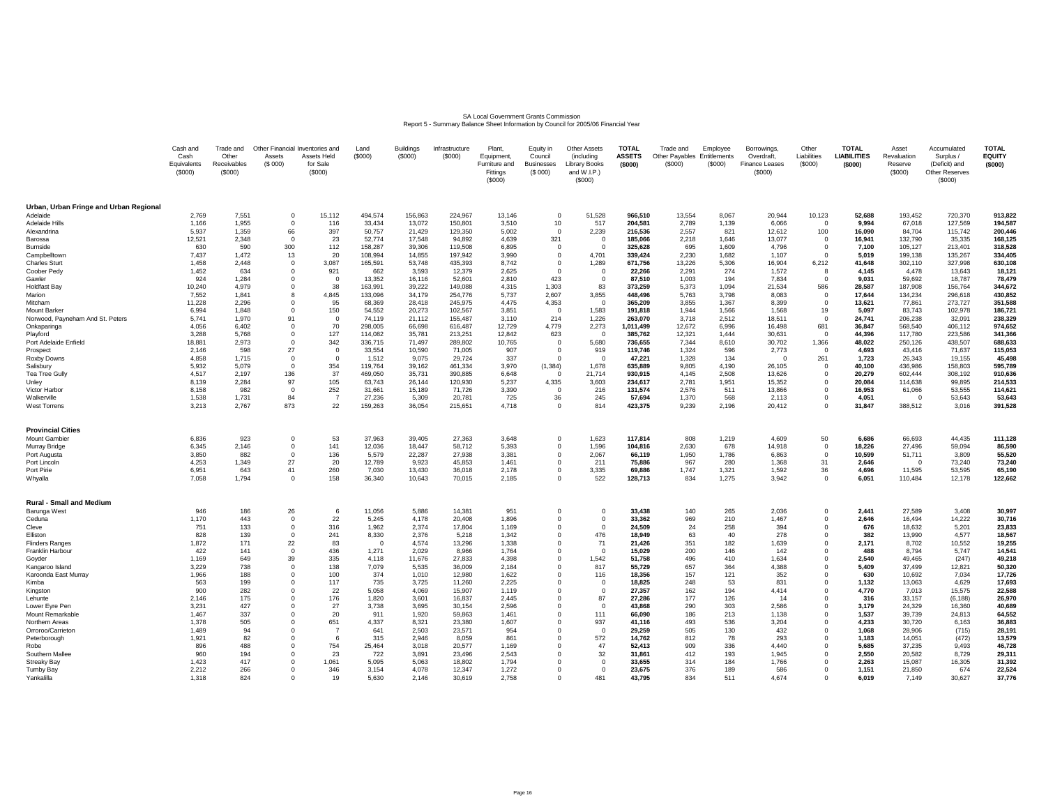# SA Local Government Grants Commission<br>Report 5 - Summary Balance Sheet Information by Council for 2005/06 Financial Year

|                                        | Cash and<br>Cash<br>Equivalents<br>(\$000) | Trade and<br>Other<br>Receivables<br>(\$000) | Other Financial<br>Assets<br>(S 000) | Inventories and<br>Assets Held<br>for Sale<br>(\$000) | Land<br>(\$000)    | <b>Buildings</b><br>(\$000) | Infrastructure<br>(\$000) | Plant,<br>Equipment,<br>Furniture and<br>Fittings<br>(\$000) | Equity in<br>Council<br><b>Businesses</b><br>(S 000) | <b>Other Assets</b><br>(including<br>Library Books<br>and W.I.P.)<br>(S000) | <b>TOTAL</b><br><b>ASSETS</b><br>(\$000) | Trade and<br>Other Payables Entitlements<br>(\$000) | Employee<br>(\$000) | Borrowings,<br>Overdraft,<br>Finance Leases<br>(\$000) | Other<br>Liabilities<br>(\$000) | <b>TOTAL</b><br><b>LIABILITIES</b><br>(\$000) | Asset<br>Revaluation<br>Reserve<br>(S000) | Accumulated<br>Surplus /<br>(Deficit) and<br>Other Reserves<br>(S000) | <b>TOTAL</b><br><b>EQUITY</b><br>(\$000) |
|----------------------------------------|--------------------------------------------|----------------------------------------------|--------------------------------------|-------------------------------------------------------|--------------------|-----------------------------|---------------------------|--------------------------------------------------------------|------------------------------------------------------|-----------------------------------------------------------------------------|------------------------------------------|-----------------------------------------------------|---------------------|--------------------------------------------------------|---------------------------------|-----------------------------------------------|-------------------------------------------|-----------------------------------------------------------------------|------------------------------------------|
| Urban, Urban Fringe and Urban Regional |                                            |                                              |                                      |                                                       |                    |                             |                           |                                                              |                                                      |                                                                             |                                          |                                                     |                     |                                                        |                                 |                                               |                                           |                                                                       |                                          |
| Adelaide                               | 2,769                                      | 7,551                                        | $\Omega$                             | 15,112                                                | 494,574            | 156,863                     | 224,967                   | 13,146                                                       | $\Omega$                                             | 51,528                                                                      | 966,510                                  | 13,554                                              | 8,067               | 20,944                                                 | 10,123                          | 52,688                                        | 193,452                                   | 720,370                                                               | 913,822                                  |
| <b>Adelaide Hills</b><br>Alexandrina   | 1,166<br>5.937                             | 1,955<br>1,359                               | $^{\circ}$                           | 116<br>397                                            | 33,434             | 13,072<br>21,429            | 150,801<br>129.350        | 3,510                                                        | 10<br>$\Omega$                                       | 517<br>2,239                                                                | 204,581<br>216.536                       | 2,789<br>2,557                                      | 1,139<br>821        | 6,066<br>12.612                                        | $^{\circ}$<br>100               | 9,994                                         | 67,018<br>84.704                          | 127,569                                                               | 194,587<br>200,446                       |
| Barossa                                | 12,521                                     | 2,348                                        | 66<br>$^{\circ}$                     | 23                                                    | 50,757<br>52,774   | 17,548                      | 94,892                    | 5,002<br>4,639                                               | 321                                                  | $\overline{\mathbf{0}}$                                                     | 185,066                                  | 2,218                                               | 1,646               | 13,077                                                 | 0                               | 16,090<br>16,941                              | 132,790                                   | 115,742<br>35,335                                                     | 168,125                                  |
| Burnside                               | 630                                        | 590                                          | 300                                  | 112                                                   | 158,287            | 39,306                      | 119,508                   | 6,895                                                        | $\overline{0}$                                       | $\overline{0}$                                                              | 325,628                                  | 695                                                 | 1,609               | 4,796                                                  | $^{\circ}$                      | 7,100                                         | 105,127                                   | 213,401                                                               | 318,528                                  |
| Campbelltown                           | 7,437                                      | 1.472                                        | 13                                   | 20                                                    | 108,994            | 14,855                      | 197.942                   | 3.990                                                        | $\Omega$                                             | 4.701                                                                       | 339,424                                  | 2,230                                               | 1.682               | 1.107                                                  | $\Omega$                        | 5.019                                         | 199,138                                   | 135,267                                                               | 334.405                                  |
| <b>Charles Sturt</b>                   | 1,458                                      | 2,448                                        | $^{\circ}$                           | 3,087                                                 | 165,591            | 53,748                      | 435,393                   | 8,742                                                        | $\Omega$                                             | 1,289                                                                       | 671,756                                  | 13,226                                              | 5,306               | 16,904                                                 | 6,212                           | 41,648                                        | 302,110                                   | 327,998                                                               | 630,108                                  |
| Coober Pedy                            | 1,452                                      | 634                                          | $\Omega$                             | 921                                                   | 662                | 3,593                       | 12,379                    | 2,625                                                        | $\Omega$                                             | $\overline{0}$                                                              | 22.266                                   | 2,291                                               | 274                 | 1,572                                                  | 8                               | 4,145                                         | 4.478                                     | 13,643                                                                | 18,121                                   |
| Gawler                                 | 924                                        | 1,284                                        | 0                                    | $\Omega$                                              | 13,352             | 16,116                      | 52,601                    | 2,810                                                        | 423                                                  | $\overline{0}$                                                              | 87,510                                   | 1,003                                               | 194                 | 7,834                                                  | $\mathbf 0$                     | 9,031                                         | 59,692                                    | 18,787                                                                | 78,479                                   |
| <b>Holdfast Bay</b>                    | 10,240                                     | 4,979                                        | $^{\circ}$<br>8                      | 38                                                    | 163,991            | 39,222                      | 149,088                   | 4,315                                                        | 1,303                                                | 83                                                                          | 373,259                                  | 5,373                                               | 1,094               | 21,534                                                 | 586                             | 28,587                                        | 187,908                                   | 156,764                                                               | 344,672                                  |
| Marion<br>Mitcham                      | 7,552<br>11,228                            | 1.841<br>2,296                               | $^{\circ}$                           | 4.845<br>95                                           | 133,096<br>68,369  | 34,179<br>28,418            | 254.776<br>245,975        | 5.737<br>4,475                                               | 2,607<br>4,353                                       | 3,855<br>$^{\circ}$                                                         | 448,496<br>365,209                       | 5.763<br>3,855                                      | 3.798<br>1,367      | 8.083<br>8,399                                         | $\circ$<br>$^{\circ}$           | 17,644<br>13,621                              | 134,234<br>77,861                         | 296,618<br>273,727                                                    | 430.852<br>351,588                       |
| <b>Mount Barker</b>                    | 6.994                                      | 1.848                                        | $\Omega$                             | 150                                                   | 54,552             | 20,273                      | 102.567                   | 3,851                                                        | $\Omega$                                             | 1.583                                                                       | 191.818                                  | 1.944                                               | 1.566               | 1.568                                                  | 19                              | 5.097                                         | 83.743                                    | 102,978                                                               | 186,721                                  |
| Norwood, Payneham And St. Peters       | 5,741                                      | 1,970                                        | 91                                   | $\Omega$                                              | 74,119             | 21,112                      | 155,487                   | 3,110                                                        | 214                                                  | 1,226                                                                       | 263,070                                  | 3,718                                               | 2,512               | 18,511                                                 | $\mathbf{0}$                    | 24,741                                        | 206,238                                   | 32,091                                                                | 238,329                                  |
| Onkaparinga                            | 4,056                                      | 6,402                                        | $\Omega$                             | 70                                                    | 298,005            | 66,698                      | 616,487                   | 12,729                                                       | 4,779                                                | 2,273                                                                       | 1,011,499                                | 12,672                                              | 6,996               | 16,498                                                 | 681                             | 36,847                                        | 568,540                                   | 406,112                                                               | 974,652                                  |
| Playford                               | 3.288                                      | 5.768                                        | $\Omega$                             | 127                                                   | 114,082            | 35,781                      | 213,251                   | 12.842                                                       | 623                                                  | $\Omega$                                                                    | 385,762                                  | 12,321                                              | 1.444               | 30,631                                                 | $\Omega$                        | 44.396                                        | 117,780                                   | 223.586                                                               | 341.366                                  |
| Port Adelaide Enfield                  | 18,881                                     | 2,973                                        | $^{\circ}$                           | 342                                                   | 336,715            | 71,497                      | 289,802                   | 10,765                                                       | $\Omega$                                             | 5,680                                                                       | 736,655                                  | 7,344                                               | 8,610               | 30,702                                                 | 1,366                           | 48,022                                        | 250,126                                   | 438,507                                                               | 688,633                                  |
| Prospect                               | 2,146                                      | 598                                          | 27                                   | $\Omega$                                              | 33,554             | 10,590                      | 71.005                    | 907                                                          | $\Omega$                                             | 919                                                                         | 119.746                                  | 1,324                                               | 596                 | 2,773                                                  | $\Omega$                        | 4.693                                         | 43.416                                    | 71,637                                                                | 115,053                                  |
| Roxby Downs                            | 4,858                                      | 1,715                                        | $^{\circ}$<br>$\Omega$               | $\Omega$                                              | 1,512              | 9,075                       | 29,724                    | 337                                                          | $\Omega$                                             | $\overline{0}$                                                              | 47,221                                   | 1,328                                               | 134                 | $\Omega$                                               | 261                             | 1,723                                         | 26,343                                    | 19,155                                                                | 45,498                                   |
| Salisbury<br>Tea Tree Gully            | 5,932<br>4.517                             | 5,079<br>2.197                               | 136                                  | 354<br>37                                             | 119,764<br>469,050 | 39,162<br>35,731            | 461,334<br>390.885        | 3,970<br>6.648                                               | (1, 384)<br>$\Omega$                                 | 1,678<br>21.714                                                             | 635,889<br>930,915                       | 9,805<br>4.145                                      | 4,190<br>2.508      | 26,105<br>13,626                                       | $\mathbf 0$<br>$\Omega$         | 40,100<br>20,279                              | 436,986<br>602.444                        | 158,803<br>308,192                                                    | 595,789<br>910,636                       |
| Unley                                  | 8,139                                      | 2,284                                        | 97                                   | 105                                                   | 63,743             | 26,144                      | 120,930                   | 5,237                                                        | 4,335                                                | 3,603                                                                       | 234,617                                  | 2,781                                               | 1,951               | 15,352                                                 | $^{\circ}$                      | 20,084                                        | 114,638                                   | 99,895                                                                | 214,533                                  |
| Victor Harbor                          | 8.158                                      | 982                                          | $\Omega$                             | 252                                                   | 31,661             | 15,189                      | 71.726                    | 3,390                                                        | $\Omega$                                             | 216                                                                         | 131.574                                  | 2,576                                               | 511                 | 13.866                                                 | $\Omega$                        | 16.953                                        | 61,066                                    | 53,555                                                                | 114,621                                  |
| Walkerville                            | 1,538                                      | 1,731                                        | 84                                   | $\overline{7}$                                        | 27,236             | 5,309                       | 20,781                    | 725                                                          | 36                                                   | 245                                                                         | 57,694                                   | 1,370                                               | 568                 | 2,113                                                  | $\mathbf{0}$                    | 4,051                                         | $\Omega$                                  | 53,643                                                                | 53,643                                   |
| <b>West Torrens</b>                    | 3,213                                      | 2,767                                        | 873                                  | 22                                                    | 159,263            | 36,054                      | 215,651                   | 4,718                                                        | $\Omega$                                             | 814                                                                         | 423,375                                  | 9,239                                               | 2,196               | 20,412                                                 | $^{\circ}$                      | 31,847                                        | 388,512                                   | 3,016                                                                 | 391,528                                  |
| <b>Provincial Cities</b>               |                                            |                                              |                                      |                                                       |                    |                             |                           |                                                              |                                                      |                                                                             |                                          |                                                     |                     |                                                        |                                 |                                               |                                           |                                                                       |                                          |
| Mount Gambier                          | 6,836                                      | 923                                          | $\Omega$                             | 53                                                    | 37,963             | 39,405                      | 27,363                    | 3,648                                                        | $\Omega$                                             | 1,623                                                                       | 117.814                                  | 808                                                 | 1.219               | 4,609                                                  | 50                              | 6.686                                         | 66,693                                    | 44.435                                                                | 111,128                                  |
| Murray Bridge                          | 6,345                                      | 2,146                                        | $^{\circ}$                           | 141                                                   | 12,036             | 18,447                      | 58,712                    | 5,393                                                        | $\Omega$                                             | 1,596                                                                       | 104,816                                  | 2,630                                               | 678                 | 14,918                                                 | $^{\circ}$                      | 18,226                                        | 27,496                                    | 59,094                                                                | 86,590                                   |
| Port Augusta<br>Port Lincoln           | 3,850<br>4,253                             | 882<br>1,349                                 | $\Omega$<br>27                       | 136<br>20                                             | 5,579<br>12,789    | 22,287<br>9,923             | 27,938<br>45,853          | 3,381<br>1,461                                               | $\Omega$<br>$^{\circ}$                               | 2,067<br>211                                                                | 66,119<br>75,886                         | 1,950<br>967                                        | 1.786<br>280        | 6,863<br>1,368                                         | $\Omega$<br>31                  | 10,599<br>2,646                               | 51,711<br>$\Omega$                        | 3,809<br>73,240                                                       | 55,520<br>73,240                         |
| Port Pirie                             | 6,951                                      | 643                                          | 41                                   | 260                                                   | 7,030              | 13,430                      | 36,018                    | 2,178                                                        | $\Omega$                                             | 3,335                                                                       | 69,886                                   | 1,747                                               | 1,321               | 1,592                                                  | 36                              | 4,696                                         | 11,595                                    | 53,595                                                                | 65,190                                   |
| Whyalla                                | 7,058                                      | 1,794                                        | $\Omega$                             | 158                                                   | 36,340             | 10,643                      | 70,015                    | 2,185                                                        | $\Omega$                                             | 522                                                                         | 128,713                                  | 834                                                 | 1,275               | 3.942                                                  | $\Omega$                        | 6,051                                         | 110,484                                   | 12,178                                                                | 122,662                                  |
| <b>Rural - Small and Medium</b>        |                                            |                                              |                                      |                                                       |                    |                             |                           |                                                              |                                                      |                                                                             |                                          |                                                     |                     |                                                        |                                 |                                               |                                           |                                                                       |                                          |
| Barunga West                           | 946                                        | 186                                          | 26                                   | -6                                                    | 11,056             | 5,886                       | 14,381                    | 951                                                          | $\Omega$                                             | $^{\circ}$                                                                  | 33,438                                   | 140                                                 | 265                 | 2,036                                                  | $^{\circ}$                      | 2,441                                         | 27,589                                    | 3,408                                                                 | 30,997                                   |
| Ceduna                                 | 1,170                                      | 443                                          | $\Omega$                             | 22                                                    | 5,245              | 4,178                       | 20,408                    | 1,896                                                        | $\Omega$                                             | $\Omega$                                                                    | 33,362                                   | 969                                                 | 210                 | 1,467                                                  | $^{\circ}$                      | 2,646                                         | 16,494                                    | 14,222                                                                | 30,716                                   |
| Cleve                                  | 751                                        | 133                                          | $^{\circ}$                           | 316                                                   | 1.962              | 2,374                       | 17,804                    | 1.169                                                        | $\Omega$                                             | $\Omega$                                                                    | 24.509                                   | 24                                                  | 258                 | 394                                                    | $^{\circ}$                      | 676                                           | 18.632                                    | 5,201                                                                 | 23,833                                   |
| Elliston                               | 828                                        | 139                                          | 0                                    | 241                                                   | 8,330              | 2,376                       | 5,218                     | 1,342                                                        | $\Omega$                                             | 476                                                                         | 18,949                                   | 63                                                  | 40                  | 278                                                    | $^{\circ}$                      | 382                                           | 13,990                                    | 4,577                                                                 | 18,567                                   |
| <b>Flinders Ranges</b>                 | 1,872                                      | 171<br>141                                   | 22<br>$\Omega$                       | 83                                                    | $\Omega$           | 4,574                       | 13.296                    | 1.338                                                        | $\Omega$<br>$\Omega$                                 | 71<br>$\overline{0}$                                                        | 21.426                                   | 351                                                 | 182<br>146          | 1.639                                                  | $\Omega$                        | 2.171<br>488                                  | 8.702                                     | 10.552                                                                | 19.255                                   |
| Franklin Harbour<br>Goyder             | 422<br>1,169                               | 649                                          | 39                                   | 436<br>335                                            | 1,271<br>4,118     | 2,029<br>11,676             | 8,966<br>27,833           | 1,764<br>4,398                                               | $\Omega$                                             | 1,542                                                                       | 15,029<br>51.758                         | 200<br>496                                          | 410                 | 142<br>1,634                                           | $^{\circ}$<br>$^{\circ}$        | 2,540                                         | 8,794<br>49,465                           | 5,747<br>(247)                                                        | 14,541<br>49,218                         |
| Kangaroo Island                        | 3,229                                      | 738                                          | $^{\circ}$                           | 138                                                   | 7,079              | 5,535                       | 36,009                    | 2.184                                                        | $\Omega$                                             | 817                                                                         | 55,729                                   | 657                                                 | 364                 | 4,388                                                  | $^{\circ}$                      | 5.409                                         | 37,499                                    | 12,821                                                                | 50,320                                   |
| Karoonda East Murray                   | 1,966                                      | 188                                          | 0                                    | 100                                                   | 374                | 1,010                       | 12,980                    | 1,622                                                        | $\Omega$                                             | 116                                                                         | 18,356                                   | 157                                                 | 121                 | 352                                                    | $^{\circ}$                      | 630                                           | 10,692                                    | 7,034                                                                 | 17,726                                   |
| Kimba                                  | 563                                        | 199                                          | $\Omega$                             | 117                                                   | 735                | 3.725                       | 11.260                    | 2.225                                                        | $\Omega$                                             | $\overline{0}$                                                              | 18.825                                   | 248                                                 | 53                  | 831                                                    | $\Omega$                        | 1.132                                         | 13.063                                    | 4.629                                                                 | 17.693                                   |
| Kingston                               | 900                                        | 282                                          | $\Omega$                             | 22                                                    | 5,058              | 4,069                       | 15,907                    | 1,119                                                        | $\Omega$                                             | $\overline{0}$                                                              | 27,357                                   | 162                                                 | 194                 | 4,414                                                  | $\mathbf 0$                     | 4,770                                         | 7,013                                     | 15,575                                                                | 22,588                                   |
| Lehunte                                | 2,146                                      | 175                                          | $\Omega$                             | 176                                                   | 1,820              | 3,601                       | 16,837                    | 2,445                                                        | $\Omega$                                             | 87                                                                          | 27,286                                   | 177                                                 | 126                 | 14                                                     | $^{\circ}$                      | 316                                           | 33,157                                    | (6, 188)                                                              | 26,970                                   |
| Lower Eyre Pen                         | 3,231                                      | 427                                          | $\Omega$                             | 27                                                    | 3,738              | 3,695                       | 30.154                    | 2,596                                                        | $\Omega$                                             | $\overline{0}$                                                              | 43.868                                   | 290                                                 | 303                 | 2.586                                                  | $^{\circ}$                      | 3.179                                         | 24,329                                    | 16,360                                                                | 40,689                                   |
| Mount Remarkable                       | 1,467                                      | 337                                          | 0                                    | 20                                                    | 911                | 1,920                       | 59,863                    | 1,461                                                        | $\Omega$<br>$\Omega$                                 | 111                                                                         | 66,090                                   | 186                                                 | 213                 | 1,138                                                  | $^{\circ}$<br>$\Omega$          | 1,537                                         | 39,739                                    | 24,813                                                                | 64,552                                   |
| Northern Areas                         | 1.378<br>1,489                             | 505<br>94                                    | $\Omega$<br>$\Omega$                 | 651<br>- 7                                            | 4.337<br>641       | 8.321<br>2,503              | 23.380<br>23,571          | 1.607<br>954                                                 | $\Omega$                                             | 937<br>$\overline{0}$                                                       | 41.116<br>29,259                         | 493<br>505                                          | 536<br>130          | 3.204<br>432                                           | $^{\circ}$                      | 4.233<br>1,068                                | 30.720                                    | 6.163                                                                 | 36,883<br>28,191                         |
| Orroroo/Carrieton<br>Peterborough      | 1,921                                      | 82                                           | $\Omega$                             | -6                                                    | 315                | 2,946                       | 8,059                     | 861                                                          | $\Omega$                                             | 572                                                                         | 14,762                                   | 812                                                 | 78                  | 293                                                    | $^{\circ}$                      | 1,183                                         | 28,906<br>14,051                          | (715)<br>(472)                                                        | 13,579                                   |
| Robe                                   | 896                                        | 488                                          | $^{\circ}$                           | 754                                                   | 25,464             | 3,018                       | 20,577                    | 1.169                                                        | $\Omega$                                             | 47                                                                          | 52.413                                   | 909                                                 | 336                 | 4.440                                                  | $^{\circ}$                      | 5.685                                         | 37.235                                    | 9.493                                                                 | 46,728                                   |
| Southern Mallee                        | 960                                        | 194                                          | 0                                    | 23                                                    | 722                | 3,891                       | 23,496                    | 2,543                                                        | $\Omega$                                             | 32                                                                          | 31,861                                   | 412                                                 | 193                 | 1,945                                                  | $^{\circ}$                      | 2,550                                         | 20,582                                    | 8,729                                                                 | 29,311                                   |
| <b>Streaky Bay</b>                     | 1.423                                      | 417                                          | $\Omega$                             | 1.061                                                 | 5.095              | 5.063                       | 18,802                    | 1.794                                                        | $\Omega$                                             | $\Omega$                                                                    | 33.655                                   | 314                                                 | 184                 | 1.766                                                  | $\Omega$                        | 2.263                                         | 15.087                                    | 16.305                                                                | 31.392                                   |
| <b>Tumby Bay</b>                       | 2,212                                      | 266                                          | $\Omega$                             | 346                                                   | 3,154              | 4,078                       | 12,347                    | 1,272                                                        | $\Omega$                                             | $\Omega$                                                                    | 23,675                                   | 376                                                 | 189                 | 586                                                    | $^{\circ}$                      | 1,151                                         | 21,850                                    | 674                                                                   | 22,524                                   |
| Yankalilla                             | 1,318                                      | 824                                          | $\Omega$                             | 19                                                    | 5,630              | 2.146                       | 30.619                    | 2,758                                                        | $\Omega$                                             | 481                                                                         | 43,795                                   | 834                                                 | 511                 | 4.674                                                  | $\Omega$                        | 6,019                                         | 7.149                                     | 30,627                                                                | 37,776                                   |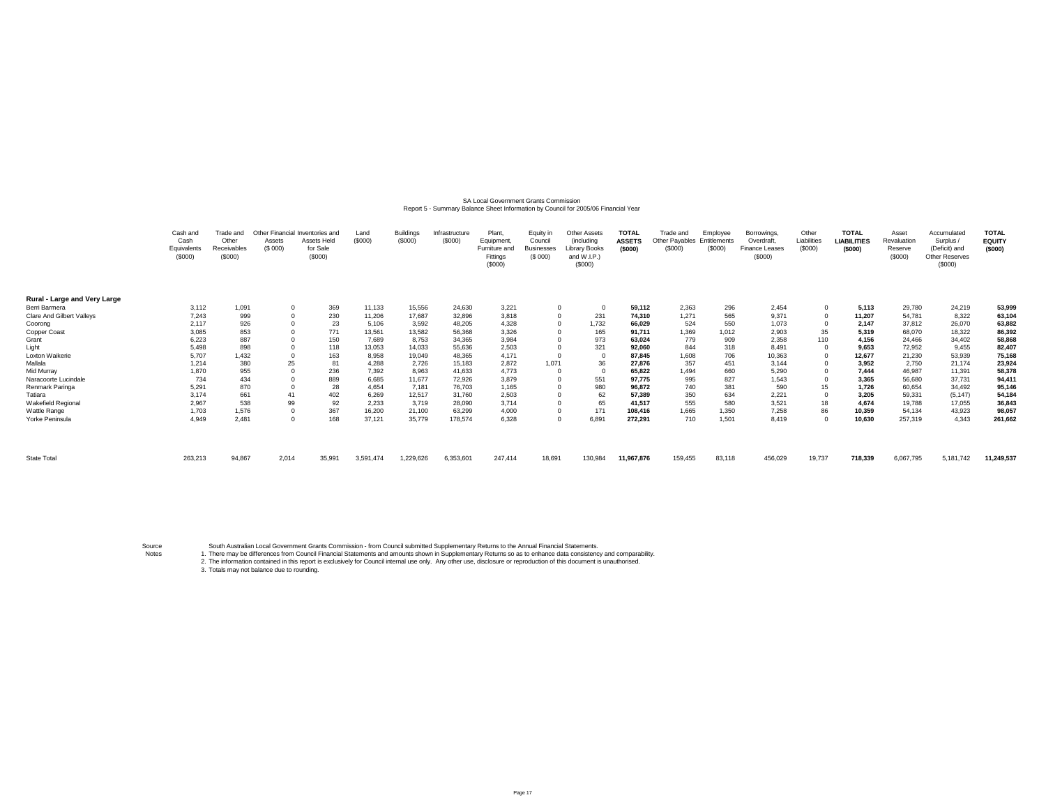# SA Local Government Grants Commission<br>Report 5 - Summary Balance Sheet Information by Council for 2005/06 Financial Year

|                              | Cash and<br>Cash<br>Equivalents<br>(\$000) | Frade and<br>Other<br><b>Receivables</b><br>(\$000) | Assets<br>(S 000) | Other Financial Inventories and<br><b>Assets Held</b><br>for Sale<br>(\$000) | Land<br>(S000) | <b>Buildings</b><br>(S000) | Infrastructure<br>(\$000) | Plant.<br>Equipment.<br>Furniture and<br>Fittings<br>(\$000) | Equity in<br>Council<br><b>Businesses</b><br>(S 000) | <b>Other Assets</b><br>(including<br><b>Library Books</b><br>and W.I.P.)<br>(S000) | <b>TOTAL</b><br><b>ASSETS</b><br>(\$000) | Trade and<br>Other Pavables<br>(\$000) | Employee<br>Entitlements<br>(\$000) | Borrowings,<br>Overdraft<br>Finance Leases<br>(\$000) | Other<br>Liabilities<br>(\$000) | <b>TOTAL</b><br><b>LIABILITIES</b><br>(\$000) | Asset<br>Revaluation<br>Reserve<br>(S000) | Accumulated<br>Surplus /<br>(Deficit) and<br>Other Reserves<br>(\$000) | <b>TOTAL</b><br><b>EQUITY</b><br>(5000) |
|------------------------------|--------------------------------------------|-----------------------------------------------------|-------------------|------------------------------------------------------------------------------|----------------|----------------------------|---------------------------|--------------------------------------------------------------|------------------------------------------------------|------------------------------------------------------------------------------------|------------------------------------------|----------------------------------------|-------------------------------------|-------------------------------------------------------|---------------------------------|-----------------------------------------------|-------------------------------------------|------------------------------------------------------------------------|-----------------------------------------|
| Rural - Large and Very Large |                                            |                                                     |                   |                                                                              |                |                            |                           |                                                              |                                                      |                                                                                    |                                          |                                        |                                     |                                                       |                                 |                                               |                                           |                                                                        |                                         |
| Berri Barmera                | 3,112                                      | 1,091                                               |                   | 369                                                                          | 11,133         | 15,556                     | 24,630                    | 3,221                                                        | $\Omega$                                             |                                                                                    | 59,112                                   | 2,363                                  | 296                                 | 2,454                                                 |                                 | 5,113                                         | 29,780                                    | 24,219                                                                 | 53,999                                  |
| Clare And Gilbert Valleys    | 7,243                                      | 999                                                 |                   | 230                                                                          | 11,206         | 17,687                     | 32,896                    | 3,818                                                        | $^{\circ}$                                           | 231                                                                                | 74,310                                   | 1,271                                  | 565                                 | 9,371                                                 |                                 | 11,207                                        | 54,781                                    | 8,322                                                                  | 63,104                                  |
| Coorong                      | 2,117                                      | 926                                                 |                   | 23                                                                           | 5,106          | 3,592                      | 48,205                    | 4,328                                                        | $\Omega$                                             | 1,732                                                                              | 66,029                                   | 524                                    | 550                                 | 1,073                                                 |                                 | 2,147                                         | 37,812                                    | 26,070                                                                 | 63,882                                  |
| Copper Coast                 | 3,085                                      | 853                                                 |                   | 771                                                                          | 13,561         | 13,582                     | 56,368                    | 3,326                                                        |                                                      | 165                                                                                | 91.711                                   | 1,369                                  | 1,012                               | 2,903                                                 | 35                              | 5,319                                         | 68,070                                    | 18,322                                                                 | 86,392                                  |
| Grant                        | 6,223                                      | 887                                                 |                   | 150                                                                          | 7.689          | 8.753                      | 34,365                    | 3,984                                                        |                                                      | 973                                                                                | 63,024                                   | 779                                    | 909                                 | 2,358                                                 | 110                             | 4,156                                         | 24.466                                    | 34,402                                                                 | 58,868                                  |
| Light                        | 5,498                                      | 898                                                 |                   | 118                                                                          | 13,053         | 14,033                     | 55,636                    | 2,503                                                        |                                                      | 321                                                                                | 92,060                                   | 844                                    | 318                                 | 8.491                                                 |                                 | 9,653                                         | 72,952                                    | 9,455                                                                  | 82,407                                  |
| Loxton Waikerie              | 5,707                                      | 1,432                                               |                   | 163                                                                          | 8,958          | 19,049                     | 48,365                    | 4,171                                                        |                                                      |                                                                                    | 87,845                                   | 1,608                                  | 706                                 | 10,363                                                |                                 | 12,677                                        | 21,230                                    | 53,939                                                                 | 75,168                                  |
| Mallala                      | 1,214                                      | 380                                                 | 25                | 81                                                                           | 4,288          | 2,726                      | 15,183                    | 2,872                                                        | 1.071                                                | 36                                                                                 | 27,876                                   | 357                                    | 451                                 | 3.144                                                 |                                 | 3,952                                         | 2.750                                     | 21,174                                                                 | 23,924                                  |
| Mid Murray                   | 1,870                                      | 955                                                 |                   | 236                                                                          | 7,392          | 8,963                      | 41,633                    | 4,773                                                        |                                                      |                                                                                    | 65,822                                   | 1,494                                  | 660                                 | 5,290                                                 |                                 | 7,444                                         | 46,987                                    | 11,391                                                                 | 58,378                                  |
| Naracoorte Lucindale         | 734                                        | 434                                                 |                   | 889                                                                          | 6,685          | 11,677                     | 72,926                    | 3,879                                                        |                                                      | 551                                                                                | 97,775                                   | 995                                    | 827                                 | 1,543                                                 |                                 | 3,365                                         | 56,680                                    | 37,731                                                                 | 94,411                                  |
| Renmark Paringa              | 5,29                                       | 870                                                 |                   | 28                                                                           | 4,654          | 7,181                      | 76,703                    | 1,165                                                        |                                                      | 980                                                                                | 96,872                                   | 740                                    | 381                                 | 590                                                   | 15                              | 1,726                                         | 60,654                                    | 34,492                                                                 | 95,146                                  |
| Tatiara                      | 3,174                                      | 661                                                 |                   | 402                                                                          | 6,269          | 12,517                     | 31,760                    | 2,503                                                        |                                                      | 62                                                                                 | 57.389                                   | 350                                    | 634                                 | 2,221                                                 |                                 | 3,205                                         | 59,331                                    | (5, 147)                                                               | 54,184                                  |
| Wakefield Regional           | 2,967                                      | 538                                                 | 99                | 92                                                                           | 2,233          | 3,719                      | 28,090                    | 3,714                                                        |                                                      | 65                                                                                 | 41,517                                   | 555                                    | 580                                 | 3,521                                                 | 18                              | 4,674                                         | 19,788                                    | 17,055                                                                 | 36,843                                  |
| Wattle Range                 | 1,703                                      | 1,576                                               |                   | 367                                                                          | 16,200         | 21,100                     | 63,299                    | 4,000                                                        | $\Omega$                                             | 171                                                                                | 108,416                                  | 1,665                                  | 1,350                               | 7,258                                                 | 86                              | 10,359                                        | 54,134                                    | 43,923                                                                 | 98,057                                  |
| Yorke Peninsula              | 4,949                                      | 2,481                                               |                   | 168                                                                          | 37,121         | 35,779                     | 178,574                   | 6,328                                                        | 0                                                    | 6,891                                                                              | 272,291                                  | 710                                    | 1.501                               | 8.419                                                 | $\circ$                         | 10.630                                        | 257,319                                   | 4.343                                                                  | 261,662                                 |
| State Total                  | 263,213                                    | 94,867                                              | 2,014             | 35,991                                                                       | 3,591,474      | 1,229,626                  | 6,353,601                 | 247,414                                                      | 18,691                                               | 130,984                                                                            | 11,967,876                               | 159,455                                | 83,118                              | 456,029                                               | 19,737                          | 718,339                                       | 6,067,795                                 | 5,181,742                                                              | 11,249,537                              |

Source

Notes 1. South Australian Local Government Grants Commission - from Council submitted Supplementary Returns to the Annual Financial Statements.<br>1. There may be differences from Council Financial Statements and amounts shown in Supp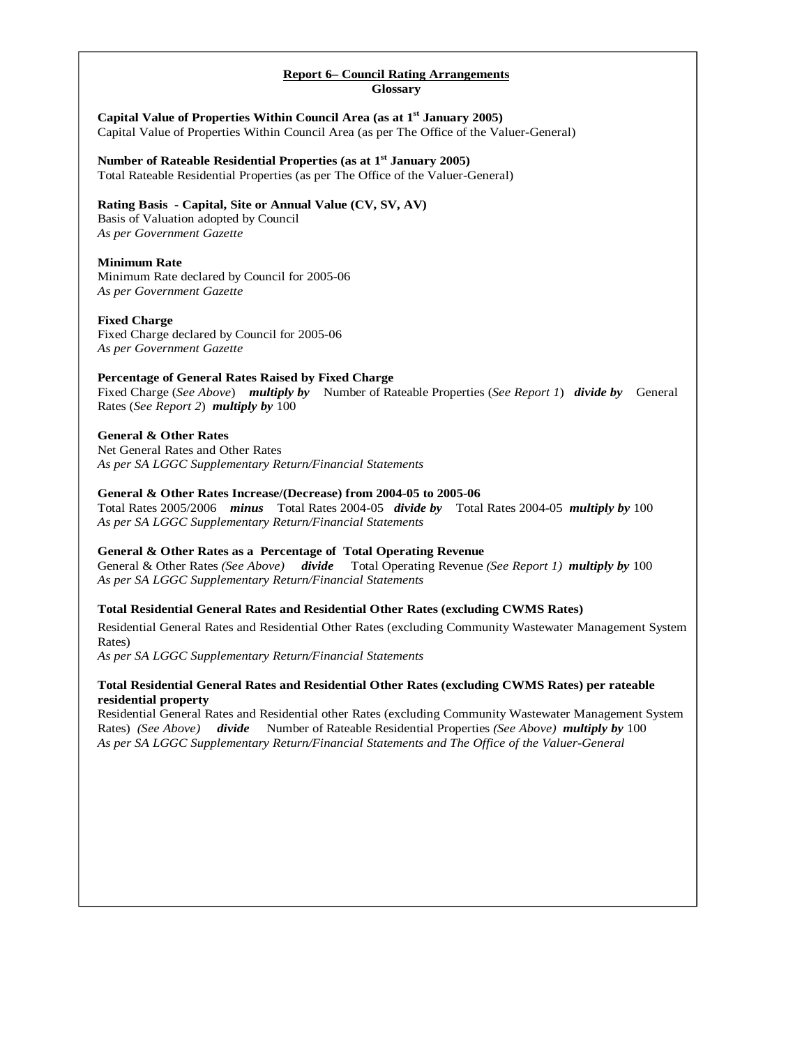### **Report 6– Council Rating Arrangements Glossary**

**Capital Value of Properties Within Council Area (as at 1st January 2005)**  Capital Value of Properties Within Council Area (as per The Office of the Valuer-General)

**Number of Rateable Residential Properties (as at 1st January 2005)**  Total Rateable Residential Properties (as per The Office of the Valuer-General)

# **Rating Basis - Capital, Site or Annual Value (CV, SV, AV)**

Basis of Valuation adopted by Council *As per Government Gazette* 

### **Minimum Rate**

Minimum Rate declared by Council for 2005-06 *As per Government Gazette* 

### **Fixed Charge**

Fixed Charge declared by Council for 2005-06 *As per Government Gazette* 

### **Percentage of General Rates Raised by Fixed Charge**

Fixed Charge (*See Above*) *multiply by* Number of Rateable Properties (*See Report 1*) *divide by* General Rates (*See Report 2*) *multiply by* 100

### **General & Other Rates**

Net General Rates and Other Rates *As per SA LGGC Supplementary Return/Financial Statements* 

### **General & Other Rates Increase/(Decrease) from 2004-05 to 2005-06**

Total Rates 2005/2006 *minus* Total Rates 2004-05 *divide by* Total Rates 2004-05 *multiply by* 100 *As per SA LGGC Supplementary Return/Financial Statements* 

# **General & Other Rates as a Percentage of Total Operating Revenue**

General & Other Rates *(See Above) divide* Total Operating Revenue *(See Report 1) multiply by* 100 *As per SA LGGC Supplementary Return/Financial Statements*

# **Total Residential General Rates and Residential Other Rates (excluding CWMS Rates)**

Residential General Rates and Residential Other Rates (excluding Community Wastewater Management System Rates)

*As per SA LGGC Supplementary Return/Financial Statements*

### **Total Residential General Rates and Residential Other Rates (excluding CWMS Rates) per rateable residential property**

Residential General Rates and Residential other Rates (excluding Community Wastewater Management System Rates) *(See Above) divide* Number of Rateable Residential Properties *(See Above) multiply by* 100 *As per SA LGGC Supplementary Return/Financial Statements and The Office of the Valuer-General*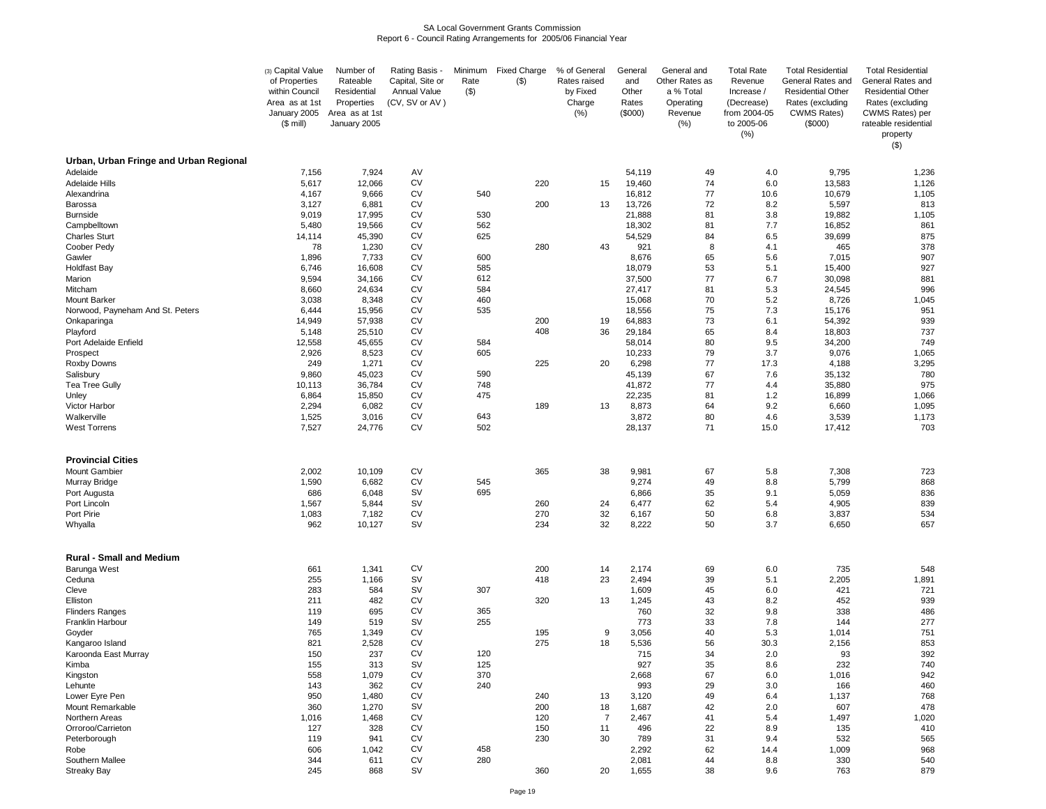#### SA Local Government Grants CommissionReport 6 - Council Rating Arrangements for 2005/06 Financial Year

|                                                  | (3) Capital Value<br>of Properties<br>within Council | Number of<br>Rateable<br>Residential         | Rating Basis -<br>Capital, Site or<br>Annual Value | Minimum<br>Rate<br>$(\$)$ | <b>Fixed Charge</b><br>(3) | % of General<br>Rates raised<br>by Fixed | General<br>and<br>Other | General and<br>Other Rates as<br>a % Total | <b>Total Rate</b><br>Revenue<br>Increase /       | <b>Total Residential</b><br>General Rates and<br><b>Residential Other</b> | <b>Total Residential</b><br>General Rates and<br><b>Residential Other</b>          |
|--------------------------------------------------|------------------------------------------------------|----------------------------------------------|----------------------------------------------------|---------------------------|----------------------------|------------------------------------------|-------------------------|--------------------------------------------|--------------------------------------------------|---------------------------------------------------------------------------|------------------------------------------------------------------------------------|
|                                                  | Area as at 1st<br>January 2005<br>$($$ mill)         | Properties<br>Area as at 1st<br>January 2005 | (CV, SV or AV)                                     |                           |                            | Charge<br>(% )                           | Rates<br>(\$000)        | Operating<br>Revenue<br>(% )               | (Decrease)<br>from 2004-05<br>to 2005-06<br>(% ) | Rates (excluding<br><b>CWMS Rates)</b><br>(\$000)                         | Rates (excluding<br>CWMS Rates) per<br>rateable residential<br>property<br>$($ \$) |
| Urban, Urban Fringe and Urban Regional           |                                                      |                                              |                                                    |                           |                            |                                          |                         |                                            |                                                  |                                                                           |                                                                                    |
| Adelaide<br>Adelaide Hills                       | 7,156<br>5,617                                       | 7,924<br>12,066                              | AV<br><b>CV</b>                                    |                           | 220                        | 15                                       | 54,119<br>19,460        | 49<br>74                                   | 4.0<br>6.0                                       | 9,795<br>13,583                                                           | 1,236<br>1,126                                                                     |
| Alexandrina                                      | 4,167                                                | 9,666                                        | <b>CV</b>                                          | 540                       |                            |                                          | 16,812                  | 77                                         | 10.6                                             | 10,679                                                                    | 1,105                                                                              |
| Barossa                                          | 3,127                                                | 6,881                                        | <b>CV</b>                                          |                           | 200                        | 13                                       | 13,726                  | 72                                         | 8.2                                              | 5,597                                                                     | 813                                                                                |
| <b>Burnside</b>                                  | 9,019                                                | 17,995                                       | <b>CV</b>                                          | 530                       |                            |                                          | 21,888                  | 81                                         | 3.8                                              | 19,882                                                                    | 1,105                                                                              |
| Campbelltown                                     | 5,480                                                | 19,566                                       | <b>CV</b>                                          | 562                       |                            |                                          | 18,302                  | 81                                         | 7.7                                              | 16,852                                                                    | 861                                                                                |
| <b>Charles Sturt</b><br>Coober Pedy              | 14,114<br>78                                         | 45,390<br>1,230                              | <b>CV</b><br><b>CV</b>                             | 625                       | 280                        | 43                                       | 54,529<br>921           | 84<br>8                                    | 6.5<br>4.1                                       | 39,699<br>465                                                             | 875<br>378                                                                         |
| Gawler                                           | 1,896                                                | 7,733                                        | <b>CV</b>                                          | 600                       |                            |                                          | 8,676                   | 65                                         | 5.6                                              | 7,015                                                                     | 907                                                                                |
| <b>Holdfast Bay</b>                              | 6,746                                                | 16,608                                       | <b>CV</b>                                          | 585                       |                            |                                          | 18,079                  | 53                                         | 5.1                                              | 15,400                                                                    | 927                                                                                |
| Marion                                           | 9,594                                                | 34,166                                       | <b>CV</b>                                          | 612                       |                            |                                          | 37,500                  | 77                                         | 6.7                                              | 30,098                                                                    | 881                                                                                |
| Mitcham                                          | 8,660                                                | 24,634                                       | <b>CV</b>                                          | 584                       |                            |                                          | 27,417                  | 81                                         | 5.3                                              | 24,545                                                                    | 996                                                                                |
| Mount Barker<br>Norwood, Payneham And St. Peters | 3,038<br>6,444                                       | 8,348<br>15,956                              | <b>CV</b><br><b>CV</b>                             | 460<br>535                |                            |                                          | 15,068<br>18,556        | 70<br>75                                   | 5.2<br>7.3                                       | 8,726<br>15,176                                                           | 1,045<br>951                                                                       |
| Onkaparinga                                      | 14,949                                               | 57,938                                       | <b>CV</b>                                          |                           | 200                        | 19                                       | 64,883                  | 73                                         | 6.1                                              | 54,392                                                                    | 939                                                                                |
| Playford                                         | 5,148                                                | 25,510                                       | <b>CV</b>                                          |                           | 408                        | 36                                       | 29,184                  | 65                                         | 8.4                                              | 18,803                                                                    | 737                                                                                |
| Port Adelaide Enfield                            | 12,558                                               | 45,655                                       | <b>CV</b>                                          | 584                       |                            |                                          | 58,014                  | 80                                         | 9.5                                              | 34,200                                                                    | 749                                                                                |
| Prospect                                         | 2,926                                                | 8,523                                        | <b>CV</b>                                          | 605                       |                            |                                          | 10,233                  | 79                                         | 3.7                                              | 9,076                                                                     | 1,065                                                                              |
| Roxby Downs<br>Salisbury                         | 249<br>9,860                                         | 1,271<br>45,023                              | <b>CV</b><br><b>CV</b>                             | 590                       | 225                        | 20                                       | 6,298<br>45,139         | 77<br>67                                   | 17.3<br>7.6                                      | 4,188<br>35,132                                                           | 3,295<br>780                                                                       |
| <b>Tea Tree Gully</b>                            | 10,113                                               | 36,784                                       | <b>CV</b>                                          | 748                       |                            |                                          | 41,872                  | 77                                         | 4.4                                              | 35,880                                                                    | 975                                                                                |
| Unley                                            | 6,864                                                | 15,850                                       | CV                                                 | 475                       |                            |                                          | 22,235                  | 81                                         | 1.2                                              | 16,899                                                                    | 1,066                                                                              |
| Victor Harbor                                    | 2,294                                                | 6,082                                        | <b>CV</b>                                          |                           | 189                        | 13                                       | 8,873                   | 64                                         | 9.2                                              | 6,660                                                                     | 1,095                                                                              |
| Walkerville                                      | 1,525                                                | 3,016                                        | <b>CV</b>                                          | 643                       |                            |                                          | 3,872                   | 80                                         | 4.6                                              | 3,539                                                                     | 1,173                                                                              |
| <b>West Torrens</b>                              | 7,527                                                | 24,776                                       | <b>CV</b>                                          | 502                       |                            |                                          | 28,137                  | 71                                         | 15.0                                             | 17,412                                                                    | 703                                                                                |
| <b>Provincial Cities</b>                         |                                                      |                                              |                                                    |                           |                            |                                          |                         |                                            |                                                  |                                                                           |                                                                                    |
| <b>Mount Gambier</b><br>Murray Bridge            | 2,002<br>1,590                                       | 10,109<br>6,682                              | <b>CV</b><br><b>CV</b>                             | 545                       | 365                        | 38                                       | 9,981<br>9,274          | 67<br>49                                   | 5.8<br>8.8                                       | 7,308<br>5,799                                                            | 723<br>868                                                                         |
| Port Augusta                                     | 686                                                  | 6,048                                        | <b>SV</b>                                          | 695                       |                            |                                          | 6,866                   | 35                                         | 9.1                                              | 5,059                                                                     | 836                                                                                |
| Port Lincoln                                     | 1,567                                                | 5,844                                        | <b>SV</b>                                          |                           | 260                        | 24                                       | 6,477                   | 62                                         | 5.4                                              | 4,905                                                                     | 839                                                                                |
| Port Pirie                                       | 1,083                                                | 7,182                                        | <b>CV</b>                                          |                           | 270                        | 32                                       | 6,167                   | 50                                         | 6.8                                              | 3,837                                                                     | 534                                                                                |
| Whyalla                                          | 962                                                  | 10,127                                       | <b>SV</b>                                          |                           | 234                        | 32                                       | 8,222                   | 50                                         | 3.7                                              | 6,650                                                                     | 657                                                                                |
| <b>Rural - Small and Medium</b>                  |                                                      |                                              |                                                    |                           |                            |                                          |                         |                                            |                                                  |                                                                           |                                                                                    |
| Barunga West                                     | 661                                                  | 1,341                                        | <b>CV</b>                                          |                           | 200                        | 14                                       | 2,174                   | 69                                         | 6.0                                              | 735                                                                       | 548                                                                                |
| Ceduna                                           | 255                                                  | 1,166                                        | <b>SV</b><br><b>SV</b>                             |                           | 418                        | 23                                       | 2,494                   | 39                                         | 5.1                                              | 2,205                                                                     | 1,891                                                                              |
| Cleve<br>Elliston                                | 283<br>211                                           | 584<br>482                                   | <b>CV</b>                                          | 307                       | 320                        | 13                                       | 1,609<br>1,245          | 45<br>43                                   | 6.0<br>8.2                                       | 421<br>452                                                                | 721<br>939                                                                         |
| <b>Flinders Ranges</b>                           | 119                                                  | 695                                          | <b>CV</b>                                          | 365                       |                            |                                          | 760                     | 32                                         | 9.8                                              | 338                                                                       | 486                                                                                |
| Franklin Harbour                                 | 149                                                  | 519                                          | <b>SV</b>                                          | 255                       |                            |                                          | 773                     | 33                                         | 7.8                                              | 144                                                                       | 277                                                                                |
| Goyder                                           | 765                                                  | 1,349                                        | <b>CV</b>                                          |                           | 195                        | 9                                        | 3,056                   | 40                                         | 5.3                                              | 1,014                                                                     | 751                                                                                |
| Kangaroo Island<br>Karoonda East Murrav          | 821<br>150                                           | 2,528<br>237                                 | <b>CV</b><br><b>CV</b>                             | 120                       | 275                        | 18                                       | 5,536<br>715            | 56<br>34                                   | 30.3<br>2.0                                      | 2,156<br>93                                                               | 853<br>392                                                                         |
| Kimba                                            | 155                                                  | 313                                          | <b>SV</b>                                          | 125                       |                            |                                          | 927                     | 35                                         | 8.6                                              | 232                                                                       | 740                                                                                |
| Kingston                                         | 558                                                  | 1,079                                        | <b>CV</b>                                          | 370                       |                            |                                          | 2,668                   | 67                                         | 6.0                                              | 1,016                                                                     | 942                                                                                |
| Lehunte                                          | 143                                                  | 362                                          | <b>CV</b>                                          | 240                       |                            |                                          | 993                     | 29                                         | 3.0                                              | 166                                                                       | 460                                                                                |
| Lower Eyre Pen                                   | 950                                                  | 1,480                                        | CV                                                 |                           | 240                        | 13                                       | 3,120                   | 49                                         | 6.4                                              | 1,137                                                                     | 768                                                                                |
| Mount Remarkable<br>Northern Areas               | 360                                                  | 1,270                                        | <b>SV</b>                                          |                           | 200                        | 18                                       | 1,687                   | 42                                         | 2.0                                              | 607                                                                       | 478                                                                                |
| Orroroo/Carrieton                                | 1,016<br>127                                         | 1,468<br>328                                 | <b>CV</b><br>CV                                    |                           | 120<br>150                 | $\overline{7}$<br>11                     | 2,467<br>496            | 41<br>22                                   | 5.4<br>8.9                                       | 1,497<br>135                                                              | 1,020<br>410                                                                       |
| Peterborough                                     | 119                                                  | 941                                          | <b>CV</b>                                          |                           | 230                        | 30                                       | 789                     | 31                                         | 9.4                                              | 532                                                                       | 565                                                                                |
| Robe                                             | 606                                                  | 1,042                                        | <b>CV</b>                                          | 458                       |                            |                                          | 2,292                   | 62                                         | 14.4                                             | 1,009                                                                     | 968                                                                                |
| Southern Mallee                                  | 344                                                  | 611                                          | CV                                                 | 280                       |                            |                                          | 2,081                   | 44                                         | 8.8                                              | 330                                                                       | 540                                                                                |
| <b>Streaky Bay</b>                               | 245                                                  | 868                                          | <b>SV</b>                                          |                           | 360                        | 20                                       | 1,655                   | 38                                         | 9.6                                              | 763                                                                       | 879                                                                                |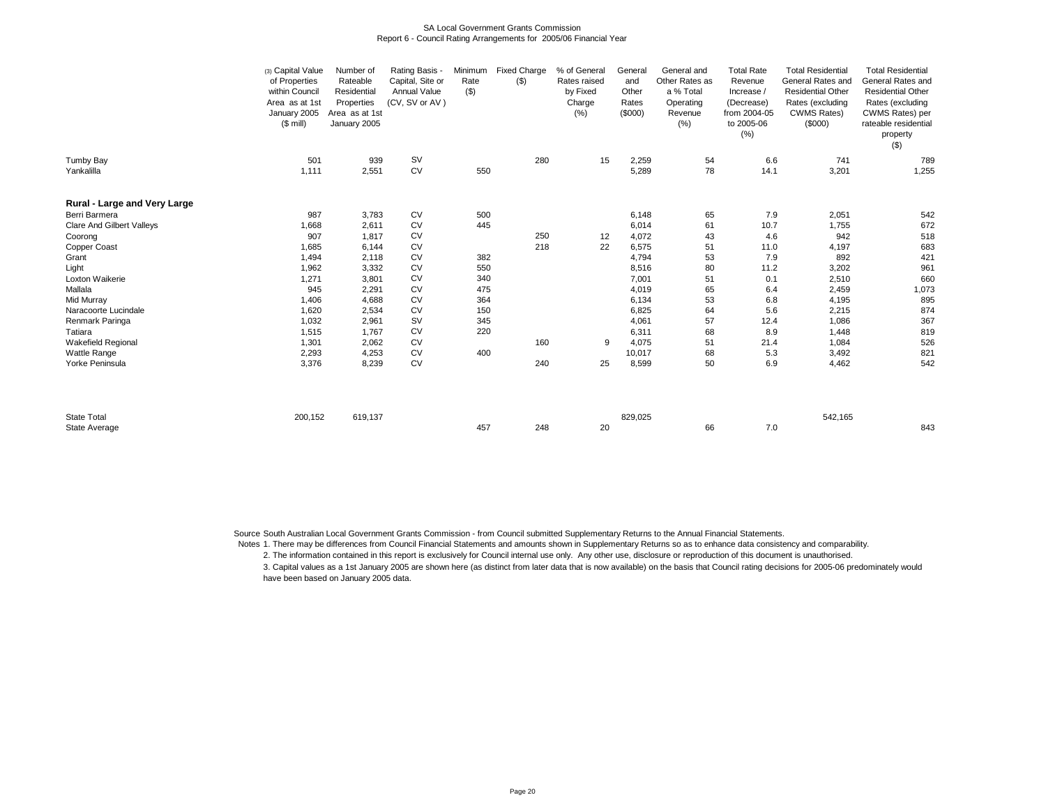#### SA Local Government Grants CommissionReport 6 - Council Rating Arrangements for 2005/06 Financial Year

|                              | (3) Capital Value<br>of Properties<br>within Council<br>Area as at 1st<br>January 2005<br>$($$ mill) | Number of<br>Rateable<br>Residential<br>Properties<br>Area as at 1st<br>January 2005 | Rating Basis -<br>Capital, Site or<br><b>Annual Value</b><br>(CV, SV or AV) | Minimum<br>Rate<br>$($ \$) | <b>Fixed Charge</b><br>$($ \$) | % of General<br>Rates raised<br>by Fixed<br>Charge<br>(%) | General<br>and<br>Other<br>Rates<br>(\$000) | General and<br>Other Rates as<br>a % Total<br>Operating<br>Revenue<br>(% ) | <b>Total Rate</b><br>Revenue<br>Increase /<br>(Decrease)<br>from 2004-05<br>to 2005-06<br>(% ) | <b>Total Residential</b><br>General Rates and<br><b>Residential Other</b><br>Rates (excluding<br><b>CWMS Rates)</b><br>(\$000) | <b>Total Residential</b><br>General Rates and<br><b>Residential Other</b><br>Rates (excluding<br>CWMS Rates) per<br>rateable residential<br>property<br>$($ \$) |
|------------------------------|------------------------------------------------------------------------------------------------------|--------------------------------------------------------------------------------------|-----------------------------------------------------------------------------|----------------------------|--------------------------------|-----------------------------------------------------------|---------------------------------------------|----------------------------------------------------------------------------|------------------------------------------------------------------------------------------------|--------------------------------------------------------------------------------------------------------------------------------|-----------------------------------------------------------------------------------------------------------------------------------------------------------------|
| Tumby Bay                    | 501                                                                                                  | 939                                                                                  | <b>SV</b>                                                                   |                            | 280                            | 15                                                        | 2,259                                       | 54                                                                         | 6.6                                                                                            | 741                                                                                                                            | 789                                                                                                                                                             |
| Yankalilla                   | 1,111                                                                                                | 2,551                                                                                | <b>CV</b>                                                                   | 550                        |                                |                                                           | 5,289                                       | 78                                                                         | 14.1                                                                                           | 3,201                                                                                                                          | 1,255                                                                                                                                                           |
| Rural - Large and Very Large |                                                                                                      |                                                                                      |                                                                             |                            |                                |                                                           |                                             |                                                                            |                                                                                                |                                                                                                                                |                                                                                                                                                                 |
| Berri Barmera                | 987                                                                                                  | 3,783                                                                                | ${\sf CV}$                                                                  | 500                        |                                |                                                           | 6,148                                       | 65                                                                         | 7.9                                                                                            | 2,051                                                                                                                          | 542                                                                                                                                                             |
| Clare And Gilbert Valleys    | 1,668                                                                                                | 2,611                                                                                | CV                                                                          | 445                        |                                |                                                           | 6,014                                       | 61                                                                         | 10.7                                                                                           | 1,755                                                                                                                          | 672                                                                                                                                                             |
| Coorong                      | 907                                                                                                  | 1,817                                                                                | CV                                                                          |                            | 250                            | 12                                                        | 4,072                                       | 43                                                                         | 4.6                                                                                            | 942                                                                                                                            | 518                                                                                                                                                             |
| Copper Coast                 | 1,685                                                                                                | 6,144                                                                                | <b>CV</b>                                                                   |                            | 218                            | 22                                                        | 6,575                                       | 51                                                                         | 11.0                                                                                           | 4,197                                                                                                                          | 683                                                                                                                                                             |
| Grant                        | 1,494                                                                                                | 2,118                                                                                | CV                                                                          | 382                        |                                |                                                           | 4,794                                       | 53                                                                         | 7.9                                                                                            | 892                                                                                                                            | 421                                                                                                                                                             |
| Light                        | 1,962                                                                                                | 3,332                                                                                | <b>CV</b>                                                                   | 550                        |                                |                                                           | 8,516                                       | 80                                                                         | 11.2                                                                                           | 3,202                                                                                                                          | 961                                                                                                                                                             |
| Loxton Waikerie              | 1,271                                                                                                | 3,801                                                                                | <b>CV</b>                                                                   | 340                        |                                |                                                           | 7,001                                       | 51                                                                         | 0.1                                                                                            | 2,510                                                                                                                          | 660                                                                                                                                                             |
| Mallala                      | 945                                                                                                  | 2,291                                                                                | <b>CV</b>                                                                   | 475                        |                                |                                                           | 4,019                                       | 65                                                                         | 6.4                                                                                            | 2,459                                                                                                                          | 1,073                                                                                                                                                           |
| Mid Murray                   | 1,406                                                                                                | 4,688                                                                                | CV                                                                          | 364                        |                                |                                                           | 6,134                                       | 53                                                                         | 6.8                                                                                            | 4,195                                                                                                                          | 895                                                                                                                                                             |
| Naracoorte Lucindale         | 1,620                                                                                                | 2,534                                                                                | CV                                                                          | 150                        |                                |                                                           | 6,825                                       | 64                                                                         | 5.6                                                                                            | 2,215                                                                                                                          | 874                                                                                                                                                             |
| Renmark Paringa              | 1,032                                                                                                | 2,961                                                                                | SV                                                                          | 345                        |                                |                                                           | 4,061                                       | 57                                                                         | 12.4                                                                                           | 1,086                                                                                                                          | 367                                                                                                                                                             |
| Tatiara                      | 1,515                                                                                                | 1,767                                                                                | <b>CV</b>                                                                   | 220                        |                                |                                                           | 6,311                                       | 68                                                                         | 8.9                                                                                            | 1,448                                                                                                                          | 819                                                                                                                                                             |
| Wakefield Regional           | 1,301                                                                                                | 2,062                                                                                | CV                                                                          |                            | 160                            | 9                                                         | 4,075                                       | 51                                                                         | 21.4                                                                                           | 1,084                                                                                                                          | 526                                                                                                                                                             |
| Wattle Range                 | 2,293                                                                                                | 4,253                                                                                | CV                                                                          | 400                        |                                |                                                           | 10,017                                      | 68                                                                         | 5.3                                                                                            | 3,492                                                                                                                          | 821                                                                                                                                                             |
| Yorke Peninsula              | 3,376                                                                                                | 8,239                                                                                | <b>CV</b>                                                                   |                            | 240                            | 25                                                        | 8,599                                       | 50                                                                         | 6.9                                                                                            | 4,462                                                                                                                          | 542                                                                                                                                                             |
| <b>State Total</b>           | 200,152                                                                                              | 619,137                                                                              |                                                                             |                            |                                |                                                           | 829,025                                     |                                                                            |                                                                                                | 542,165                                                                                                                        |                                                                                                                                                                 |
| State Average                |                                                                                                      |                                                                                      |                                                                             | 457                        | 248                            | 20                                                        |                                             | 66                                                                         | 7.0                                                                                            |                                                                                                                                | 843                                                                                                                                                             |

Source South Australian Local Government Grants Commission - from Council submitted Supplementary Returns to the Annual Financial Statements.

Notes 1. There may be differences from Council Financial Statements and amounts shown in Supplementary Returns so as to enhance data consistency and comparability.

2. The information contained in this report is exclusively for Council internal use only. Any other use, disclosure or reproduction of this document is unauthorised.

3. Capital values as a 1st January 2005 are shown here (as distinct from later data that is now available) on the basis that Council rating decisions for 2005-06 predominately would have been based on January 2005 data.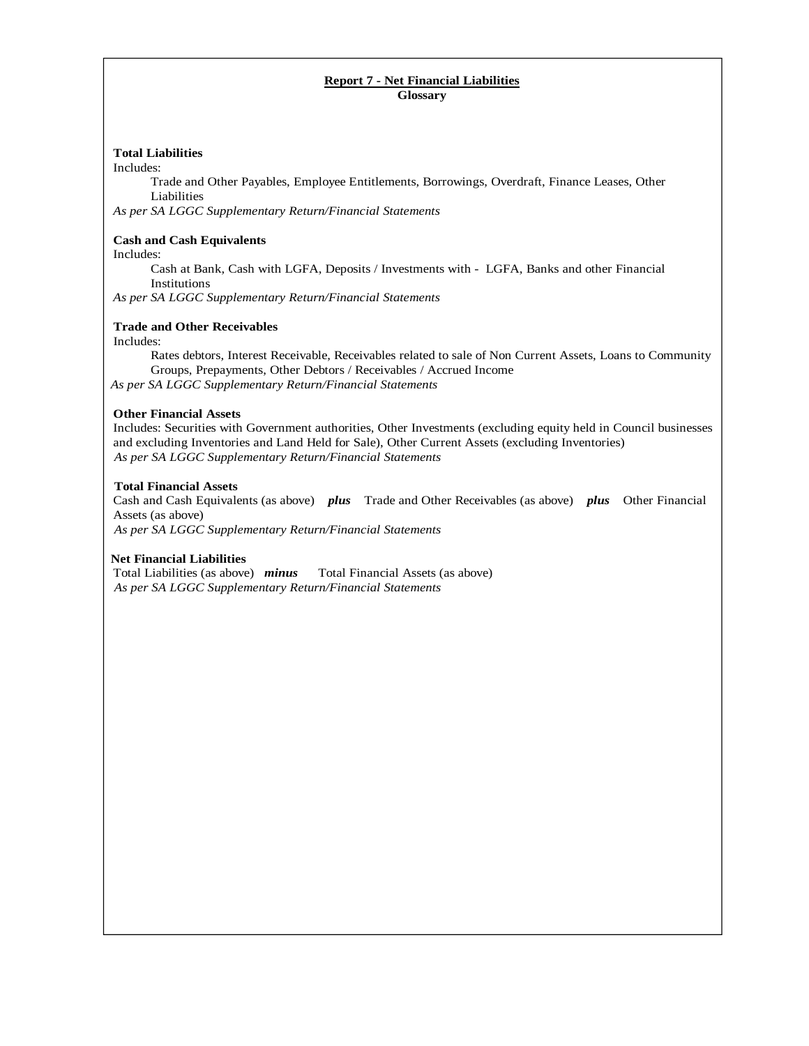### **Report 7 - Net Financial Liabilities Glossary**

### **Total Liabilities**

Includes:

Trade and Other Payables, Employee Entitlements, Borrowings, Overdraft, Finance Leases, Other Liabilities

*As per SA LGGC Supplementary Return/Financial Statements*

### **Cash and Cash Equivalents**

Includes:

Cash at Bank, Cash with LGFA, Deposits / Investments with - LGFA, Banks and other Financial Institutions

*As per SA LGGC Supplementary Return/Financial Statements* 

### **Trade and Other Receivables**

Includes:

Rates debtors, Interest Receivable, Receivables related to sale of Non Current Assets, Loans to Community Groups, Prepayments, Other Debtors / Receivables / Accrued Income

 *As per SA LGGC Supplementary Return/Financial Statements*

### **Other Financial Assets**

Includes: Securities with Government authorities, Other Investments (excluding equity held in Council businesses and excluding Inventories and Land Held for Sale), Other Current Assets (excluding Inventories)  *As per SA LGGC Supplementary Return/Financial Statements* 

### **Total Financial Assets**

Cash and Cash Equivalents (as above) *plus* Trade and Other Receivables (as above) *plus* Other Financial Assets (as above)

 *As per SA LGGC Supplementary Return/Financial Statements*

**Net Financial Liabilities**<br>Total Liabilities (as above) *minus* Total Financial Assets (as above)  *As per SA LGGC Supplementary Return/Financial Statements*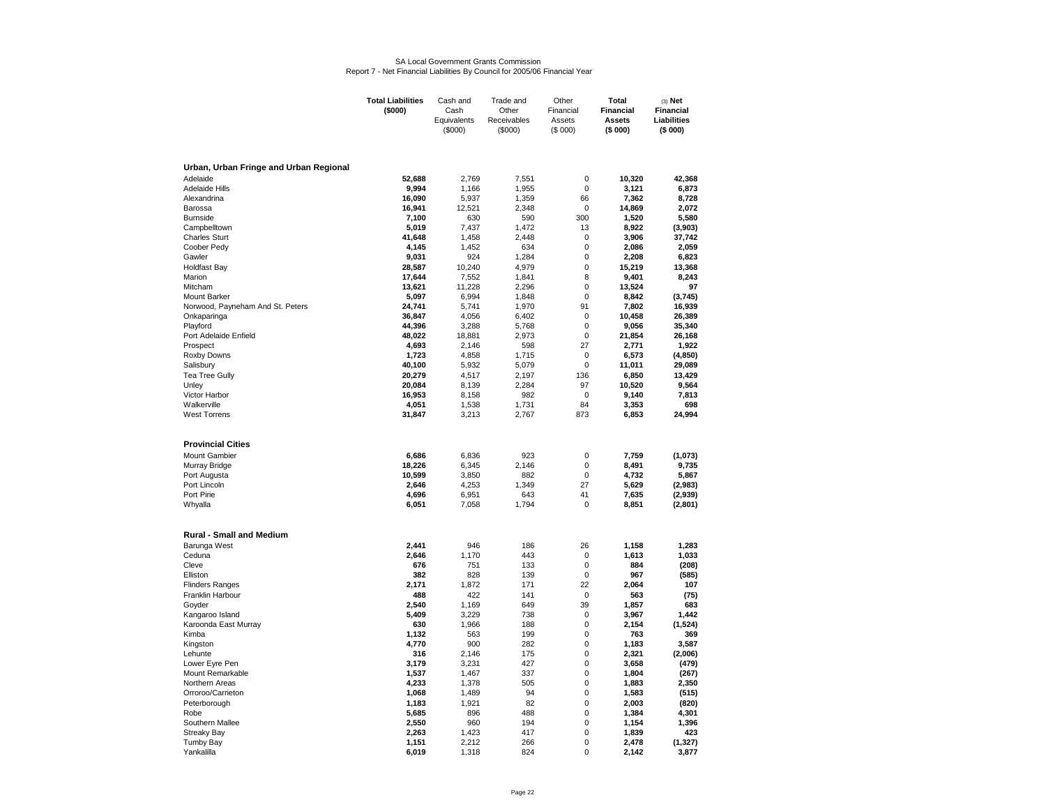# SA Local Government Grants Commission Report 7 - Net Financial Liabilities By Council for 2005/06 Financial Year

|                                        | <b>Total Liabilities</b> | Cash and               | Trade and              | Other                    | Total                    | $(3)$ Net              |
|----------------------------------------|--------------------------|------------------------|------------------------|--------------------------|--------------------------|------------------------|
|                                        | (\$000)                  | Cash                   | Other                  | Financial                | <b>Financial</b>         | <b>Financial</b>       |
|                                        |                          | Equivalents<br>(\$000) | Receivables<br>(\$000) | Assets<br>(\$000)        | <b>Assets</b><br>(\$000) | Liabilities<br>(\$000) |
|                                        |                          |                        |                        |                          |                          |                        |
|                                        |                          |                        |                        |                          |                          |                        |
| Urban, Urban Fringe and Urban Regional |                          |                        |                        |                          |                          |                        |
| Adelaide                               | 52.688                   | 2.769                  | 7.551                  | $\mathbf 0$              | 10,320                   | 42,368                 |
| <b>Adelaide Hills</b>                  | 9,994                    | 1,166                  | 1,955                  | 0                        | 3,121                    | 6,873                  |
| Alexandrina                            | 16,090                   | 5,937                  | 1,359                  | 66                       | 7,362                    | 8,728                  |
| Barossa                                | 16,941                   | 12,521                 | 2,348                  | $\Omega$                 | 14,869                   | 2.072                  |
| <b>Burnside</b>                        | 7,100                    | 630                    | 590                    | 300                      | 1,520                    | 5,580                  |
| Campbelltown                           | 5,019                    | 7.437                  | 1,472                  | 13                       | 8,922                    | (3,903)                |
| <b>Charles Sturt</b>                   | 41,648                   | 1,458                  | 2,448                  | $\pmb{0}$                | 3,906                    | 37,742                 |
| Coober Pedy                            | 4,145                    | 1,452                  | 634                    | $\mathbf 0$              | 2,086                    | 2,059                  |
| Gawler                                 | 9,031                    | 924                    | 1,284                  | $\mathbf 0$              | 2,208                    | 6,823                  |
| <b>Holdfast Bay</b>                    | 28,587                   | 10,240                 | 4,979                  | $\mathbf 0$              | 15,219                   | 13,368                 |
| Marion                                 | 17,644                   | 7,552                  | 1,841                  | 8                        | 9,401                    | 8,243                  |
| Mitcham                                | 13,621                   | 11,228                 | 2,296                  | $\mathbf 0$              | 13,524                   | 97                     |
| Mount Barker                           | 5,097                    | 6,994                  | 1,848                  | $\Omega$                 | 8,842                    | (3,745)                |
| Norwood, Payneham And St. Peters       | 24,741                   | 5,741                  | 1,970                  | 91                       | 7,802                    | 16,939                 |
| Onkaparinga                            | 36,847                   | 4,056                  | 6,402                  | $\mathbf 0$              | 10,458                   | 26,389                 |
| Playford                               | 44,396                   | 3,288                  | 5,768                  | $\mathbf 0$              | 9,056                    | 35,340                 |
| Port Adelaide Enfield                  | 48,022                   | 18,881                 | 2,973                  | $\mathbf 0$              | 21,854                   | 26,168                 |
| Prospect                               | 4,693                    | 2,146                  | 598                    | 27                       | 2,771                    | 1,922                  |
| Roxby Downs                            | 1,723                    | 4,858                  | 1,715                  | $\mathbf 0$              | 6,573                    | (4, 850)               |
| Salisbury                              | 40,100                   | 5,932                  | 5,079                  | 0                        | 11,011                   | 29,089                 |
| Tea Tree Gully                         | 20,279                   | 4,517                  | 2,197                  | 136                      | 6,850                    | 13,429                 |
| Unley                                  | 20,084                   | 8,139                  | 2,284                  | 97                       | 10,520                   | 9,564                  |
| Victor Harbor                          | 16,953                   | 8,158                  | 982                    | $\mathbf 0$              | 9,140                    | 7,813                  |
| Walkerville                            | 4,051                    | 1,538                  | 1,731                  | 84                       | 3,353                    | 698                    |
| <b>West Torrens</b>                    | 31,847                   | 3,213                  | 2,767                  | 873                      | 6,853                    | 24,994                 |
|                                        |                          |                        |                        |                          |                          |                        |
| <b>Provincial Cities</b>               |                          |                        |                        |                          |                          |                        |
| Mount Gambier                          | 6,686                    | 6,836                  | 923                    | 0                        |                          | (1,073)                |
|                                        |                          |                        |                        |                          | 7,759                    |                        |
| Murray Bridge                          | 18,226<br>10,599         | 6,345                  | 2.146                  | $\mathbf 0$<br>$\pmb{0}$ | 8,491                    | 9,735<br>5,867         |
| Port Augusta<br>Port Lincoln           | 2.646                    | 3,850<br>4,253         | 882<br>1,349           | 27                       | 4,732<br>5,629           | (2,983)                |
| Port Pirie                             | 4,696                    | 6,951                  | 643                    | 41                       | 7,635                    |                        |
|                                        | 6,051                    | 7,058                  | 1,794                  | 0                        | 8,851                    | (2,939)                |
| Whyalla                                |                          |                        |                        |                          |                          | (2,801)                |
|                                        |                          |                        |                        |                          |                          |                        |
| <b>Rural - Small and Medium</b>        |                          |                        |                        |                          |                          |                        |
| Barunga West                           | 2.441                    | 946                    | 186                    | 26                       | 1.158                    | 1.283                  |
| Ceduna                                 | 2.646                    | 1.170                  | 443                    | $\mathbf 0$              | 1,613                    | 1,033                  |
| Cleve                                  | 676                      | 751                    | 133                    | $\mathbf 0$              | 884                      | (208)                  |
| Elliston                               | 382                      | 828                    | 139                    | $\mathbf 0$              | 967                      | (585)                  |
| <b>Flinders Ranges</b>                 | 2,171                    | 1,872                  | 171                    | 22                       | 2,064                    | 107                    |
| Franklin Harbour                       | 488                      | 422                    | 141                    | $\mathbf 0$              | 563                      | (75)                   |
| Goyder<br>Kangaroo Island              | 2,540<br>5,409           | 1,169<br>3,229         | 649<br>738             | 39<br>0                  | 1,857<br>3,967           | 683<br>1,442           |
|                                        | 630                      | 1,966                  | 188                    | $\mathbf 0$              | 2,154                    | (1,524)                |
| Karoonda East Murray<br>Kimba          | 1,132                    | 563                    | 199                    | $\mathbf 0$              | 763                      | 369                    |
| Kingston                               | 4,770                    | 900                    | 282                    | 0                        | 1,183                    | 3,587                  |
| Lehunte                                | 316                      | 2,146                  | 175                    | 0                        | 2,321                    | (2,006)                |
|                                        | 3,179                    | 3,231                  | 427                    | $\mathbf 0$              | 3,658                    | (479)                  |
| Lower Eyre Pen<br>Mount Remarkable     | 1,537                    | 1,467                  | 337                    | 0                        | 1,804                    | (267)                  |
| Northern Areas                         | 4,233                    | 1,378                  | 505                    | 0                        | 1,883                    | 2,350                  |
| Orroroo/Carrieton                      | 1,068                    | 1,489                  | 94                     | 0                        | 1,583                    | (515)                  |
| Peterborough                           | 1,183                    | 1,921                  | 82                     | 0                        | 2,003                    | (820)                  |
| Robe                                   | 5,685                    | 896                    | 488                    | 0                        | 1,384                    | 4,301                  |
| Southern Mallee                        | 2,550                    | 960                    | 194                    | 0                        | 1,154                    | 1,396                  |
| <b>Streaky Bay</b>                     | 2,263                    | 1,423                  | 417                    | 0                        | 1,839                    | 423                    |
| <b>Tumby Bay</b>                       | 1,151                    | 2,212                  | 266                    | 0                        | 2,478                    | (1, 327)               |
| Yankalilla                             | 6,019                    | 1,318                  | 824                    | $\Omega$                 | 2,142                    | 3,877                  |
|                                        |                          |                        |                        |                          |                          |                        |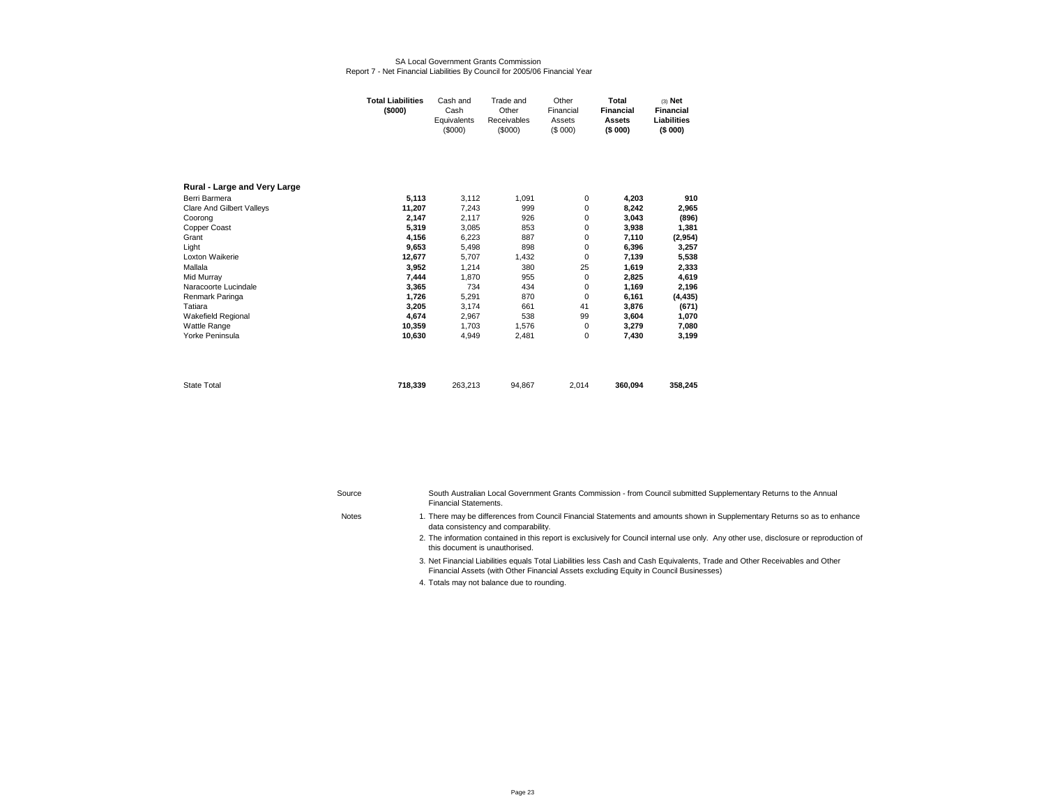#### SA Local Government Grants CommissionReport 7 - Net Financial Liabilities By Council for 2005/06 Financial Year

|                                  | Total Liabilities<br>(\$000) | Cash and<br>Cash<br>Equivalents<br>(\$000) | Trade and<br>Other<br>Receivables<br>(\$000) | Other<br>Financial<br>Assets<br>(S 000) | Total<br><b>Financial</b><br><b>Assets</b><br>(\$000) | $(3)$ Net<br><b>Financial</b><br>Liabilities<br>(\$000) |
|----------------------------------|------------------------------|--------------------------------------------|----------------------------------------------|-----------------------------------------|-------------------------------------------------------|---------------------------------------------------------|
| Rural - Large and Very Large     |                              |                                            |                                              |                                         |                                                       |                                                         |
| Berri Barmera                    | 5,113                        | 3,112                                      | 1,091                                        | 0                                       | 4,203                                                 | 910                                                     |
| <b>Clare And Gilbert Valleys</b> | 11,207                       | 7,243                                      | 999                                          | 0                                       | 8,242                                                 | 2,965                                                   |
| Coorong                          | 2,147                        | 2,117                                      | 926                                          | 0                                       | 3,043                                                 | (896)                                                   |
| Copper Coast                     | 5,319                        | 3,085                                      | 853                                          | 0                                       | 3,938                                                 | 1,381                                                   |
| Grant                            | 4,156                        | 6,223                                      | 887                                          | 0                                       | 7,110                                                 | (2,954)                                                 |
| Light                            | 9,653                        | 5,498                                      | 898                                          | 0                                       | 6,396                                                 | 3,257                                                   |
| Loxton Waikerie                  | 12,677                       | 5,707                                      | 1,432                                        | 0                                       | 7,139                                                 | 5,538                                                   |
| Mallala                          | 3,952                        | 1,214                                      | 380                                          | 25                                      | 1,619                                                 | 2,333                                                   |
| Mid Murray                       | 7,444                        | 1,870                                      | 955                                          | 0                                       | 2,825                                                 | 4,619                                                   |
| Naracoorte Lucindale             | 3,365                        | 734                                        | 434                                          | 0                                       | 1,169                                                 | 2,196                                                   |
| Renmark Paringa                  | 1,726                        | 5,291                                      | 870                                          | 0                                       | 6,161                                                 | (4, 435)                                                |
| Tatiara                          | 3,205                        | 3,174                                      | 661                                          | 41                                      | 3,876                                                 | (671)                                                   |
| Wakefield Regional               | 4,674                        | 2,967                                      | 538                                          | 99                                      | 3,604                                                 | 1,070                                                   |
| <b>Wattle Range</b>              | 10,359                       | 1.703                                      | 1,576                                        | 0                                       | 3,279                                                 | 7,080                                                   |
| Yorke Peninsula                  | 10,630                       | 4,949                                      | 2,481                                        | 0                                       | 7,430                                                 | 3,199                                                   |
|                                  |                              |                                            |                                              |                                         |                                                       |                                                         |
| <b>State Total</b>               | 718,339                      | 263,213                                    | 94,867                                       | 2,014                                   | 360,094                                               | 358,245                                                 |

**Notes** 

| Source | South Australian Local Government Grants Commission - from Council submitted Supplementary Returns to the Annual |
|--------|------------------------------------------------------------------------------------------------------------------|
|        | Financial Statements.                                                                                            |

- 3.Net Financial Liabilities equals Total Liabilities less Cash and Cash Equivalents, Trade and Other Receivables and Other Financial Assets (with Other Financial Assets excluding Equity in Council Businesses)
- 4. Totals may not balance due to rounding.

<sup>1.</sup> There may be differences from Council Financial Statements and amounts shown in Supplementary Returns so as to enhance data consistency and comparability.

<sup>2.</sup>  The information contained in this report is exclusively for Council internal use only. Any other use, disclosure or reproduction of this document is unauthorised.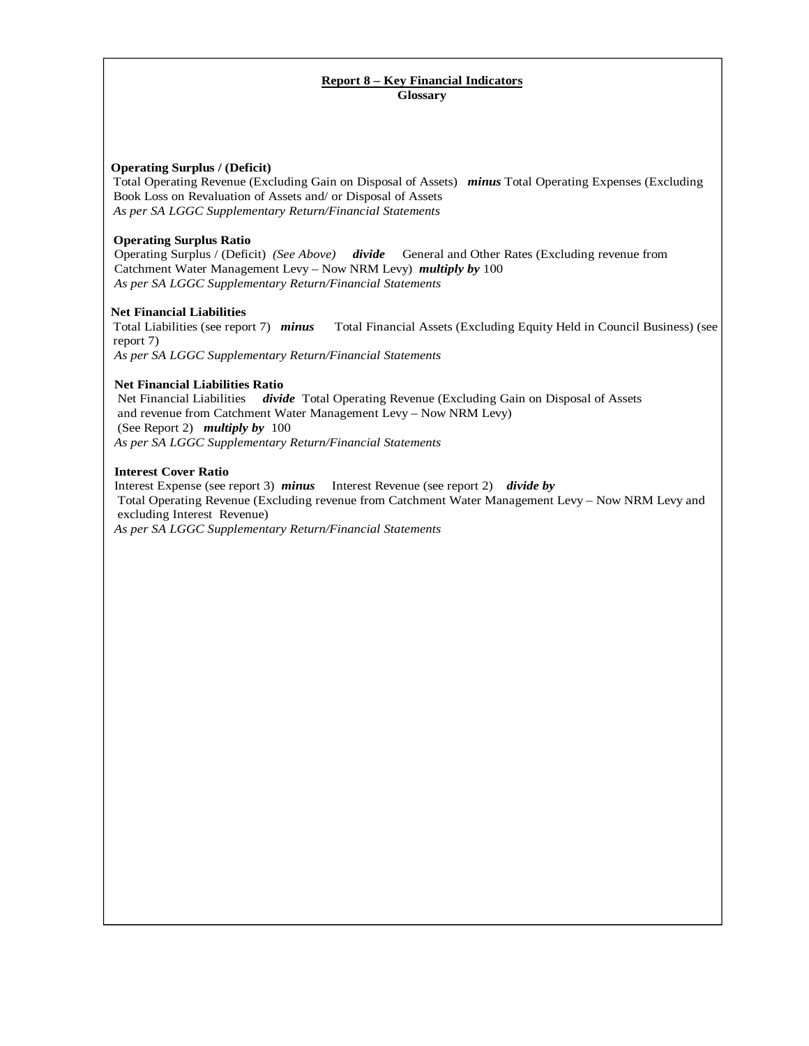### **Report 8 – Key Financial Indicators Glossary**

### **Operating Surplus / (Deficit)**

Total Operating Revenue (Excluding Gain on Disposal of Assets) *minus* Total Operating Expenses (Excluding Book Loss on Revaluation of Assets and/ or Disposal of Assets *As per SA LGGC Supplementary Return/Financial Statements* 

#### **Operating Surplus Ratio**

 Operating Surplus / (Deficit) *(See Above) divide* General and Other Rates (Excluding revenue from Catchment Water Management Levy – Now NRM Levy) *multiply by* 100  *As per SA LGGC Supplementary Return/Financial Statements*

### **Net Financial Liabilities**

Total Liabilities (see report 7) *minus* Total Financial Assets (Excluding Equity Held in Council Business) (see report 7)  *As per SA LGGC Supplementary Return/Financial Statements* 

### **Net Financial Liabilities Ratio**

 Net Financial Liabilities *divide* Total Operating Revenue (Excluding Gain on Disposal of Assets and revenue from Catchment Water Management Levy – Now NRM Levy) (See Report 2) *multiply by* 100  *As per SA LGGC Supplementary Return/Financial Statements* 

#### **Interest Cover Ratio**

Interest Expense (see report 3) *minus* Interest Revenue (see report 2) *divide by*  Total Operating Revenue (Excluding revenue from Catchment Water Management Levy – Now NRM Levy and excluding Interest Revenue)  *As per SA LGGC Supplementary Return/Financial Statements*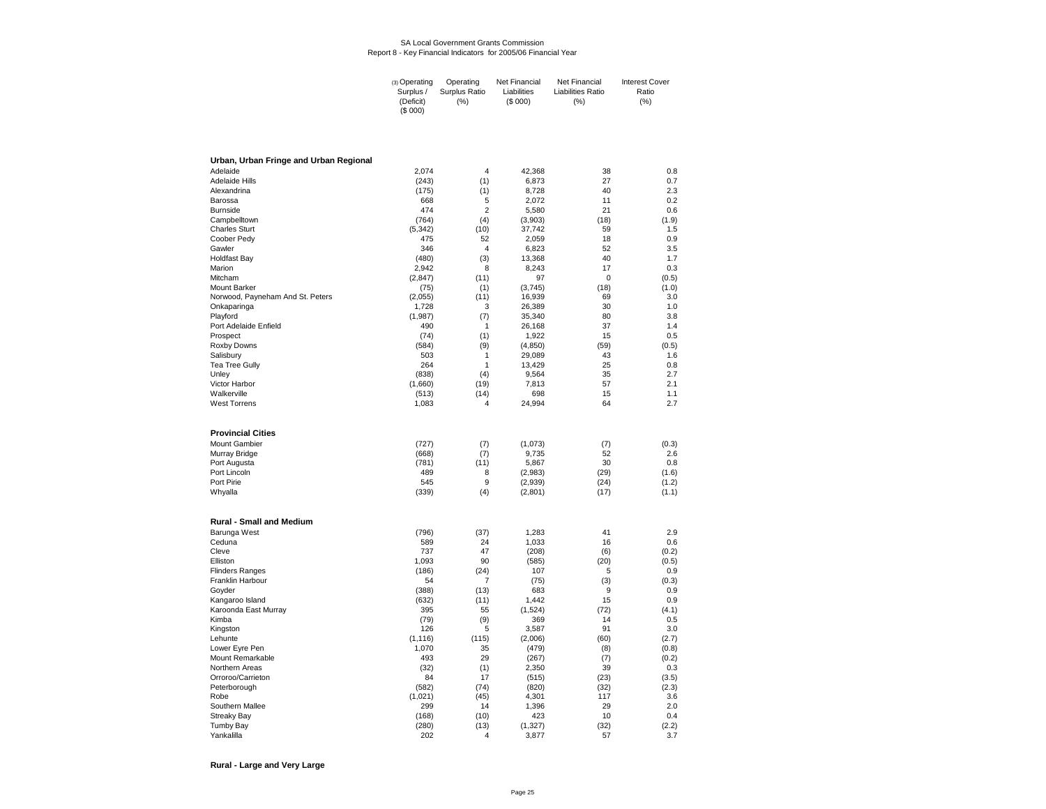#### SA Local Government Grants CommissionReport 8 - Key Financial Indicators for 2005/06 Financial Year

| Surplus /<br>Surplus Ratio<br>Liabilities Ratio<br>Liabilities<br>Ratio<br>(S 000)<br>(% )<br>(% )<br>(Deficit)<br>$(\%)$<br>(S 000) | (3) Operating | Operating | Net Financial | Net Financial | <b>Interest Cover</b> |
|--------------------------------------------------------------------------------------------------------------------------------------|---------------|-----------|---------------|---------------|-----------------------|
|--------------------------------------------------------------------------------------------------------------------------------------|---------------|-----------|---------------|---------------|-----------------------|

| Urban, Urban Fringe and Urban Regional |                   |                |                  |             |                |
|----------------------------------------|-------------------|----------------|------------------|-------------|----------------|
| Adelaide                               | 2,074             | 4              | 42,368           | 38          | 0.8            |
| <b>Adelaide Hills</b>                  | (243)             | (1)            | 6,873            | 27          | 0.7            |
| Alexandrina                            | (175)             | (1)            | 8,728            | 40          | 2.3            |
| Barossa                                | 668               | 5              | 2,072            | 11          | 0.2            |
| <b>Burnside</b>                        | 474               | $\overline{2}$ | 5,580            | 21          | 0.6            |
| Campbelltown                           | (764)             | (4)            | (3,903)          | (18)        | (1.9)          |
| <b>Charles Sturt</b>                   | (5, 342)          | (10)           | 37,742           | 59          | 1.5            |
| Coober Pedy                            | 475<br>346        | 52<br>4        | 2,059            | 18<br>52    | 0.9<br>3.5     |
| Gawler<br><b>Holdfast Bay</b>          | (480)             | (3)            | 6,823<br>13,368  | 40          | 1.7            |
| Marion                                 | 2,942             | 8              | 8,243            | 17          | 0.3            |
| Mitcham                                | (2, 847)          | (11)           | 97               | 0           | (0.5)          |
| <b>Mount Barker</b>                    | (75)              | (1)            | (3,745)          | (18)        | (1.0)          |
| Norwood, Payneham And St. Peters       | (2,055)           | (11)           | 16,939           | 69          | 3.0            |
| Onkaparinga                            | 1,728             | 3              | 26,389           | 30          | 1.0            |
| Playford                               | (1,987)           | (7)            | 35,340           | 80          | 3.8            |
| Port Adelaide Enfield                  | 490               | $\mathbf{1}$   | 26,168           | 37          | 1.4            |
| Prospect                               | (74)              | (1)            | 1,922            | 15          | 0.5            |
| Roxby Downs                            | (584)             | (9)            | (4, 850)         | (59)        | (0.5)          |
| Salisbury                              | 503               | 1              | 29,089           | 43          | 1.6            |
| <b>Tea Tree Gully</b>                  | 264               | 1              | 13,429           | 25          | 0.8            |
| Unley                                  | (838)             | (4)            | 9,564            | 35          | 2.7            |
| Victor Harbor                          | (1,660)           | (19)           | 7,813            | 57          | 2.1            |
| Walkerville<br><b>West Torrens</b>     | (513)<br>1,083    | (14)<br>4      | 698<br>24,994    | 15<br>64    | 1.1<br>2.7     |
|                                        |                   |                |                  |             |                |
| <b>Provincial Cities</b>               |                   |                |                  |             |                |
| <b>Mount Gambier</b>                   | (727)             | (7)            | (1,073)          | (7)         | (0.3)          |
| Murray Bridge                          | (668)             | (7)            | 9,735            | 52          | 2.6            |
| Port Augusta                           | (781)             | (11)           | 5,867            | 30          | 0.8            |
| Port Lincoln                           | 489               | 8              | (2,983)          | (29)        | (1.6)          |
| Port Pirie                             | 545               | 9              | (2,939)          | (24)        | (1.2)          |
| Whyalla                                | (339)             | (4)            | (2,801)          | (17)        | (1.1)          |
| <b>Rural - Small and Medium</b>        |                   |                |                  |             |                |
| Barunga West                           | (796)             | (37)           | 1,283            | 41          | 2.9            |
| Ceduna                                 | 589               | 24             | 1,033            | 16          | 0.6            |
| Cleve                                  | 737               | 47             | (208)            | (6)         | (0.2)          |
| Elliston                               | 1,093             | 90             | (585)            | (20)        | (0.5)          |
| <b>Flinders Ranges</b>                 | (186)             | (24)           | 107              | 5           | 0.9            |
| Franklin Harbour                       | 54                | $\overline{7}$ | (75)             | (3)         | (0.3)          |
| Goyder                                 | (388)             | (13)           | 683              | 9           | 0.9            |
| Kangaroo Island                        | (632)             | (11)           | 1.442            | 15          | 0.9            |
| Karoonda East Murray                   | 395               | 55             | (1,524)          | (72)        | (4.1)          |
| Kimba                                  | (79)              | (9)            | 369              | 14          | 0.5            |
| Kingston                               | 126               | 5              | 3,587            | 91          | 3.0            |
| Lehunte<br>Lower Eyre Pen              | (1, 116)<br>1,070 | (115)<br>35    | (2,006)<br>(479) | (60)<br>(8) | (2.7)<br>(0.8) |
| Mount Remarkable                       | 493               | 29             | (267)            | (7)         | (0.2)          |
| Northern Areas                         | (32)              | (1)            | 2,350            | 39          | 0.3            |
| Orroroo/Carrieton                      | 84                | 17             | (515)            | (23)        | (3.5)          |
| Peterborough                           | (582)             | (74)           | (820)            | (32)        | (2.3)          |
| Robe                                   | (1,021)           | (45)           | 4,301            | 117         | 3.6            |
| Southern Mallee                        | 299               | 14             | 1,396            | 29          | 2.0            |
| <b>Streaky Bay</b>                     | (168)             | (10)           | 423              | 10          | 0.4            |
| <b>Tumby Bay</b>                       | (280)             | (13)           | (1, 327)         | (32)        | (2.2)          |
| Yankalilla                             | 202               | 4              | 3,877            | 57          | 3.7            |

**Rural - Large and Very Large**